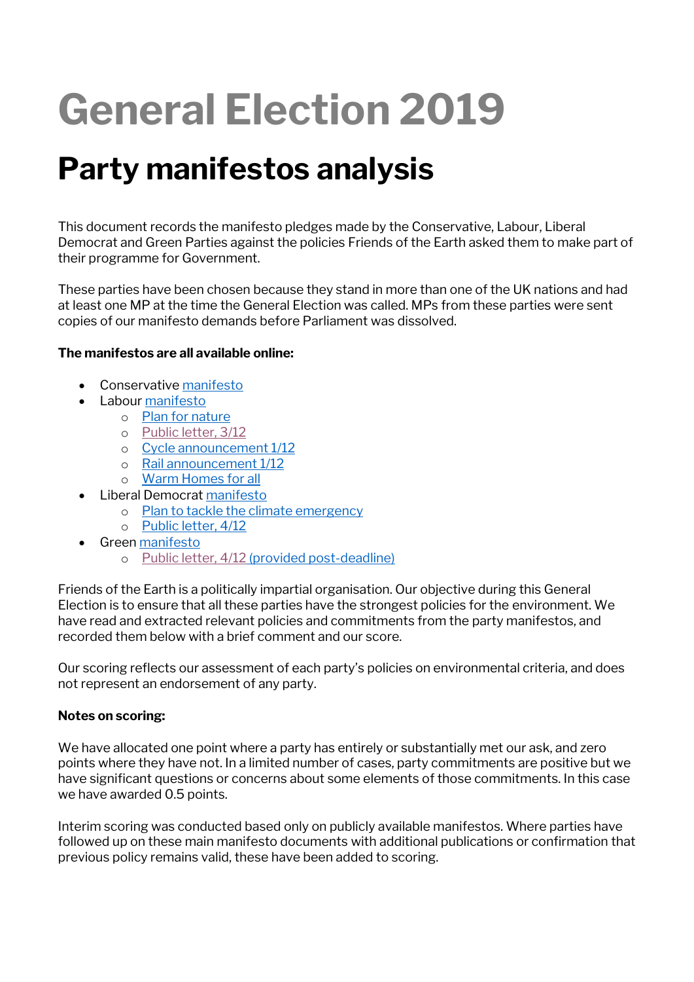# **General Election 2019**

## **Party manifestos analysis**

This document records the manifesto pledges made by the Conservative, Labour, Liberal Democrat and Green Parties against the policies Friends of the Earth asked them to make part of their programme for Government.

These parties have been chosen because they stand in more than one of the UK nations and had at least one MP at the time the General Election was called. MPs from these parties were sent copies of our manifesto demands before Parliament was dissolved.

### **The manifestos are all available online:**

- Conservativ[e manifesto](https://assets-global.website-files.com/5da42e2cae7ebd3f8bde353c/5dda924905da587992a064ba_Conservative%202019%20Manifesto.pdf)
- Labou[r manifesto](https://labour.org.uk/wp-content/uploads/2019/11/Real-Change-Labour-Manifesto-2019.pdf)
	- o [Plan for nature](https://labour.org.uk/wp-content/uploads/2019/11/FINAL-FOR-WEB_13172_19-Environment-Manifesto.pdf)
	- o [Public letter, 3/12](https://cdn.friendsoftheearth.uk/sites/default/files/downloads/Letter%20from%20the%20Labour%20Party%20to%20Friends%20of%20the%20Earth%20031219.pdf)
	- o Cycle [announcement](https://labour.org.uk/press/labour-announces-plan-to-make-england-one-of-the-most-cycling-and-walking-friendly-places-in-the-world/) 1/12
	- o [Rail announcement 1/12](https://labour.org.uk/press/labour-announces-biggest-ever-rail-fares-cut-saving-the-average-commuter-over-1000-a-year/)
	- o [Warm Homes for all](https://labour.org.uk/press/warm-homes-for-all-labours-plan-to-reduce-energy-bills-create-jobs-and-tackle-the-climate-emergency/)
- Liberal Democrat [manifesto](https://d3n8a8pro7vhmx.cloudfront.net/libdems/pages/57307/attachments/original/1574251172/Stop_Brexit_and_Build_a_Brighter_Future.pdf?1574251172)
	- o [Plan to tackle the climate emergency](https://cdn.friendsoftheearth.uk/sites/default/files/downloads/Liberal%20Democrats%20-%20Our%20Plan%20to%20Tackle%20Climate%20Change%20FINAL.pdf)
	- o [Public letter, 4/12](https://cdn.friendsoftheearth.uk/sites/default/files/downloads/Letter%20from%20the%20Liberal%20Democrat%20Party%20to%20Friends%20of%20the%20Earth%20031219.pdf)
- Gree[n manifesto](https://www.greenparty.org.uk/assets/files/Elections/Green%20Party%20Manifesto%202019.pdf)
	- o [Public letter, 4/12](https://cdn.friendsoftheearth.uk/sites/default/files/downloads/FoE%20letter%20JB%2004.12.19.pdf) (provided post-deadline)

Friends of the Earth is a politically impartial organisation. Our objective during this General Election is to ensure that all these parties have the strongest policies for the environment. We have read and extracted relevant policies and commitments from the party manifestos, and recorded them below with a brief comment and our score.

Our scoring reflects our assessment of each party's policies on environmental criteria, and does not represent an endorsement of any party.

### **Notes on scoring:**

We have allocated one point where a party has entirely or substantially met our ask, and zero points where they have not. In a limited number of cases, party commitments are positive but we have significant questions or concerns about some elements of those commitments. In this case we have awarded 0.5 points.

Interim scoring was conducted based only on publicly available manifestos. Where parties have followed up on these main manifesto documents with additional publications or confirmation that previous policy remains valid, these have been added to scoring.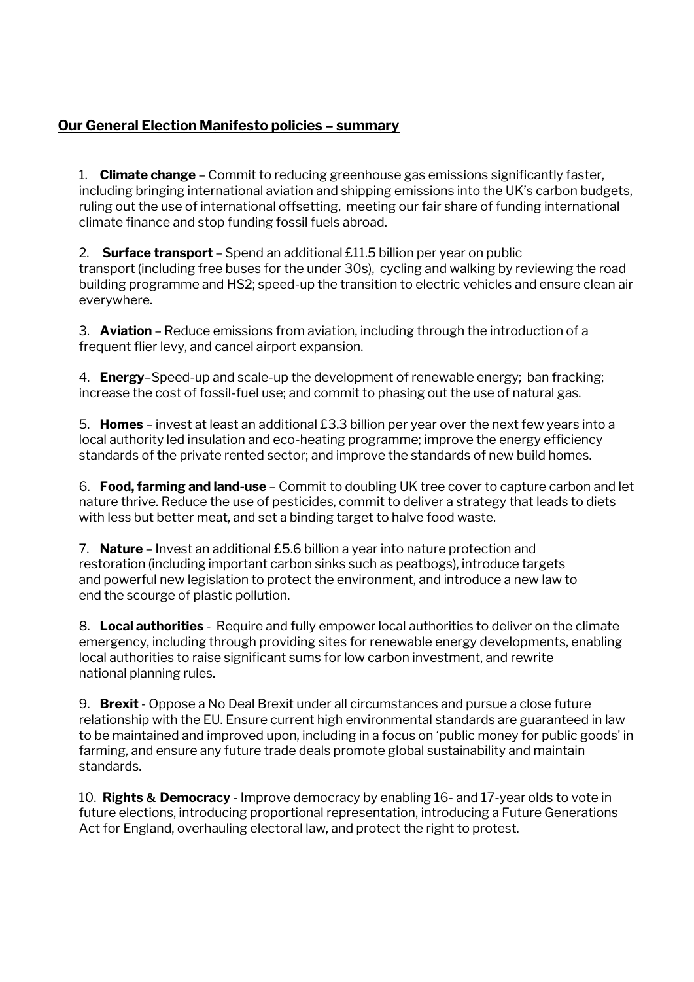### **Our General Election Manifesto policies – summary**

1. **Climate change** – Commit to reducing greenhouse gas emissions significantly faster, including bringing international aviation and shipping emissions into the UK's carbon budgets, ruling out the use of international offsetting, meeting our fair share of funding international climate finance and stop funding fossil fuels abroad.

2. **Surface transport** – Spend an additional £11.5 billion per year on public transport (including free buses for the under 30s), cycling and walking by reviewing the road building programme and HS2; speed-up the transition to electric vehicles and ensure clean air everywhere.

3. **Aviation** – Reduce emissions from aviation, including through the introduction of a frequent flier levy, and cancel airport expansion.

4. **Energy**–Speed-up and scale-up the development of renewable energy; ban fracking; increase the cost of fossil-fuel use; and commit to phasing out the use of natural gas.

5. **Homes** – invest at least an additional £3.3 billion per year over the next few years into a local authority led insulation and eco-heating programme; improve the energy efficiency standards of the private rented sector; and improve the standards of new build homes.

6. **Food, farming and land-use** – Commit to doubling UK tree cover to capture carbon and let nature thrive. Reduce the use of pesticides, commit to deliver a strategy that leads to diets with less but better meat, and set a binding target to halve food waste.

7. **Nature** – Invest an additional £5.6 billion a year into nature protection and restoration (including important carbon sinks such as peatbogs), introduce targets and powerful new legislation to protect the environment, and introduce a new law to end the scourge of plastic pollution.

8. **Local authorities** -  Require and fully empower local authorities to deliver on the climate emergency, including through providing sites for renewable energy developments, enabling local authorities to raise significant sums for low carbon investment, and rewrite national planning rules.  

9. **Brexit** - Oppose a No Deal Brexit under all circumstances and pursue a close future relationship with the EU. Ensure current high environmental standards are guaranteed in law to be maintained and improved upon, including in a focus on 'public money for public goods' in farming, and ensure any future trade deals promote global sustainability and maintain standards.

10. **Rights & Democracy** - Improve democracy by enabling 16- and 17-year olds to vote in future elections, introducing proportional representation, introducing a Future Generations Act for England, overhauling electoral law, and protect the right to protest.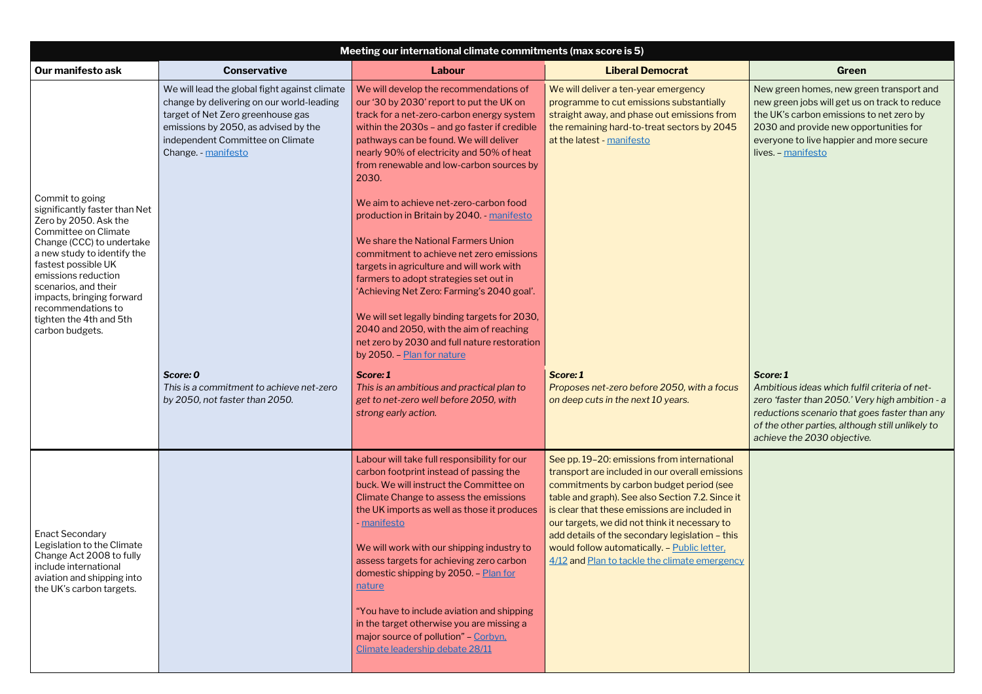New green homes, new green transport and new green jobs will get us on track to reduce the UK's carbon emissions to net zero by 2030 and provide new opportunities for everyone to live happier and more secure lives. – [manifesto](https://www.greenparty.org.uk/assets/files/Elections/Green%20Party%20Manifesto%202019.pdf)

| Meeting our international climate commitments (max score is 5)                                                                                                                                                                                                                                                                       |                                                                                                                                                                                                                                    |                                                                                                                                                                                                                                                                                                                                                                                                                                                                                                                                                                             |                                                                                                                                                                                                                                                                                                                                                                                                                                                      |                                                                                                                                                                       |
|--------------------------------------------------------------------------------------------------------------------------------------------------------------------------------------------------------------------------------------------------------------------------------------------------------------------------------------|------------------------------------------------------------------------------------------------------------------------------------------------------------------------------------------------------------------------------------|-----------------------------------------------------------------------------------------------------------------------------------------------------------------------------------------------------------------------------------------------------------------------------------------------------------------------------------------------------------------------------------------------------------------------------------------------------------------------------------------------------------------------------------------------------------------------------|------------------------------------------------------------------------------------------------------------------------------------------------------------------------------------------------------------------------------------------------------------------------------------------------------------------------------------------------------------------------------------------------------------------------------------------------------|-----------------------------------------------------------------------------------------------------------------------------------------------------------------------|
| Our manifesto ask                                                                                                                                                                                                                                                                                                                    | <b>Conservative</b>                                                                                                                                                                                                                | Labour                                                                                                                                                                                                                                                                                                                                                                                                                                                                                                                                                                      | <b>Liberal Democrat</b>                                                                                                                                                                                                                                                                                                                                                                                                                              | Green                                                                                                                                                                 |
|                                                                                                                                                                                                                                                                                                                                      | We will lead the global fight against climate<br>change by delivering on our world-leading<br>target of Net Zero greenhouse gas<br>emissions by 2050, as advised by the<br>independent Committee on Climate<br>Change. - manifesto | We will develop the recommendations of<br>our '30 by 2030' report to put the UK on<br>track for a net-zero-carbon energy system<br>within the 2030s - and go faster if credible<br>pathways can be found. We will deliver<br>nearly 90% of electricity and 50% of heat<br>from renewable and low-carbon sources by<br>2030.                                                                                                                                                                                                                                                 | We will deliver a ten-year emergency<br>programme to cut emissions substantially<br>straight away, and phase out emissions from<br>the remaining hard-to-treat sectors by 2045<br>at the latest - manifesto                                                                                                                                                                                                                                          | New green homes, new gre<br>new green jobs will get us<br>the UK's carbon emissions<br>2030 and provide new opp<br>everyone to live happier are<br>lives. - manifesto |
| Commit to going<br>significantly faster than Net<br>Zero by 2050. Ask the<br>Committee on Climate<br>Change (CCC) to undertake<br>a new study to identify the<br>fastest possible UK<br>emissions reduction<br>scenarios, and their<br>impacts, bringing forward<br>recommendations to<br>tighten the 4th and 5th<br>carbon budgets. |                                                                                                                                                                                                                                    | We aim to achieve net-zero-carbon food<br>production in Britain by 2040. - manifesto<br>We share the National Farmers Union<br>commitment to achieve net zero emissions<br>targets in agriculture and will work with<br>farmers to adopt strategies set out in<br>'Achieving Net Zero: Farming's 2040 goal'.<br>We will set legally binding targets for 2030,<br>2040 and 2050, with the aim of reaching<br>net zero by 2030 and full nature restoration<br>by 2050. - Plan for nature                                                                                      |                                                                                                                                                                                                                                                                                                                                                                                                                                                      |                                                                                                                                                                       |
|                                                                                                                                                                                                                                                                                                                                      | Score: 0<br>This is a commitment to achieve net-zero<br>by 2050, not faster than 2050.                                                                                                                                             | Score: 1<br>This is an ambitious and practical plan to<br>get to net-zero well before 2050, with<br>strong early action.                                                                                                                                                                                                                                                                                                                                                                                                                                                    | Score: 1<br>Proposes net-zero before 2050, with a focus<br>on deep cuts in the next 10 years.                                                                                                                                                                                                                                                                                                                                                        | Score: 1<br>Ambitious ideas which fulf<br>zero 'faster than 2050.' Ve<br>reductions scenario that go<br>of the other parties, althou<br>achieve the 2030 objective    |
| <b>Enact Secondary</b><br>Legislation to the Climate<br>Change Act 2008 to fully<br>include international<br>aviation and shipping into<br>the UK's carbon targets.                                                                                                                                                                  |                                                                                                                                                                                                                                    | Labour will take full responsibility for our<br>carbon footprint instead of passing the<br>buck. We will instruct the Committee on<br>Climate Change to assess the emissions<br>the UK imports as well as those it produces<br>- <u>manifesto</u><br>We will work with our shipping industry to<br>assess targets for achieving zero carbon<br>domestic shipping by 2050. - Plan for<br><u>nature</u><br>"You have to include aviation and shipping<br>in the target otherwise you are missing a<br>major source of pollution" - Corbyn.<br>Climate leadership debate 28/11 | See pp. 19-20: emissions from international<br>transport are included in our overall emissions<br>commitments by carbon budget period (see<br>table and graph). See also Section 7.2. Since it<br>is clear that these emissions are included in<br>our targets, we did not think it necessary to<br>add details of the secondary legislation - this<br>would follow automatically. - Public letter,<br>4/12 and Plan to tackle the climate emergency |                                                                                                                                                                       |

#### *Score: 1*

*Ambitious ideas which fulfil criteria of netzero 'faster than 2050.' Very high ambition - a reductions scenario that goes faster than any of the other parties, although still unlikely to achieve the 2030 objective.*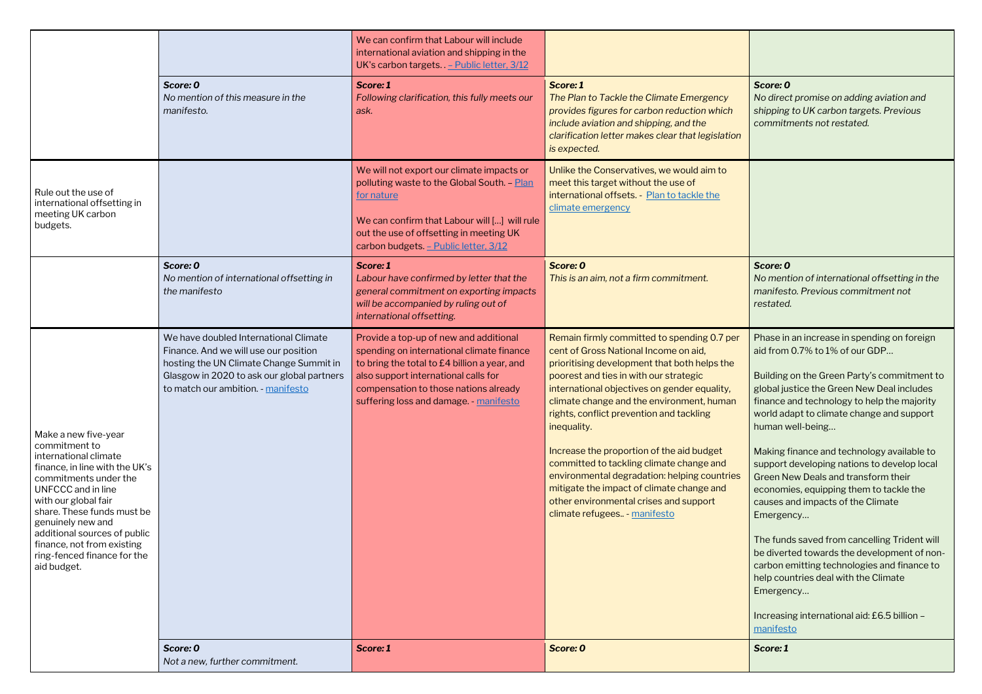*Score: 0 No direct promise on adding aviation and shipping to UK carbon targets. Previous commitments not restated.*

#### *Score: 0*

*No mention of international offsetting in the manifesto. Previous commitment not restated.*

|                                                                                                                                                                                                                                                                                                                                               |                                                                                                                                                                                                               | We can confirm that Labour will include<br>international aviation and shipping in the<br>UK's carbon targets. - Public letter, 3/12                                                                                                                            |                                                                                                                                                                                                                                                                                                                                                                                                                                                                                                                                                                                                        |                                                                                                                                                                                                                                                      |
|-----------------------------------------------------------------------------------------------------------------------------------------------------------------------------------------------------------------------------------------------------------------------------------------------------------------------------------------------|---------------------------------------------------------------------------------------------------------------------------------------------------------------------------------------------------------------|----------------------------------------------------------------------------------------------------------------------------------------------------------------------------------------------------------------------------------------------------------------|--------------------------------------------------------------------------------------------------------------------------------------------------------------------------------------------------------------------------------------------------------------------------------------------------------------------------------------------------------------------------------------------------------------------------------------------------------------------------------------------------------------------------------------------------------------------------------------------------------|------------------------------------------------------------------------------------------------------------------------------------------------------------------------------------------------------------------------------------------------------|
|                                                                                                                                                                                                                                                                                                                                               | Score: 0<br>No mention of this measure in the<br>manifesto.                                                                                                                                                   | Score: 1<br>Following clarification, this fully meets our<br>ask.                                                                                                                                                                                              | Score: 1<br>The Plan to Tackle the Climate Emergency<br>provides figures for carbon reduction which<br>include aviation and shipping, and the<br>clarification letter makes clear that legislation<br>is expected.                                                                                                                                                                                                                                                                                                                                                                                     | Score: 0<br>No dired<br>shipping<br>commiti                                                                                                                                                                                                          |
| Rule out the use of<br>international offsetting in<br>meeting UK carbon<br>budgets.                                                                                                                                                                                                                                                           |                                                                                                                                                                                                               | We will not export our climate impacts or<br>polluting waste to the Global South. - Plan<br>for nature<br>We can confirm that Labour will [] will rule<br>out the use of offsetting in meeting UK<br>carbon budgets. - Public letter, 3/12                     | Unlike the Conservatives, we would aim to<br>meet this target without the use of<br>international offsets. - Plan to tackle the<br>climate emergency                                                                                                                                                                                                                                                                                                                                                                                                                                                   |                                                                                                                                                                                                                                                      |
|                                                                                                                                                                                                                                                                                                                                               | Score: 0<br>No mention of international offsetting in<br>the manifesto                                                                                                                                        | Score: 1<br>Labour have confirmed by letter that the<br>general commitment on exporting impacts<br>will be accompanied by ruling out of<br>international offsetting.                                                                                           | Score: 0<br>This is an aim, not a firm commitment.                                                                                                                                                                                                                                                                                                                                                                                                                                                                                                                                                     | Score: 0<br>No men<br>manifes<br>restated                                                                                                                                                                                                            |
| Make a new five-year<br>commitment to<br>international climate<br>finance, in line with the UK's<br>commitments under the<br><b>UNFCCC</b> and in line<br>with our global fair<br>share. These funds must be<br>genuinely new and<br>additional sources of public<br>finance, not from existing<br>ring-fenced finance for the<br>aid budget. | We have doubled International Climate<br>Finance. And we will use our position<br>hosting the UN Climate Change Summit in<br>Glasgow in 2020 to ask our global partners<br>to match our ambition. - manifesto | Provide a top-up of new and additional<br>spending on international climate finance<br>to bring the total to £4 billion a year, and<br>also support international calls for<br>compensation to those nations already<br>suffering loss and damage. - manifesto | Remain firmly committed to spending 0.7 per<br>cent of Gross National Income on aid,<br>prioritising development that both helps the<br>poorest and ties in with our strategic<br>international objectives on gender equality,<br>climate change and the environment, human<br>rights, conflict prevention and tackling<br>inequality.<br>Increase the proportion of the aid budget<br>committed to tackling climate change and<br>environmental degradation: helping countries<br>mitigate the impact of climate change and<br>other environmental crises and support<br>climate refugees - manifesto | Phase ir<br>aid from<br><b>Building</b><br>global ju<br>finance<br>world ad<br>human y<br><b>Making</b><br>support<br><b>Green N</b><br>econom<br>causes a<br>Emerge<br>The fun<br>be diver<br>carbon e<br>help cou<br>Emerge<br>Increasi<br>manifes |
|                                                                                                                                                                                                                                                                                                                                               | Score: 0<br>Not a new, further commitment.                                                                                                                                                                    | Score: 1                                                                                                                                                                                                                                                       | Score: 0                                                                                                                                                                                                                                                                                                                                                                                                                                                                                                                                                                                               | Score: 1                                                                                                                                                                                                                                             |

Phase in an increase in spending on foreign aid from 0.7% to 1% of our GDP…

Building on the Green Party's commitment to global justice the Green New Deal includes finance and technology to help the majority world adapt to climate change and support human well-being…

Making finance and technology available to support developing nations to develop local Green New Deals and transform their economies, equipping them to tackle the causes and impacts of the Climate Emergency…

The funds saved from cancelling Trident will be diverted towards the development of noncarbon emitting technologies and finance to help countries deal with the Climate Emergency…

Increasing international aid: £6.5 billion – [manifesto](https://www.greenparty.org.uk/assets/files/Elections/Green%20Party%20Manifesto%202019.pdf)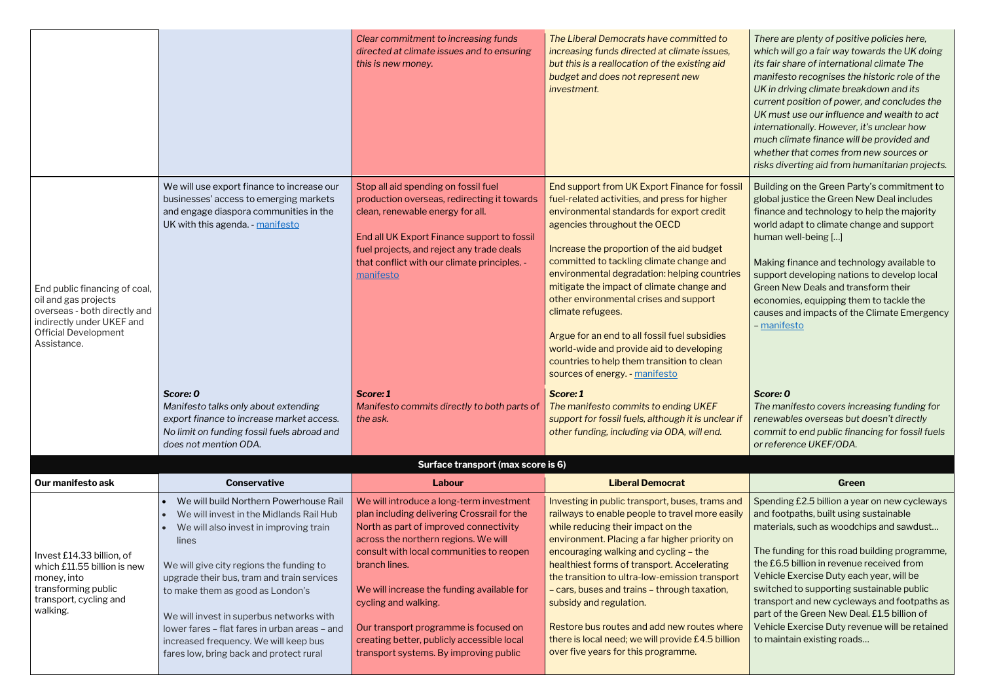*There are plenty of positive policies here, which will go a fair way towards the UK doing its fair share of international climate The manifesto recognises the historic role of the UK in driving climate breakdown and its current position of power, and concludes the UK must use our influence and wealth to act internationally. However, it's unclear how much climate finance will be provided and whether that comes from new sources or risks diverting aid from humanitarian projects.*

Building on the Green Party's commitment to global justice the Green New Deal includes finance and technology to help the majority world adapt to climate change and support human well-being […]

Making finance and technology available to support developing nations to develop local Green New Deals and transform their economies, equipping them to tackle the causes and impacts of the Climate Emergency – [manifesto](https://www.greenparty.org.uk/assets/files/Elections/Green%20Party%20Manifesto%202019.pdf)

|                                                                                                                                                                  |                                                                                                                                                                                                                                                                                                                                                                                                                                                     | Clear commitment to increasing funds<br>directed at climate issues and to ensuring<br>this is new money.                                                                                                                                                                                                                                                                                                                                      | The Liberal Democrats have committed to<br>increasing funds directed at climate issues,<br>but this is a reallocation of the existing aid<br>budget and does not represent new<br>investment.                                                                                                                                                                                                                                                                                                                                                                                                                 | There are plenty of positiv<br>which will go a fair way tov<br>its fair share of internation<br>manifesto recognises the<br>UK in driving climate break<br>current position of power,<br>UK must use our influence<br>internationally. However, in<br>much climate finance will b<br>whether that comes from<br>risks diverting aid from hu |
|------------------------------------------------------------------------------------------------------------------------------------------------------------------|-----------------------------------------------------------------------------------------------------------------------------------------------------------------------------------------------------------------------------------------------------------------------------------------------------------------------------------------------------------------------------------------------------------------------------------------------------|-----------------------------------------------------------------------------------------------------------------------------------------------------------------------------------------------------------------------------------------------------------------------------------------------------------------------------------------------------------------------------------------------------------------------------------------------|---------------------------------------------------------------------------------------------------------------------------------------------------------------------------------------------------------------------------------------------------------------------------------------------------------------------------------------------------------------------------------------------------------------------------------------------------------------------------------------------------------------------------------------------------------------------------------------------------------------|---------------------------------------------------------------------------------------------------------------------------------------------------------------------------------------------------------------------------------------------------------------------------------------------------------------------------------------------|
| End public financing of coal,<br>oil and gas projects<br>overseas - both directly and<br>indirectly under UKEF and<br><b>Official Development</b><br>Assistance. | We will use export finance to increase our<br>businesses' access to emerging markets<br>and engage diaspora communities in the<br>UK with this agenda. - manifesto                                                                                                                                                                                                                                                                                  | Stop all aid spending on fossil fuel<br>production overseas, redirecting it towards<br>clean, renewable energy for all.<br>End all UK Export Finance support to fossil<br>fuel projects, and reject any trade deals<br>that conflict with our climate principles. -<br>manifesto                                                                                                                                                              | End support from UK Export Finance for fossil<br>fuel-related activities, and press for higher<br>environmental standards for export credit<br>agencies throughout the OECD<br>Increase the proportion of the aid budget<br>committed to tackling climate change and<br>environmental degradation: helping countries<br>mitigate the impact of climate change and<br>other environmental crises and support<br>climate refugees.<br>Argue for an end to all fossil fuel subsidies<br>world-wide and provide aid to developing<br>countries to help them transition to clean<br>sources of energy. - manifesto | <b>Building on the Green Part</b><br>global justice the Green Ne<br>finance and technology to<br>world adapt to climate cha<br>human well-being []<br>Making finance and techno<br>support developing nation<br><b>Green New Deals and tran</b><br>economies, equipping then<br>causes and impacts of the<br>- manifesto                    |
|                                                                                                                                                                  | Score: 0<br>Manifesto talks only about extending<br>export finance to increase market access.<br>No limit on funding fossil fuels abroad and<br>does not mention ODA.                                                                                                                                                                                                                                                                               | Score: 1<br>Manifesto commits directly to both parts of<br>the ask.                                                                                                                                                                                                                                                                                                                                                                           | Score: 1<br>The manifesto commits to ending UKEF<br>support for fossil fuels, although it is unclear if<br>other funding, including via ODA, will end.                                                                                                                                                                                                                                                                                                                                                                                                                                                        | Score: 0<br>The manifesto covers incr<br>renewables overseas but<br>commit to end public finar<br>or reference UKEF/ODA.                                                                                                                                                                                                                    |
| Our manifesto ask                                                                                                                                                | <b>Conservative</b>                                                                                                                                                                                                                                                                                                                                                                                                                                 | Surface transport (max score is 6)<br>Labour                                                                                                                                                                                                                                                                                                                                                                                                  | <b>Liberal Democrat</b>                                                                                                                                                                                                                                                                                                                                                                                                                                                                                                                                                                                       | Green                                                                                                                                                                                                                                                                                                                                       |
| Invest £14.33 billion, of<br>which £11.55 billion is new<br>money, into<br>transforming public<br>transport, cycling and<br>walking.                             | We will build Northern Powerhouse Rail<br>We will invest in the Midlands Rail Hub<br>We will also invest in improving train<br>lines<br>We will give city regions the funding to<br>upgrade their bus, tram and train services<br>to make them as good as London's<br>We will invest in superbus networks with<br>lower fares - flat fares in urban areas - and<br>increased frequency. We will keep bus<br>fares low, bring back and protect rural | We will introduce a long-term investment<br>plan including delivering Crossrail for the<br>North as part of improved connectivity<br>across the northern regions. We will<br>consult with local communities to reopen<br>branch lines.<br>We will increase the funding available for<br>cycling and walking.<br>Our transport programme is focused on<br>creating better, publicly accessible local<br>transport systems. By improving public | Investing in public transport, buses, trams and<br>railways to enable people to travel more easily<br>while reducing their impact on the<br>environment. Placing a far higher priority on<br>encouraging walking and cycling - the<br>healthiest forms of transport. Accelerating<br>the transition to ultra-low-emission transport<br>- cars, buses and trains - through taxation,<br>subsidy and regulation.<br>Restore bus routes and add new routes where<br>there is local need; we will provide £4.5 billion<br>over five years for this programme.                                                     | Spending £2.5 billion a yea<br>and footpaths, built using s<br>materials, such as woodch<br>The funding for this road b<br>the £6.5 billion in revenue<br>Vehicle Exercise Duty eacl<br>switched to supporting sur<br>transport and new cyclewa<br>part of the Green New Dea<br>Vehicle Exercise Duty reve<br>to maintain existing roads.   |

#### *Score: 0*

*The manifesto covers increasing funding for renewables overseas but doesn't directly commit to end public financing for fossil fuels or reference UKEF/ODA.* 

Spending £2.5 billion a year on new cycleways and footpaths, built using sustainable materials, such as woodchips and sawdust…

The funding for this road building programme, the £6.5 billion in revenue received from Vehicle Exercise Duty each year, will be switched to supporting sustainable public transport and new cycleways and footpaths as part of the Green New Deal. £1.5 billion of Vehicle Exercise Duty revenue will be retained to maintain existing roads…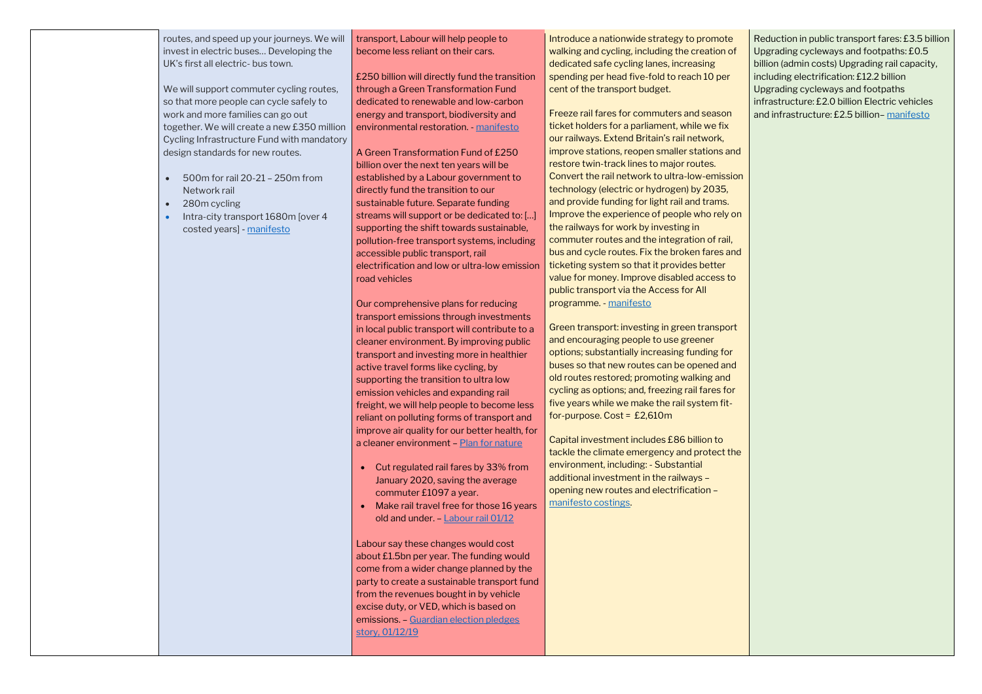routes, and speed up your journeys. We will invest in electric buses… Developing the UK's first all electric- bus town.

We will support commuter cycling routes, so that more people can cycle safely to work and more families can go out together. We will create a new £350 million Cycling Infrastructure Fund with mandatory design standards for new routes.

- 500m for rail 20-21 250m from Network rail
- 280m cycling
- Intra-city transport 1680m [over 4 costed years] - [manifesto](https://assets-global.website-files.com/5da42e2cae7ebd3f8bde353c/5dda924905da587992a064ba_Conservative%202019%20Manifesto.pdf)

transport, Labour will help people to become less reliant on their cars.

£250 billion will directly fund the transition through a Green Transformation Fund dedicated to renewable and low-carbon energy and transport, biodiversity and environmental restoration. - [manifesto](https://labour.org.uk/wp-content/uploads/2019/11/Real-Change-Labour-Manifesto-2019.pdf)

Labour say these changes would cost about £1.5bn per year. The funding would come from a wider change planned by the party to create a sustainable transport fund from the revenues bought in by vehicle excise duty, or VED, which is based on emissions. – [Guardian election pledges](https://www.theguardian.com/politics/2019/dec/01/labour-plan-cut-rail-fares-england-season-tickets)  [story, 01/12/19](https://www.theguardian.com/politics/2019/dec/01/labour-plan-cut-rail-fares-england-season-tickets)

A Green Transformation Fund of £250 billion over the next ten years will be established by a Labour government to directly fund the transition to our sustainable future. Separate funding streams will support or be dedicated to: […] supporting the shift towards sustainable, pollution-free transport systems, including accessible public transport, rail electrification and low or ultra-low emission road vehicles

Our comprehensive plans for reducing transport emissions through investments in local public transport will contribute to a cleaner environment. By improving public transport and investing more in healthier active travel forms like cycling, by supporting the transition to ultra low emission vehicles and expanding rail freight, we will help people to become less reliant on polluting forms of transport and improve air quality for our better health, for a cleaner environment – [Plan for nature](https://labour.org.uk/wp-content/uploads/2019/11/FINAL-FOR-WEB_13172_19-Environment-Manifesto.pdf)

- Cut regulated rail fares by 33% from January 2020, saving the average commuter £1097 a year.
- Make rail travel free for those 16 years old and under. – [Labour rail 01/12](https://labour.org.uk/press/labour-announces-biggest-ever-rail-fares-cut-saving-the-average-commuter-over-1000-a-year/)

Introduce a nationwide strategy to promote walking and cycling, including the creation of dedicated safe cycling lanes, increasing spending per head five-fold to reach 10 per cent of the transport budget.

Freeze rail fares for commuters and season ticket holders for a parliament, while we fix our railways. Extend Britain's rail network, improve stations, reopen smaller stations and restore twin-track lines to major routes. Convert the rail network to ultra-low-emission technology (electric or hydrogen) by 2035, and provide funding for light rail and trams. Improve the experience of people who rely on the railways for work by investing in commuter routes and the integration of rail, bus and cycle routes. Fix the broken fares and ticketing system so that it provides better value for money. Improve disabled access to public transport via the Access for All programme. - [manifesto](https://d3n8a8pro7vhmx.cloudfront.net/libdems/pages/57307/attachments/original/1574251172/Stop_Brexit_and_Build_a_Brighter_Future.pdf?1574251172)

Green transport: investing in green transport and encouraging people to use greener options; substantially increasing funding for buses so that new routes can be opened and old routes restored; promoting walking and cycling as options; and, freezing rail fares for five years while we make the rail system fitfor-purpose. Cost = £2,610m

Capital investment includes £86 billion to tackle the climate emergency and protect the environment, including: - Substantial additional investment in the railways – opening new routes and electrification – [manifesto costings.](https://d3n8a8pro7vhmx.cloudfront.net/libdems/pages/57307/attachments/original/1574260354/Stop_Brexit_and_Build_a_Brighter_Future_COSTINGS.pdf?1574260354)

Reduction in public transport fares: £3.5 billion Upgrading cycleways and footpaths: £0.5 billion (admin costs) Upgrading rail capacity, including electrification: £12.2 billion Upgrading cycleways and footpaths infrastructure: £2.0 billion Electric vehicles and infrastructure: £2.5 billion– [manifesto](https://www.greenparty.org.uk/assets/files/Elections/Green%20Party%20Manifesto%202019.pdf)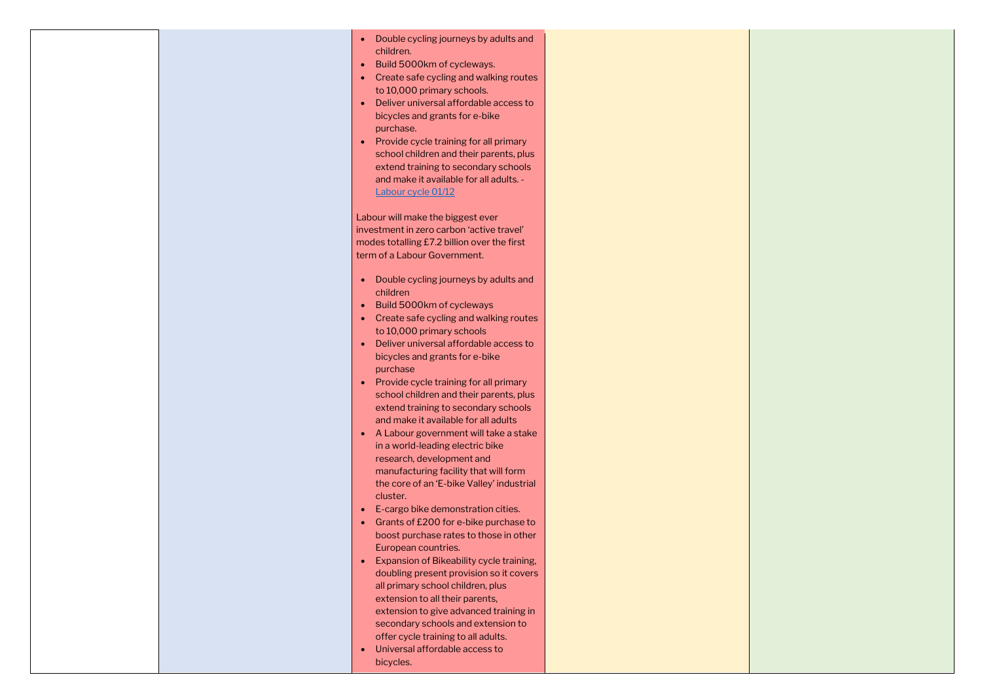|  | Double cycling journeys by adults and<br>$\bullet$<br>children.<br>Build 5000km of cycleways.<br>$\bullet$<br>Create safe cycling and walking routes<br>$\bullet$<br>to 10,000 primary schools.<br>Deliver universal affordable access to<br>bicycles and grants for e-bike<br>purchase.<br>Provide cycle training for all primary<br>$\bullet$<br>school children and their parents, plus<br>extend training to secondary schools<br>and make it available for all adults. -<br>Labour cycle 01/12                                                                                                                                                                                                                                                                                                                                                                                                                                                                                                                                                                                             |  |
|--|-------------------------------------------------------------------------------------------------------------------------------------------------------------------------------------------------------------------------------------------------------------------------------------------------------------------------------------------------------------------------------------------------------------------------------------------------------------------------------------------------------------------------------------------------------------------------------------------------------------------------------------------------------------------------------------------------------------------------------------------------------------------------------------------------------------------------------------------------------------------------------------------------------------------------------------------------------------------------------------------------------------------------------------------------------------------------------------------------|--|
|  | Labour will make the biggest ever<br>investment in zero carbon 'active travel'<br>modes totalling £7.2 billion over the first<br>term of a Labour Government.                                                                                                                                                                                                                                                                                                                                                                                                                                                                                                                                                                                                                                                                                                                                                                                                                                                                                                                                   |  |
|  | Double cycling journeys by adults and<br>$\bullet$<br>children<br>Build 5000km of cycleways<br>$\bullet$<br>Create safe cycling and walking routes<br>$\bullet$<br>to 10,000 primary schools<br>Deliver universal affordable access to<br>$\bullet$<br>bicycles and grants for e-bike<br>purchase<br>Provide cycle training for all primary<br>school children and their parents, plus<br>extend training to secondary schools<br>and make it available for all adults<br>A Labour government will take a stake<br>$\bullet$<br>in a world-leading electric bike<br>research, development and<br>manufacturing facility that will form<br>the core of an 'E-bike Valley' industrial<br>cluster.<br>E-cargo bike demonstration cities.<br>$\bullet$<br>Grants of £200 for e-bike purchase to<br>$\bullet$<br>boost purchase rates to those in other<br>European countries.<br>Expansion of Bikeability cycle training,<br>$\bullet$<br>doubling present provision so it covers<br>all primary school children, plus<br>extension to all their parents,<br>extension to give advanced training in |  |
|  | secondary schools and extension to<br>offer cycle training to all adults.<br>Universal affordable access to<br>$\bullet$<br>bicycles.                                                                                                                                                                                                                                                                                                                                                                                                                                                                                                                                                                                                                                                                                                                                                                                                                                                                                                                                                           |  |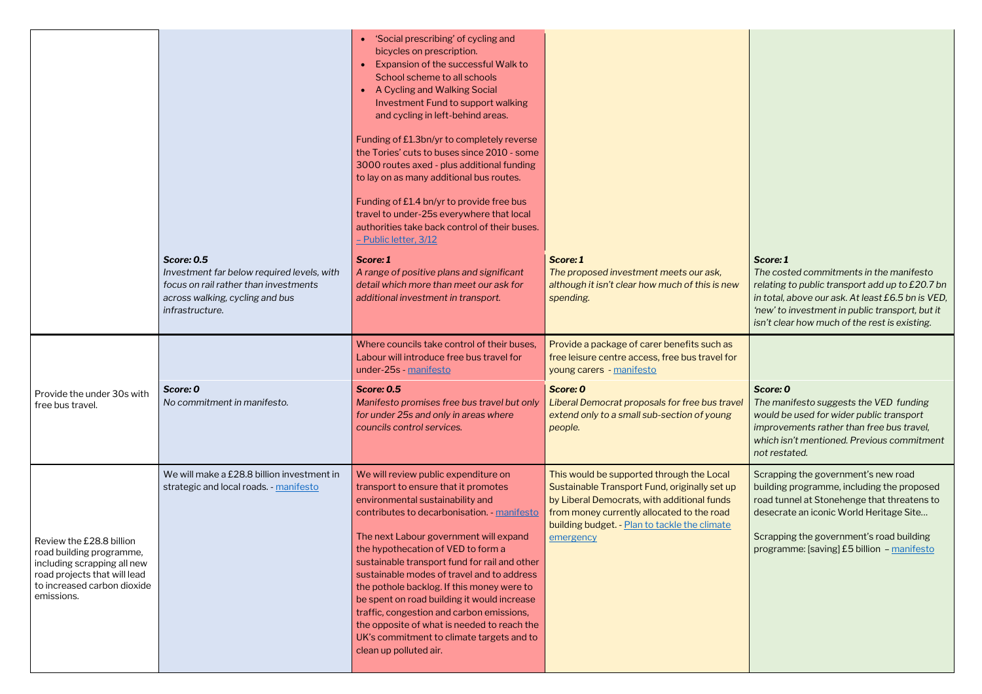|    | Score: 1<br>The costed commitments in the manifesto<br>relating to public transport add up to £20.7 bn<br>in total, above our ask. At least £6.5 bn is VED,<br>'new' to investment in public transport, but it<br>isn't clear how much of the rest is existing.       |
|----|-----------------------------------------------------------------------------------------------------------------------------------------------------------------------------------------------------------------------------------------------------------------------|
|    |                                                                                                                                                                                                                                                                       |
| el | Score: 0<br>The manifesto suggests the VED funding<br>would be used for wider public transport<br>improvements rather than free bus travel,<br>which isn't mentioned. Previous commitment<br>not restated.                                                            |
|    | Scrapping the government's new road<br>building programme, including the proposed<br>road tunnel at Stonehenge that threatens to<br>desecrate an iconic World Heritage Site<br>Scrapping the government's road building<br>programme: [saving] £5 billion - manifesto |

|                                                                                                                                                                  | <b>Score: 0.5</b><br>Investment far below required levels, with<br>focus on rail rather than investments | • 'Social prescribing' of cycling and<br>bicycles on prescription.<br>Expansion of the successful Walk to<br>School scheme to all schools<br>A Cycling and Walking Social<br>Investment Fund to support walking<br>and cycling in left-behind areas.<br>Funding of £1.3bn/yr to completely reverse<br>the Tories' cuts to buses since 2010 - some<br>3000 routes axed - plus additional funding<br>to lay on as many additional bus routes.<br>Funding of £1.4 bn/yr to provide free bus<br>travel to under-25s everywhere that local<br>authorities take back control of their buses.<br>- Public letter, 3/12<br>Score: 1<br>A range of positive plans and significant<br>detail which more than meet our ask for | Score: 1<br>The proposed investment meets our ask,<br>although it isn't clear how much of this is new                                                                                                                                                 |
|------------------------------------------------------------------------------------------------------------------------------------------------------------------|----------------------------------------------------------------------------------------------------------|---------------------------------------------------------------------------------------------------------------------------------------------------------------------------------------------------------------------------------------------------------------------------------------------------------------------------------------------------------------------------------------------------------------------------------------------------------------------------------------------------------------------------------------------------------------------------------------------------------------------------------------------------------------------------------------------------------------------|-------------------------------------------------------------------------------------------------------------------------------------------------------------------------------------------------------------------------------------------------------|
|                                                                                                                                                                  | across walking, cycling and bus<br>infrastructure.                                                       | additional investment in transport.                                                                                                                                                                                                                                                                                                                                                                                                                                                                                                                                                                                                                                                                                 | spending.                                                                                                                                                                                                                                             |
|                                                                                                                                                                  |                                                                                                          | Where councils take control of their buses.<br>Labour will introduce free bus travel for<br>under-25s - manifesto                                                                                                                                                                                                                                                                                                                                                                                                                                                                                                                                                                                                   | Provide a package of carer benefits such as<br>free leisure centre access, free bus travel for<br>young carers - manifesto                                                                                                                            |
| Provide the under 30s with<br>free bus travel.                                                                                                                   | Score: 0<br>No commitment in manifesto.                                                                  | <b>Score: 0.5</b><br>Manifesto promises free bus travel but only<br>for under 25s and only in areas where<br>councils control services.                                                                                                                                                                                                                                                                                                                                                                                                                                                                                                                                                                             | Score: 0<br>Liberal Democrat proposals for free bus travel<br>extend only to a small sub-section of young<br>people.                                                                                                                                  |
| Review the £28.8 billion<br>road building programme,<br>including scrapping all new<br>road projects that will lead<br>to increased carbon dioxide<br>emissions. | We will make a £28.8 billion investment in<br>strategic and local roads. - manifesto                     | We will review public expenditure on<br>transport to ensure that it promotes<br>environmental sustainability and<br>contributes to decarbonisation - manifesto<br>The next Labour government will expand<br>the hypothecation of VED to form a<br>sustainable transport fund for rail and other<br>sustainable modes of travel and to address<br>the pothole backlog. If this money were to<br>be spent on road building it would increase<br>traffic, congestion and carbon emissions,<br>the opposite of what is needed to reach the<br>UK's commitment to climate targets and to<br>clean up polluted air.                                                                                                       | This would be supported through the Local<br>Sustainable Transport Fund, originally set up<br>by Liberal Democrats, with additional funds<br>from money currently allocated to the road<br>building budget. - Plan to tackle the climate<br>emergency |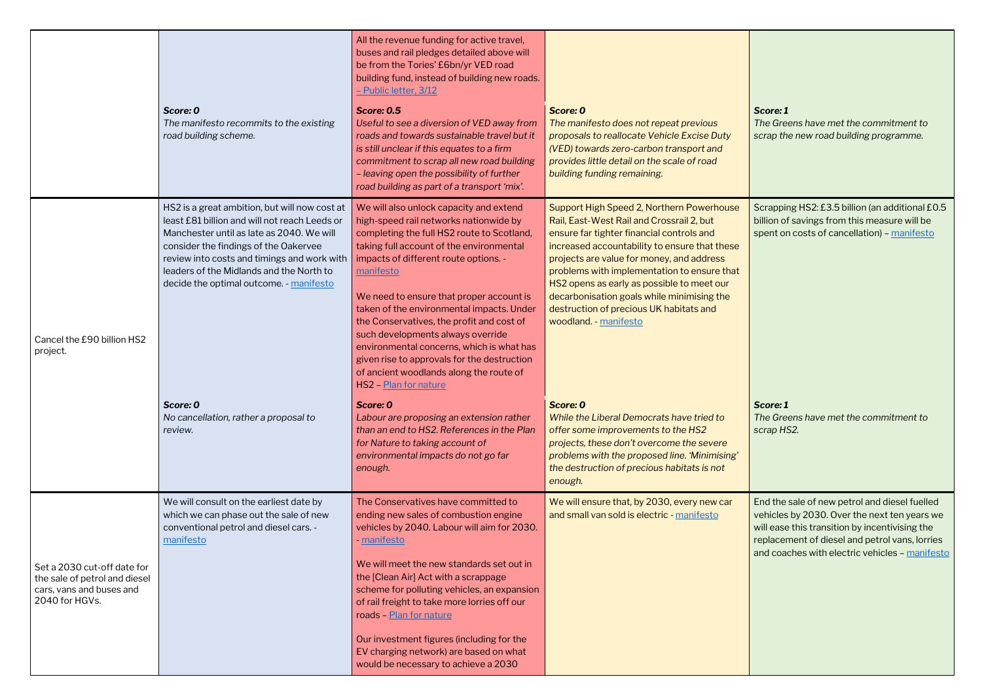*Score: 1 The Greens have met the commitment to scrap the new road building programme.* 

Scrapping HS2: £3.5 billion (an additional £0.5 billion of savings from this measure will be spent on costs of cancellation) – [manifesto](https://www.greenparty.org.uk/assets/files/Elections/Green%20Party%20Manifesto%202019.pdf)

|                                                                                                            |                                                                                                                                                                                                                                                                                                                            | All the revenue funding for active travel,<br>buses and rail pledges detailed above will<br>be from the Tories' £6bn/yr VED road<br>building fund, instead of building new roads.<br>- Public letter, 3/12                                                                                                                                                                                                                                                                                                                                                                   |                                                                                                                                                                                                                                                                                                                                                                                                                                                  |
|------------------------------------------------------------------------------------------------------------|----------------------------------------------------------------------------------------------------------------------------------------------------------------------------------------------------------------------------------------------------------------------------------------------------------------------------|------------------------------------------------------------------------------------------------------------------------------------------------------------------------------------------------------------------------------------------------------------------------------------------------------------------------------------------------------------------------------------------------------------------------------------------------------------------------------------------------------------------------------------------------------------------------------|--------------------------------------------------------------------------------------------------------------------------------------------------------------------------------------------------------------------------------------------------------------------------------------------------------------------------------------------------------------------------------------------------------------------------------------------------|
|                                                                                                            | Score: 0<br>The manifesto recommits to the existing<br>road building scheme.                                                                                                                                                                                                                                               | <b>Score: 0.5</b><br>Useful to see a diversion of VED away from<br>roads and towards sustainable travel but it<br>is still unclear if this equates to a firm<br>commitment to scrap all new road building<br>- leaving open the possibility of further<br>road building as part of a transport 'mix'.                                                                                                                                                                                                                                                                        | Score: 0<br>The manifesto does not repeat previous<br>proposals to reallocate Vehicle Excise Duty<br>(VED) towards zero-carbon transport and<br>provides little detail on the scale of road<br>building funding remaining.                                                                                                                                                                                                                       |
| Cancel the £90 billion HS2<br>project.                                                                     | HS2 is a great ambition, but will now cost at<br>least £81 billion and will not reach Leeds or<br>Manchester until as late as 2040. We will<br>consider the findings of the Oakervee<br>review into costs and timings and work with<br>leaders of the Midlands and the North to<br>decide the optimal outcome. - manifesto | We will also unlock capacity and extend<br>high-speed rail networks nationwide by<br>completing the full HS2 route to Scotland,<br>taking full account of the environmental<br>impacts of different route options. -<br>manifesto<br>We need to ensure that proper account is<br>taken of the environmental impacts. Under<br>the Conservatives, the profit and cost of<br>such developments always override<br>environmental concerns, which is what has<br>given rise to approvals for the destruction<br>of ancient woodlands along the route of<br>HS2 - Plan for nature | Support High Speed 2, Northern Powerhouse<br>Rail, East-West Rail and Crossrail 2, but<br>ensure far tighter financial controls and<br>increased accountability to ensure that these<br>projects are value for money, and address<br>problems with implementation to ensure that<br>HS2 opens as early as possible to meet our<br>decarbonisation goals while minimising the<br>destruction of precious UK habitats and<br>woodland. - manifesto |
|                                                                                                            | Score: 0<br>No cancellation, rather a proposal to<br>review.                                                                                                                                                                                                                                                               | Score: 0<br>Labour are proposing an extension rather<br>than an end to HS2. References in the Plan<br>for Nature to taking account of<br>environmental impacts do not go far<br>enough.                                                                                                                                                                                                                                                                                                                                                                                      | Score: 0<br>While the Liberal Democrats have tried to<br>offer some improvements to the HS2<br>projects, these don't overcome the severe<br>problems with the proposed line. 'Minimising'<br>the destruction of precious habitats is not<br>enough.                                                                                                                                                                                              |
|                                                                                                            | We will consult on the earliest date by<br>which we can phase out the sale of new<br>conventional petrol and diesel cars. -<br>manifesto                                                                                                                                                                                   | The Conservatives have committed to<br>ending new sales of combustion engine<br>vehicles by 2040. Labour will aim for 2030.<br>- manifesto                                                                                                                                                                                                                                                                                                                                                                                                                                   | We will ensure that, by 2030, every new car<br>and small van sold is electric - manifesto                                                                                                                                                                                                                                                                                                                                                        |
| Set a 2030 cut-off date for<br>the sale of petrol and diesel<br>cars, vans and buses and<br>2040 for HGVs. |                                                                                                                                                                                                                                                                                                                            | We will meet the new standards set out in<br>the [Clean Air] Act with a scrappage<br>scheme for polluting vehicles, an expansion<br>of rail freight to take more lorries off our<br>roads - Plan for nature                                                                                                                                                                                                                                                                                                                                                                  |                                                                                                                                                                                                                                                                                                                                                                                                                                                  |
|                                                                                                            |                                                                                                                                                                                                                                                                                                                            | Our investment figures (including for the<br>EV charging network) are based on what<br>would be necessary to achieve a 2030                                                                                                                                                                                                                                                                                                                                                                                                                                                  |                                                                                                                                                                                                                                                                                                                                                                                                                                                  |

End the sale of new petrol and diesel fuelled vehicles by 2030. Over the next ten years we will ease this transition by incentivising the replacement of diesel and petrol vans, lorries and coaches with electric vehicles - [manifesto](https://www.greenparty.org.uk/assets/files/Elections/Green%20Party%20Manifesto%202019.pdf)

*Score: 1 The Greens have met the commitment to scrap HS2.*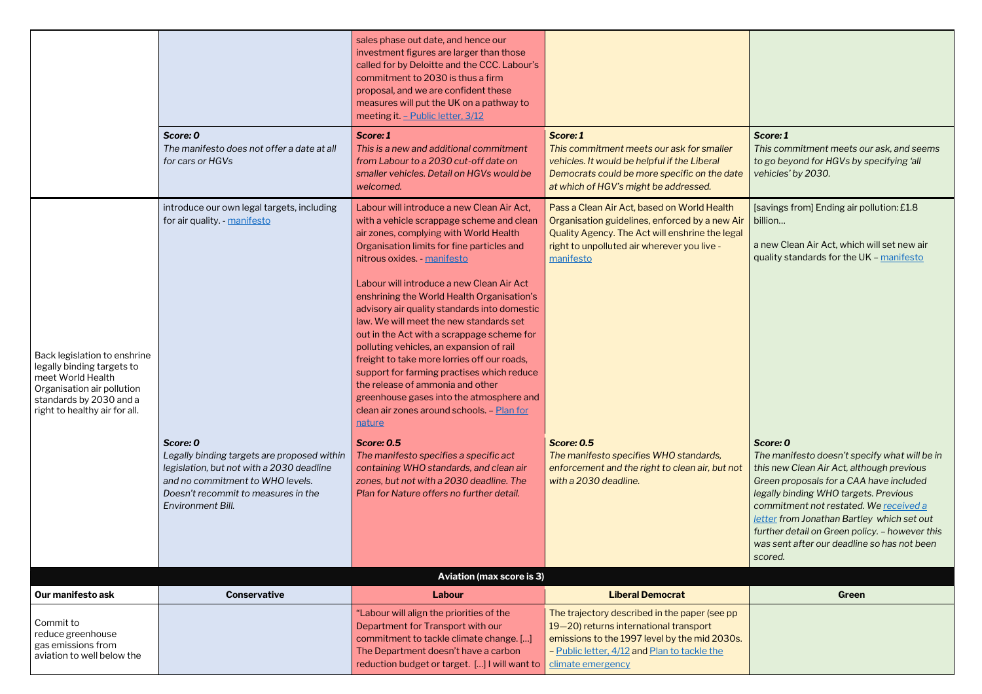*This commitment meets our ask, and seems to go beyond for HGVs by specifying 'all vehicles' by 2030.*

|                                                                                                                                                                           |                                                                                                                                                                                                      | sales phase out date, and hence our<br>investment figures are larger than those<br>called for by Deloitte and the CCC. Labour's<br>commitment to 2030 is thus a firm<br>proposal, and we are confident these<br>measures will put the UK on a pathway to<br>meeting it - Public letter, 3/12                                                                                                                                                                                                                                                                                                                                                                                                                                              |                                                                                                                                                                                                                |                                                                                                                                                                                                                                                                     |
|---------------------------------------------------------------------------------------------------------------------------------------------------------------------------|------------------------------------------------------------------------------------------------------------------------------------------------------------------------------------------------------|-------------------------------------------------------------------------------------------------------------------------------------------------------------------------------------------------------------------------------------------------------------------------------------------------------------------------------------------------------------------------------------------------------------------------------------------------------------------------------------------------------------------------------------------------------------------------------------------------------------------------------------------------------------------------------------------------------------------------------------------|----------------------------------------------------------------------------------------------------------------------------------------------------------------------------------------------------------------|---------------------------------------------------------------------------------------------------------------------------------------------------------------------------------------------------------------------------------------------------------------------|
|                                                                                                                                                                           | Score: 0<br>The manifesto does not offer a date at all<br>for cars or HGVs                                                                                                                           | Score: 1<br>This is a new and additional commitment<br>from Labour to a 2030 cut-off date on<br>smaller vehicles. Detail on HGVs would be<br>welcomed.                                                                                                                                                                                                                                                                                                                                                                                                                                                                                                                                                                                    | Score: 1<br>This commitment meets our ask for smaller<br>vehicles. It would be helpful if the Liberal<br>Democrats could be more specific on the date<br>at which of HGV's might be addressed.                 | Score: 1<br>This commitment meets o<br>to go beyond for HGVs by<br>vehicles' by 2030.                                                                                                                                                                               |
| Back legislation to enshrine<br>legally binding targets to<br>meet World Health<br>Organisation air pollution<br>standards by 2030 and a<br>right to healthy air for all. | introduce our own legal targets, including<br>for air quality. - manifesto                                                                                                                           | Labour will introduce a new Clean Air Act,<br>with a vehicle scrappage scheme and clean<br>air zones, complying with World Health<br>Organisation limits for fine particles and<br>nitrous oxides. - manifesto<br>Labour will introduce a new Clean Air Act<br>enshrining the World Health Organisation's<br>advisory air quality standards into domestic<br>law. We will meet the new standards set<br>out in the Act with a scrappage scheme for<br>polluting vehicles, an expansion of rail<br>freight to take more lorries off our roads,<br>support for farming practises which reduce<br>the release of ammonia and other<br>greenhouse gases into the atmosphere and<br>clean air zones around schools - Plan for<br><u>nature</u> | Pass a Clean Air Act, based on World Health<br>Organisation guidelines, enforced by a new Air<br>Quality Agency. The Act will enshrine the legal<br>right to unpolluted air wherever you live -<br>manifesto   | [savings from] Ending air p<br>billion<br>a new Clean Air Act, which<br>quality standards for the U                                                                                                                                                                 |
|                                                                                                                                                                           | Score: 0<br>Legally binding targets are proposed within<br>legislation, but not with a 2030 deadline<br>and no commitment to WHO levels.<br>Doesn't recommit to measures in the<br>Environment Bill. | <b>Score: 0.5</b><br>The manifesto specifies a specific act<br>containing WHO standards, and clean air<br>zones, but not with a 2030 deadline. The<br>Plan for Nature offers no further detail.<br><b>Aviation (max score is 3)</b>                                                                                                                                                                                                                                                                                                                                                                                                                                                                                                       | <b>Score: 0.5</b><br>The manifesto specifies WHO standards,<br>enforcement and the right to clean air, but not<br>with a 2030 deadline.                                                                        | Score: 0<br>The manifesto doesn't spe<br>this new Clean Air Act, alth<br>Green proposals for a CAA<br>legally binding WHO targe<br>commitment not restated.<br>letter from Jonathan Bartle<br>further detail on Green pol<br>was sent after our deadline<br>scored. |
| Our manifesto ask                                                                                                                                                         | <b>Conservative</b>                                                                                                                                                                                  | Labour                                                                                                                                                                                                                                                                                                                                                                                                                                                                                                                                                                                                                                                                                                                                    | <b>Liberal Democrat</b>                                                                                                                                                                                        | Green                                                                                                                                                                                                                                                               |
| Commit to<br>reduce greenhouse<br>gas emissions from<br>aviation to well below the                                                                                        |                                                                                                                                                                                                      | "Labour will align the priorities of the<br>Department for Transport with our<br>commitment to tackle climate change. []<br>The Department doesn't have a carbon<br>reduction budget or target. [] I will want to                                                                                                                                                                                                                                                                                                                                                                                                                                                                                                                         | The trajectory described in the paper (see pp)<br>19-20) returns international transport<br>emissions to the 1997 level by the mid 2030s.<br>- Public letter, 4/12 and Plan to tackle the<br>climate emergency |                                                                                                                                                                                                                                                                     |

[savings from] Ending air pollution: £1.8 billion…

a new Clean Air Act, which will set new air quality standards for the UK – [manifesto](https://www.greenparty.org.uk/assets/files/Elections/Green%20Party%20Manifesto%202019.pdf)

#### *Score: 0*

*The manifesto doesn't specify what will be in this new Clean Air Act, although previous Green proposals for a CAA have included legally binding WHO targets. Previous commitment not restated. We [received](https://cdn.friendsoftheearth.uk/sites/default/files/downloads/FoE%20letter%20JB%2004.12.19.pdf) a [letter](https://cdn.friendsoftheearth.uk/sites/default/files/downloads/FoE%20letter%20JB%2004.12.19.pdf) from Jonathan Bartley which set out further detail on Green policy. – however this was sent after our deadline so has not been scored.*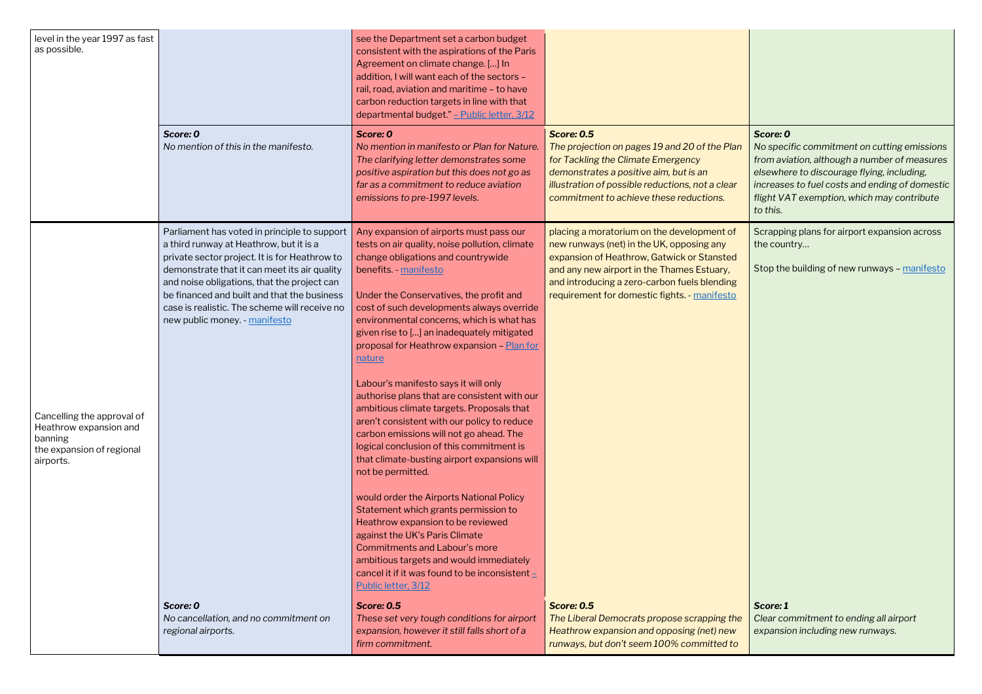*No specific commitment on cutting emissions from aviation, although a number of measures elsewhere to discourage flying, including, increases to fuel costs and ending of domestic flight VAT exemption, which may contribute to this.*

Scrapping plans for airport expansion across the country...

Stop the building of new runways  $-$  [manifesto](https://www.greenparty.org.uk/assets/files/Elections/Green%20Party%20Manifesto%202019.pdf)

| level in the year 1997 as fast<br>as possible.                                                            | Score: 0<br>No mention of this in the manifesto.                                                                                                                                                                                                                                                                                                                         | see the Department set a carbon budget<br>consistent with the aspirations of the Paris<br>Agreement on climate change. [] In<br>addition, I will want each of the sectors -<br>rail, road, aviation and maritime - to have<br>carbon reduction targets in line with that<br>departmental budget." - Public letter, 3/12<br>Score: 0<br>No mention in manifesto or Plan for Nature.<br>The clarifying letter demonstrates some<br>positive aspiration but this does not go as<br>far as a commitment to reduce aviation<br>emissions to pre-1997 levels.                                                                                                                                                                                                                                                                                                                                                                                                                                                                                                                       | <b>Score: 0.5</b><br>The projection on pages 19 and 20 of the Plan<br>for Tackling the Climate Emergency<br>demonstrates a positive aim, but is an<br>illustration of possible reductions, not a clear<br>commitment to achieve these reductions.                                   |
|-----------------------------------------------------------------------------------------------------------|--------------------------------------------------------------------------------------------------------------------------------------------------------------------------------------------------------------------------------------------------------------------------------------------------------------------------------------------------------------------------|-------------------------------------------------------------------------------------------------------------------------------------------------------------------------------------------------------------------------------------------------------------------------------------------------------------------------------------------------------------------------------------------------------------------------------------------------------------------------------------------------------------------------------------------------------------------------------------------------------------------------------------------------------------------------------------------------------------------------------------------------------------------------------------------------------------------------------------------------------------------------------------------------------------------------------------------------------------------------------------------------------------------------------------------------------------------------------|-------------------------------------------------------------------------------------------------------------------------------------------------------------------------------------------------------------------------------------------------------------------------------------|
| Cancelling the approval of<br>Heathrow expansion and<br>banning<br>the expansion of regional<br>airports. | Parliament has voted in principle to support<br>a third runway at Heathrow, but it is a<br>private sector project. It is for Heathrow to<br>demonstrate that it can meet its air quality<br>and noise obligations, that the project can<br>be financed and built and that the business<br>case is realistic. The scheme will receive no<br>new public money. - manifesto | Any expansion of airports must pass our<br>tests on air quality, noise pollution, climate<br>change obligations and countrywide<br>benefits - manifesto<br>Under the Conservatives, the profit and<br>cost of such developments always override<br>environmental concerns, which is what has<br>given rise to [] an inadequately mitigated<br>proposal for Heathrow expansion - Plan for<br>nature<br>Labour's manifesto says it will only<br>authorise plans that are consistent with our<br>ambitious climate targets. Proposals that<br>aren't consistent with our policy to reduce<br>carbon emissions will not go ahead. The<br>logical conclusion of this commitment is<br>that climate-busting airport expansions will<br>not be permitted.<br>would order the Airports National Policy<br>Statement which grants permission to<br>Heathrow expansion to be reviewed<br>against the UK's Paris Climate<br><b>Commitments and Labour's more</b><br>ambitious targets and would immediately<br>cancel it if it was found to be inconsistent $\pm$<br>Public letter, 3/12 | placing a moratorium on the development of<br>new runways (net) in the UK, opposing any<br>expansion of Heathrow, Gatwick or Stansted<br>and any new airport in the Thames Estuary,<br>and introducing a zero-carbon fuels blending<br>requirement for domestic fights. - manifesto |
|                                                                                                           | Score: 0<br>No cancellation, and no commitment on<br>regional airports.                                                                                                                                                                                                                                                                                                  | <b>Score: 0.5</b><br>These set very tough conditions for airport<br>expansion, however it still falls short of a<br>firm commitment.                                                                                                                                                                                                                                                                                                                                                                                                                                                                                                                                                                                                                                                                                                                                                                                                                                                                                                                                          | <b>Score: 0.5</b><br>The Liberal Democrats propose scrapping the<br>Heathrow expansion and opposing (net) new<br>runways, but don't seem 100% committed to                                                                                                                          |

*Score: 1 Clear commitment to ending all airport expansion including new runways.*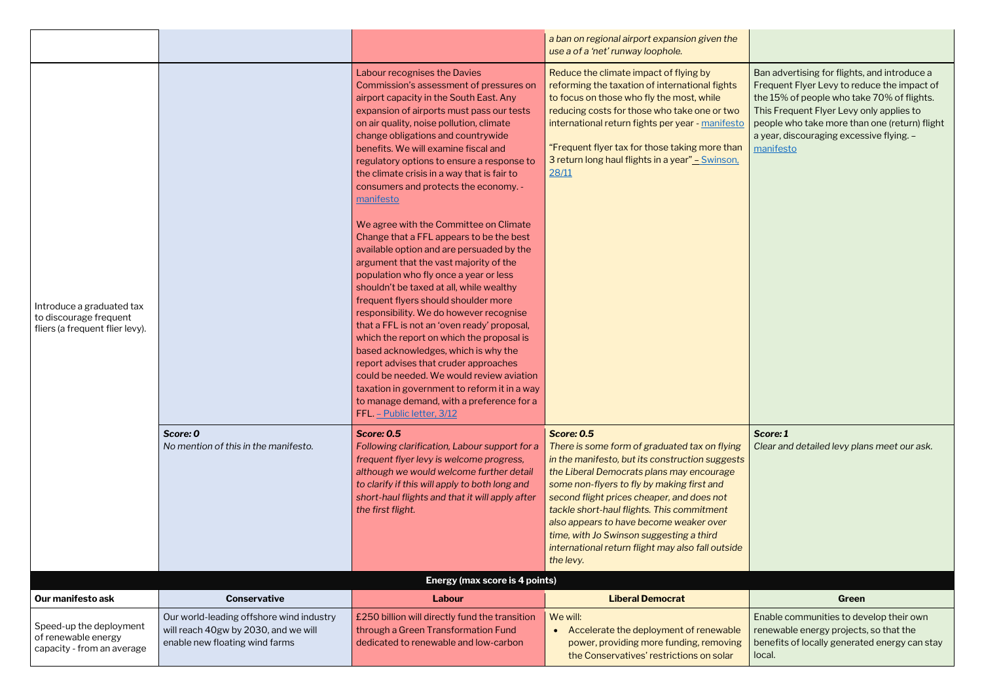|                                                                                        |                                                                        |                                                                                                                                                                                                                                                                                                                                                                                                                                                                                                                                                                                                                                                                                                                                                                                                                                                                                                                                                                                                                                                                                                                                                         | a ban on regional airport expansion given the<br>use a of a 'net' runway loophole.                                                                                                                                                                                                                                                                                                                                                                                    |                                                                                                                                                                                              |
|----------------------------------------------------------------------------------------|------------------------------------------------------------------------|---------------------------------------------------------------------------------------------------------------------------------------------------------------------------------------------------------------------------------------------------------------------------------------------------------------------------------------------------------------------------------------------------------------------------------------------------------------------------------------------------------------------------------------------------------------------------------------------------------------------------------------------------------------------------------------------------------------------------------------------------------------------------------------------------------------------------------------------------------------------------------------------------------------------------------------------------------------------------------------------------------------------------------------------------------------------------------------------------------------------------------------------------------|-----------------------------------------------------------------------------------------------------------------------------------------------------------------------------------------------------------------------------------------------------------------------------------------------------------------------------------------------------------------------------------------------------------------------------------------------------------------------|----------------------------------------------------------------------------------------------------------------------------------------------------------------------------------------------|
| Introduce a graduated tax<br>to discourage frequent<br>fliers (a frequent flier levy). |                                                                        | Labour recognises the Davies<br>Commission's assessment of pressures on<br>airport capacity in the South East. Any<br>expansion of airports must pass our tests<br>on air quality, noise pollution, climate<br>change obligations and countrywide<br>benefits. We will examine fiscal and<br>regulatory options to ensure a response to<br>the climate crisis in a way that is fair to<br>consumers and protects the economy. -<br>manifesto<br>We agree with the Committee on Climate<br>Change that a FFL appears to be the best<br>available option and are persuaded by the<br>argument that the vast majority of the<br>population who fly once a year or less<br>shouldn't be taxed at all, while wealthy<br>frequent flyers should shoulder more<br>responsibility. We do however recognise<br>that a FFL is not an 'oven ready' proposal,<br>which the report on which the proposal is<br>based acknowledges, which is why the<br>report advises that cruder approaches<br>could be needed. We would review aviation<br>taxation in government to reform it in a way<br>to manage demand, with a preference for a<br>FFL. - Public letter, 3/12 | Reduce the climate impact of flying by<br>reforming the taxation of international fights<br>to focus on those who fly the most, while<br>reducing costs for those who take one or two<br>international return fights per year - manifesto<br>"Frequent flyer tax for those taking more than<br>3 return long haul flights in a year" - Swinson,<br>28/11                                                                                                              | Ban advertising for flights,<br>Frequent Flyer Levy to red<br>the 15% of people who tak<br>This Frequent Flyer Levy o<br>people who take more tha<br>a year, discouraging exces<br>manifesto |
|                                                                                        | Score: 0<br>No mention of this in the manifesto.                       | <b>Score: 0.5</b><br>Following clarification, Labour support for a<br>frequent flyer levy is welcome progress,<br>although we would welcome further detail<br>to clarify if this will apply to both long and<br>short-haul flights and that it will apply after<br>the first flight.                                                                                                                                                                                                                                                                                                                                                                                                                                                                                                                                                                                                                                                                                                                                                                                                                                                                    | <b>Score: 0.5</b><br>There is some form of graduated tax on flying<br>in the manifesto, but its construction suggests<br>the Liberal Democrats plans may encourage<br>some non-flyers to fly by making first and<br>second flight prices cheaper, and does not<br>tackle short-haul flights. This commitment<br>also appears to have become weaker over<br>time, with Jo Swinson suggesting a third<br>international return flight may also fall outside<br>the levy. | Score: 1<br>Clear and detailed levy pla                                                                                                                                                      |
| Our manifesto ask                                                                      | <b>Conservative</b>                                                    | <b>Energy (max score is 4 points)</b><br>Labour                                                                                                                                                                                                                                                                                                                                                                                                                                                                                                                                                                                                                                                                                                                                                                                                                                                                                                                                                                                                                                                                                                         | <b>Liberal Democrat</b>                                                                                                                                                                                                                                                                                                                                                                                                                                               |                                                                                                                                                                                              |
|                                                                                        | Our world-leading offshore wind industry                               | £250 billion will directly fund the transition                                                                                                                                                                                                                                                                                                                                                                                                                                                                                                                                                                                                                                                                                                                                                                                                                                                                                                                                                                                                                                                                                                          | We will:                                                                                                                                                                                                                                                                                                                                                                                                                                                              | Green<br>Enable communities to de                                                                                                                                                            |
| Speed-up the deployment<br>of renewable energy<br>capacity - from an average           | will reach 40gw by 2030, and we will<br>enable new floating wind farms | through a Green Transformation Fund<br>dedicated to renewable and low-carbon                                                                                                                                                                                                                                                                                                                                                                                                                                                                                                                                                                                                                                                                                                                                                                                                                                                                                                                                                                                                                                                                            | Accelerate the deployment of renewable<br>$\bullet$<br>power, providing more funding, removing<br>the Conservatives' restrictions on solar                                                                                                                                                                                                                                                                                                                            | renewable energy projects<br>benefits of locally generat<br>local.                                                                                                                           |

| $\overline{0}$ | Ban advertising for flights, and introduce a<br>Frequent Flyer Levy to reduce the impact of<br>the 15% of people who take 70% of flights.<br>This Frequent Flyer Levy only applies to<br>people who take more than one (return) flight<br>a year, discouraging excessive flying. -<br>manifesto |
|----------------|-------------------------------------------------------------------------------------------------------------------------------------------------------------------------------------------------------------------------------------------------------------------------------------------------|
|                | Score: 1<br>Clear and detailed levy plans meet our ask.                                                                                                                                                                                                                                         |

Enable communities to develop their own renewable energy projects, so that the benefits of locally generated energy can stay local.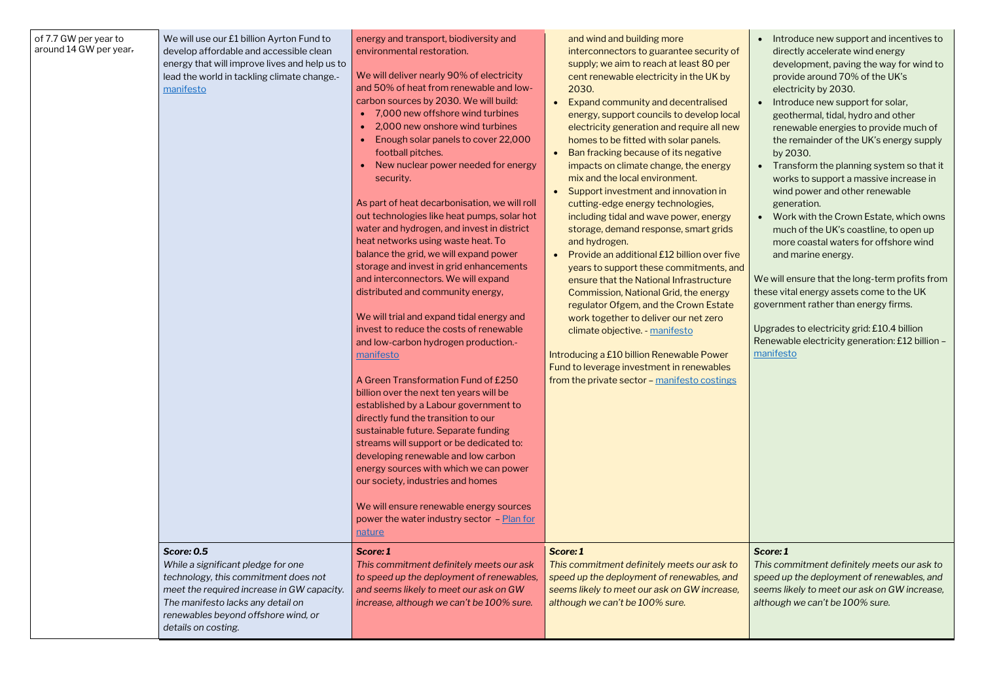| of 7.7 GW per year to<br>around 14 GW per year. | We will use our £1 billion Ayrton Fund to<br>develop affordable and accessible clean<br>energy that will improve lives and help us to<br>lead the world in tackling climate change.-<br>manifesto                                                | energy and transport, biodiversity and<br>environmental restoration.<br>We will deliver nearly 90% of electricity<br>and 50% of heat from renewable and low-<br>carbon sources by 2030. We will build:<br>7,000 new offshore wind turbines<br>2,000 new onshore wind turbines<br>Enough solar panels to cover 22,000<br>football pitches.<br>New nuclear power needed for energy<br>security.<br>As part of heat decarbonisation, we will roll<br>out technologies like heat pumps, solar hot<br>water and hydrogen, and invest in district<br>heat networks using waste heat. To<br>balance the grid, we will expand power<br>storage and invest in grid enhancements<br>and interconnectors. We will expand<br>distributed and community energy,<br>We will trial and expand tidal energy and<br>invest to reduce the costs of renewable<br>and low-carbon hydrogen production.-<br>manifesto<br>A Green Transformation Fund of £250<br>billion over the next ten years will be<br>established by a Labour government to<br>directly fund the transition to our<br>sustainable future. Separate funding<br>streams will support or be dedicated to:<br>developing renewable and low carbon<br>energy sources with which we can power<br>our society, industries and homes<br>We will ensure renewable energy sources<br>power the water industry sector - Plan for<br><u>nature</u> | and wind and building more<br>interconnectors to guarantee security of<br>supply; we aim to reach at least 80 per<br>cent renewable electricity in the UK by<br>2030.<br>Expand community and decentralised<br>energy, support councils to develop local<br>electricity generation and require all new<br>homes to be fitted with solar panels.<br>Ban fracking because of its negative<br>impacts on climate change, the energy<br>mix and the local environment.<br>Support investment and innovation in<br>cutting-edge energy technologies,<br>including tidal and wave power, energy<br>storage, demand response, smart grids<br>and hydrogen.<br>Provide an additional £12 billion over five<br>years to support these commitments, and<br>ensure that the National Infrastructure<br>Commission, National Grid, the energy<br>regulator Ofgem, and the Crown Estate<br>work together to deliver our net zero<br>climate objective. - manifesto<br>Introducing a £10 billion Renewable Power<br>Fund to leverage investment in renewables<br>from the private sector - manifesto costings |
|-------------------------------------------------|--------------------------------------------------------------------------------------------------------------------------------------------------------------------------------------------------------------------------------------------------|---------------------------------------------------------------------------------------------------------------------------------------------------------------------------------------------------------------------------------------------------------------------------------------------------------------------------------------------------------------------------------------------------------------------------------------------------------------------------------------------------------------------------------------------------------------------------------------------------------------------------------------------------------------------------------------------------------------------------------------------------------------------------------------------------------------------------------------------------------------------------------------------------------------------------------------------------------------------------------------------------------------------------------------------------------------------------------------------------------------------------------------------------------------------------------------------------------------------------------------------------------------------------------------------------------------------------------------------------------------------------------------|-------------------------------------------------------------------------------------------------------------------------------------------------------------------------------------------------------------------------------------------------------------------------------------------------------------------------------------------------------------------------------------------------------------------------------------------------------------------------------------------------------------------------------------------------------------------------------------------------------------------------------------------------------------------------------------------------------------------------------------------------------------------------------------------------------------------------------------------------------------------------------------------------------------------------------------------------------------------------------------------------------------------------------------------------------------------------------------------------|
|                                                 | <b>Score: 0.5</b><br>While a significant pledge for one<br>technology, this commitment does not<br>meet the required increase in GW capacity.<br>The manifesto lacks any detail on<br>renewables beyond offshore wind, or<br>details on costing. | Score: 1<br>This commitment definitely meets our ask<br>to speed up the deployment of renewables,<br>and seems likely to meet our ask on GW<br>increase, although we can't be 100% sure.                                                                                                                                                                                                                                                                                                                                                                                                                                                                                                                                                                                                                                                                                                                                                                                                                                                                                                                                                                                                                                                                                                                                                                                              | Score: 1<br>This commitment definitely meets our ask to<br>speed up the deployment of renewables, and<br>seems likely to meet our ask on GW increase,<br>although we can't be 100% sure.                                                                                                                                                                                                                                                                                                                                                                                                                                                                                                                                                                                                                                                                                                                                                                                                                                                                                                        |

- Introduce new support and incentives to directly accelerate wind energy development, paving the way for wind to provide around 70% of the UK's electricity by 2030.
- Introduce new support for solar, geothermal, tidal, hydro and other renewable energies to provide much of the remainder of the UK's energy supply by 2030.
- Transform the planning system so that it works to support a massive increase in wind power and other renewable generation.
- Work with the Crown Estate, which owns much of the UK's coastline, to open up more coastal waters for offshore wind and marine energy.

We will ensure that the long-term profits from these vital energy assets come to the UK government rather than energy firms.

Upgrades to electricity grid: £10.4 billion Renewable electricity generation: £12 billion – [manifesto](https://www.greenparty.org.uk/assets/files/Elections/Green%20Party%20Manifesto%202019.pdf)

#### *Score: 1*

*This commitment definitely meets our ask to speed up the deployment of renewables, and seems likely to meet our ask on GW increase, although we can't be 100% sure.*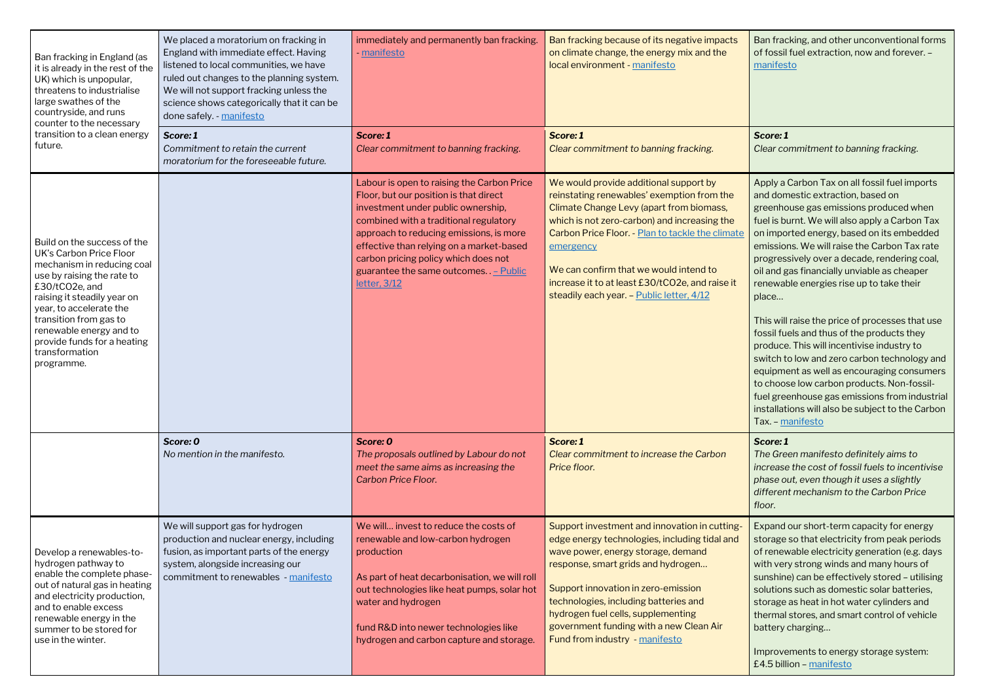| Ban fracking in England (as<br>it is already in the rest of the<br>UK) which is unpopular,<br>threatens to industrialise<br>large swathes of the<br>countryside, and runs<br>counter to the necessary                                                                                                                     | We placed a moratorium on fracking in<br>England with immediate effect. Having<br>listened to local communities, we have<br>ruled out changes to the planning system.<br>We will not support fracking unless the<br>science shows categorically that it can be<br>done safely. - manifesto | immediately and permanently ban fracking.<br>- manifesto                                                                                                                                                                                                                                                                                                                    | Ban fracking because of its negative impacts<br>on climate change, the energy mix and the<br>local environment - manifesto                                                                                                                                                                                                                                                                  | Ban fracking, and other unconventional forms<br>of fossil fuel extraction, now and forever. -<br>manifesto                                                                                                                                                                                                                                                                                                                                                                                                                                                                                                                                                                                                                                                                                                                                          |
|---------------------------------------------------------------------------------------------------------------------------------------------------------------------------------------------------------------------------------------------------------------------------------------------------------------------------|--------------------------------------------------------------------------------------------------------------------------------------------------------------------------------------------------------------------------------------------------------------------------------------------|-----------------------------------------------------------------------------------------------------------------------------------------------------------------------------------------------------------------------------------------------------------------------------------------------------------------------------------------------------------------------------|---------------------------------------------------------------------------------------------------------------------------------------------------------------------------------------------------------------------------------------------------------------------------------------------------------------------------------------------------------------------------------------------|-----------------------------------------------------------------------------------------------------------------------------------------------------------------------------------------------------------------------------------------------------------------------------------------------------------------------------------------------------------------------------------------------------------------------------------------------------------------------------------------------------------------------------------------------------------------------------------------------------------------------------------------------------------------------------------------------------------------------------------------------------------------------------------------------------------------------------------------------------|
| transition to a clean energy<br>future.                                                                                                                                                                                                                                                                                   | Score: 1<br>Commitment to retain the current<br>moratorium for the foreseeable future.                                                                                                                                                                                                     | Score: 1<br>Clear commitment to banning fracking.                                                                                                                                                                                                                                                                                                                           | Score: 1<br>Clear commitment to banning fracking.                                                                                                                                                                                                                                                                                                                                           | Score: 1<br>Clear commitment to banning fracking.                                                                                                                                                                                                                                                                                                                                                                                                                                                                                                                                                                                                                                                                                                                                                                                                   |
| Build on the success of the<br><b>UK's Carbon Price Floor</b><br>mechanism in reducing coal<br>use by raising the rate to<br>£30/tCO2e, and<br>raising it steadily year on<br>year, to accelerate the<br>transition from gas to<br>renewable energy and to<br>provide funds for a heating<br>transformation<br>programme. |                                                                                                                                                                                                                                                                                            | Labour is open to raising the Carbon Price<br>Floor, but our position is that direct<br>investment under public ownership,<br>combined with a traditional regulatory<br>approach to reducing emissions, is more<br>effective than relying on a market-based<br>carbon pricing policy which does not<br>guarantee the same outcomes. $P_{\text{t}}$ – Public<br>letter, 3/12 | We would provide additional support by<br>reinstating renewables' exemption from the<br>Climate Change Levy (apart from biomass,<br>which is not zero-carbon) and increasing the<br>Carbon Price Floor. - Plan to tackle the climate<br>emergency<br>We can confirm that we would intend to<br>increase it to at least £30/tCO2e, and raise it<br>steadily each year. - Public letter, 4/12 | Apply a Carbon Tax on all fossil fuel imports<br>and domestic extraction, based on<br>greenhouse gas emissions produced when<br>fuel is burnt. We will also apply a Carbon Tax<br>on imported energy, based on its embedded<br>emissions. We will raise the Carbon Tax rate<br>progressively over a decade, rendering coal,<br>oil and gas financially unviable as cheaper<br>renewable energies rise up to take their<br>place<br>This will raise the price of processes that use<br>fossil fuels and thus of the products they<br>produce. This will incentivise industry to<br>switch to low and zero carbon technology and<br>equipment as well as encouraging consumers<br>to choose low carbon products. Non-fossil-<br>fuel greenhouse gas emissions from industrial<br>installations will also be subject to the Carbon<br>Tax. - manifesto |
|                                                                                                                                                                                                                                                                                                                           | Score: 0<br>No mention in the manifesto.                                                                                                                                                                                                                                                   | Score: 0<br>The proposals outlined by Labour do not<br>meet the same aims as increasing the<br><b>Carbon Price Floor.</b>                                                                                                                                                                                                                                                   | Score: 1<br>Clear commitment to increase the Carbon<br>Price floor.                                                                                                                                                                                                                                                                                                                         | Score: 1<br>The Green manifesto definitely aims to<br>increase the cost of fossil fuels to incentivise<br>phase out, even though it uses a slightly<br>different mechanism to the Carbon Price<br>floor.                                                                                                                                                                                                                                                                                                                                                                                                                                                                                                                                                                                                                                            |
| Develop a renewables-to-<br>hydrogen pathway to<br>enable the complete phase-<br>out of natural gas in heating<br>and electricity production,<br>and to enable excess<br>renewable energy in the<br>summer to be stored for<br>use in the winter.                                                                         | We will support gas for hydrogen<br>production and nuclear energy, including<br>fusion, as important parts of the energy<br>system, alongside increasing our<br>commitment to renewables - manifesto                                                                                       | We will invest to reduce the costs of<br>renewable and low-carbon hydrogen<br>production<br>As part of heat decarbonisation, we will roll<br>out technologies like heat pumps, solar hot<br>water and hydrogen<br>fund R&D into newer technologies like<br>hydrogen and carbon capture and storage.                                                                         | Support investment and innovation in cutting-<br>edge energy technologies, including tidal and<br>wave power, energy storage, demand<br>response, smart grids and hydrogen<br>Support innovation in zero-emission<br>technologies, including batteries and<br>hydrogen fuel cells, supplementing<br>government funding with a new Clean Air<br>Fund from industry - manifesto               | Expand our short-term capacity for energy<br>storage so that electricity from peak periods<br>of renewable electricity generation (e.g. days<br>with very strong winds and many hours of<br>sunshine) can be effectively stored - utilising<br>solutions such as domestic solar batteries,<br>storage as heat in hot water cylinders and<br>thermal stores, and smart control of vehicle<br>battery charging<br>Improvements to energy storage system:<br>£4.5 billion - manifesto                                                                                                                                                                                                                                                                                                                                                                  |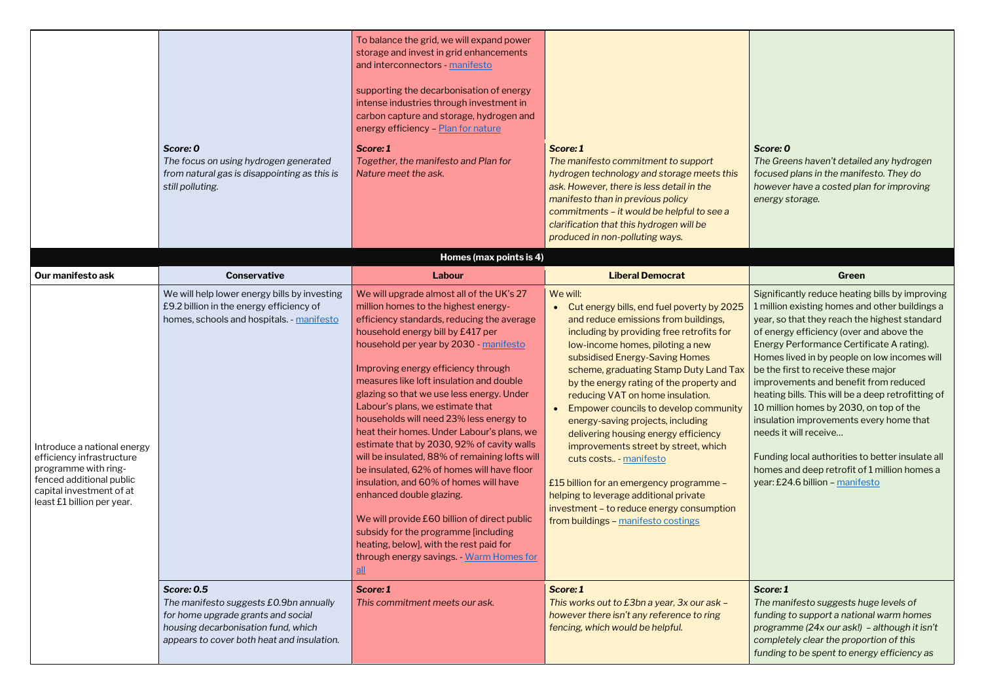*The Greens haven't detailed any hydrogen focused plans in the manifesto. They do however have a costed plan for improving energy storage.*

|                                                                                                                                                                        |                                                                                                                                                                                        | To balance the grid, we will expand power<br>storage and invest in grid enhancements<br>and interconnectors - manifesto<br>supporting the decarbonisation of energy<br>intense industries through investment in<br>carbon capture and storage, hydrogen and<br>energy efficiency - Plan for nature                                                                                                                                                                                                                                                                                                                                                                                                                                                                                                                                                                             |                                                                                                                                                                                                                                                                                                                                                                                                                                                                                                                                                                                                                                                                                                                            |                                                                                                                                                                                                                                                                                                                                                                                                                                                                          |
|------------------------------------------------------------------------------------------------------------------------------------------------------------------------|----------------------------------------------------------------------------------------------------------------------------------------------------------------------------------------|--------------------------------------------------------------------------------------------------------------------------------------------------------------------------------------------------------------------------------------------------------------------------------------------------------------------------------------------------------------------------------------------------------------------------------------------------------------------------------------------------------------------------------------------------------------------------------------------------------------------------------------------------------------------------------------------------------------------------------------------------------------------------------------------------------------------------------------------------------------------------------|----------------------------------------------------------------------------------------------------------------------------------------------------------------------------------------------------------------------------------------------------------------------------------------------------------------------------------------------------------------------------------------------------------------------------------------------------------------------------------------------------------------------------------------------------------------------------------------------------------------------------------------------------------------------------------------------------------------------------|--------------------------------------------------------------------------------------------------------------------------------------------------------------------------------------------------------------------------------------------------------------------------------------------------------------------------------------------------------------------------------------------------------------------------------------------------------------------------|
|                                                                                                                                                                        | Score: 0<br>The focus on using hydrogen generated<br>from natural gas is disappointing as this is<br>still polluting.                                                                  | Score: 1<br>Together, the manifesto and Plan for<br>Nature meet the ask.                                                                                                                                                                                                                                                                                                                                                                                                                                                                                                                                                                                                                                                                                                                                                                                                       | Score: 1<br>The manifesto commitment to support<br>hydrogen technology and storage meets this<br>ask. However, there is less detail in the<br>manifesto than in previous policy<br>commitments - it would be helpful to see a<br>clarification that this hydrogen will be<br>produced in non-polluting ways.                                                                                                                                                                                                                                                                                                                                                                                                               | Score: 0<br>The Greens haven't detaile<br>focused plans in the manif<br>however have a costed pla<br>energy storage.                                                                                                                                                                                                                                                                                                                                                     |
|                                                                                                                                                                        |                                                                                                                                                                                        | Homes (max points is 4)                                                                                                                                                                                                                                                                                                                                                                                                                                                                                                                                                                                                                                                                                                                                                                                                                                                        |                                                                                                                                                                                                                                                                                                                                                                                                                                                                                                                                                                                                                                                                                                                            |                                                                                                                                                                                                                                                                                                                                                                                                                                                                          |
| Our manifesto ask                                                                                                                                                      | <b>Conservative</b>                                                                                                                                                                    | <b>Labour</b>                                                                                                                                                                                                                                                                                                                                                                                                                                                                                                                                                                                                                                                                                                                                                                                                                                                                  | <b>Liberal Democrat</b>                                                                                                                                                                                                                                                                                                                                                                                                                                                                                                                                                                                                                                                                                                    | Green                                                                                                                                                                                                                                                                                                                                                                                                                                                                    |
| Introduce a national energy<br>efficiency infrastructure<br>programme with ring-<br>fenced additional public<br>capital investment of at<br>least £1 billion per year. | We will help lower energy bills by investing<br>£9.2 billion in the energy efficiency of<br>homes, schools and hospitals. - manifesto                                                  | We will upgrade almost all of the UK's 27<br>million homes to the highest energy-<br>efficiency standards, reducing the average<br>household energy bill by £417 per<br>household per year by 2030 - manifesto<br>Improving energy efficiency through<br>measures like loft insulation and double<br>glazing so that we use less energy. Under<br>Labour's plans, we estimate that<br>households will need 23% less energy to<br>heat their homes. Under Labour's plans, we<br>estimate that by 2030, 92% of cavity walls<br>will be insulated, 88% of remaining lofts will<br>be insulated, 62% of homes will have floor<br>insulation, and 60% of homes will have<br>enhanced double glazing.<br>We will provide £60 billion of direct public<br>subsidy for the programme [including<br>heating, below], with the rest paid for<br>through energy savings. - Warm Homes for | We will:<br>Cut energy bills, end fuel poverty by 2025<br>$\bullet$<br>and reduce emissions from buildings,<br>including by providing free retrofits for<br>low-income homes, piloting a new<br>subsidised Energy-Saving Homes<br>scheme, graduating Stamp Duty Land Tax<br>by the energy rating of the property and<br>reducing VAT on home insulation.<br>Empower councils to develop community<br>energy-saving projects, including<br>delivering housing energy efficiency<br>improvements street by street, which<br>cuts costs - manifesto<br>£15 billion for an emergency programme -<br>helping to leverage additional private<br>investment - to reduce energy consumption<br>from buildings - manifesto costings | Significantly reduce heatir<br>1 million existing homes ar<br>year, so that they reach the<br>of energy efficiency (over<br><b>Energy Performance Certi</b><br>Homes lived in by people of<br>be the first to receive thes<br>improvements and benefit<br>heating bills. This will be a<br>10 million homes by 2030,<br>insulation improvements e<br>needs it will receive<br>Funding local authorities to<br>homes and deep retrofit of<br>year: £24.6 billion - manife |
|                                                                                                                                                                        | <b>Score: 0.5</b><br>The manifesto suggests £0.9bn annually<br>for home upgrade grants and social<br>housing decarbonisation fund, which<br>appears to cover both heat and insulation. | Score: 1<br>This commitment meets our ask.                                                                                                                                                                                                                                                                                                                                                                                                                                                                                                                                                                                                                                                                                                                                                                                                                                     | Score: 1<br>This works out to £3bn a year, 3x our ask -<br>however there isn't any reference to ring<br>fencing, which would be helpful.                                                                                                                                                                                                                                                                                                                                                                                                                                                                                                                                                                                   | Score: 1<br>The manifesto suggests h<br>funding to support a nation<br>programme (24x our ask!)<br>completely clear the propo<br>funding to be spent to ene                                                                                                                                                                                                                                                                                                              |

|                          | Green                                                                                                                                                                                                                                                                                                                                                                                                                                                                                                                                                                                                                                                                                   |
|--------------------------|-----------------------------------------------------------------------------------------------------------------------------------------------------------------------------------------------------------------------------------------------------------------------------------------------------------------------------------------------------------------------------------------------------------------------------------------------------------------------------------------------------------------------------------------------------------------------------------------------------------------------------------------------------------------------------------------|
| $\overline{\phantom{a}}$ | Significantly reduce heating bills by improving<br>1 million existing homes and other buildings a<br>year, so that they reach the highest standard<br>of energy efficiency (over and above the<br>Energy Performance Certificate A rating).<br>Homes lived in by people on low incomes will<br>be the first to receive these major<br>improvements and benefit from reduced<br>heating bills. This will be a deep retrofitting of<br>10 million homes by 2030, on top of the<br>insulation improvements every home that<br>needs it will receive<br>Funding local authorities to better insulate all<br>homes and deep retrofit of 1 million homes a<br>year: £24.6 billion - manifesto |
|                          |                                                                                                                                                                                                                                                                                                                                                                                                                                                                                                                                                                                                                                                                                         |
|                          | Score: 1<br>The manifesto suggests huge levels of<br>funding to support a national warm homes<br>programme (24x our ask!) - although it isn't<br>completely clear the proportion of this                                                                                                                                                                                                                                                                                                                                                                                                                                                                                                |

*funding to be spent to energy efficiency as*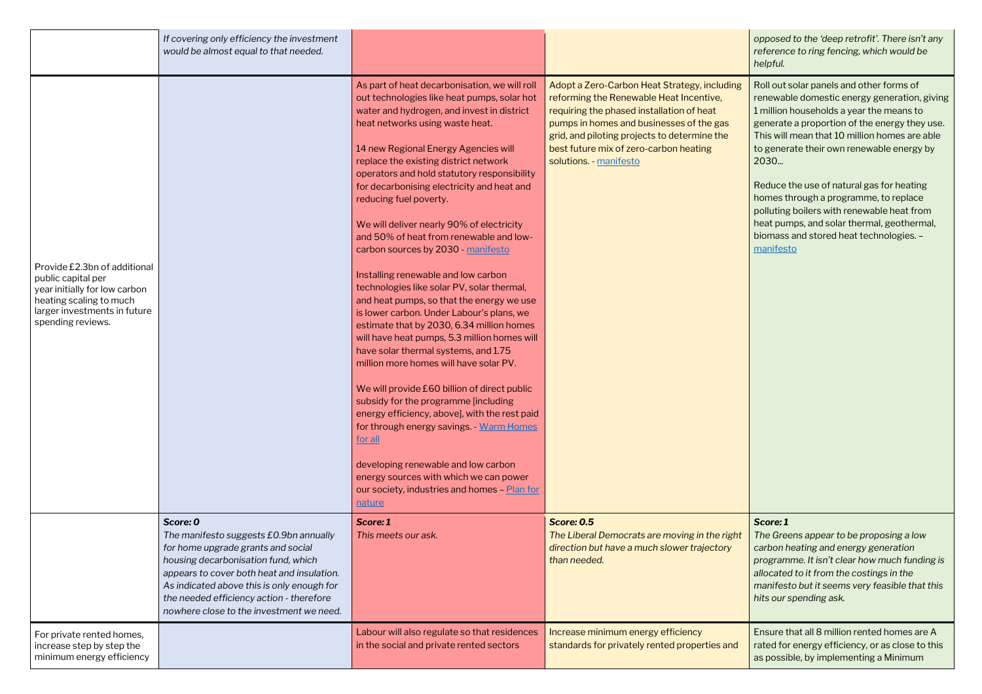*opposed to the 'deep retrofit'. There isn't any reference to ring fencing, which would be helpful.*

|                                                                                                                                                                     | If covering only efficiency the investment<br>would be almost equal to that needed.                                                                                                                                                                                                                                 |                                                                                                                                                                                                                                                                                                                                                                                                                                                                                                                                                                                                                                                                                                                                                                                                                                                                                                                                                                                                                                                                                                                                                                                                                               |                                                                                                                                                                                                                                                                                                     |
|---------------------------------------------------------------------------------------------------------------------------------------------------------------------|---------------------------------------------------------------------------------------------------------------------------------------------------------------------------------------------------------------------------------------------------------------------------------------------------------------------|-------------------------------------------------------------------------------------------------------------------------------------------------------------------------------------------------------------------------------------------------------------------------------------------------------------------------------------------------------------------------------------------------------------------------------------------------------------------------------------------------------------------------------------------------------------------------------------------------------------------------------------------------------------------------------------------------------------------------------------------------------------------------------------------------------------------------------------------------------------------------------------------------------------------------------------------------------------------------------------------------------------------------------------------------------------------------------------------------------------------------------------------------------------------------------------------------------------------------------|-----------------------------------------------------------------------------------------------------------------------------------------------------------------------------------------------------------------------------------------------------------------------------------------------------|
| Provide £2.3bn of additional<br>public capital per<br>year initially for low carbon<br>heating scaling to much<br>larger investments in future<br>spending reviews. |                                                                                                                                                                                                                                                                                                                     | As part of heat decarbonisation, we will roll<br>out technologies like heat pumps, solar hot<br>water and hydrogen, and invest in district<br>heat networks using waste heat.<br>14 new Regional Energy Agencies will<br>replace the existing district network<br>operators and hold statutory responsibility<br>for decarbonising electricity and heat and<br>reducing fuel poverty.<br>We will deliver nearly 90% of electricity<br>and 50% of heat from renewable and low-<br>carbon sources by 2030 - manifesto<br>Installing renewable and low carbon<br>technologies like solar PV, solar thermal,<br>and heat pumps, so that the energy we use<br>is lower carbon. Under Labour's plans, we<br>estimate that by 2030, 6.34 million homes<br>will have heat pumps, 5.3 million homes will<br>have solar thermal systems, and 1.75<br>million more homes will have solar PV.<br>We will provide £60 billion of direct public<br>subsidy for the programme [including]<br>energy efficiency, above], with the rest paid<br>for through energy savings. - Warm Homes<br>for all<br>developing renewable and low carbon<br>energy sources with which we can power<br>our society, industries and homes - Plan for<br>nature | Adopt a Zero-Carbon Heat Strategy, including<br>reforming the Renewable Heat Incentive,<br>requiring the phased installation of heat<br>pumps in homes and businesses of the gas<br>grid, and piloting projects to determine the<br>best future mix of zero-carbon heating<br>solutions - manifesto |
|                                                                                                                                                                     | Score: 0<br>The manifesto suggests £0.9bn annually<br>for home upgrade grants and social<br>housing decarbonisation fund, which<br>appears to cover both heat and insulation.<br>As indicated above this is only enough for<br>the needed efficiency action - therefore<br>nowhere close to the investment we need. | Score: 1<br>This meets our ask.                                                                                                                                                                                                                                                                                                                                                                                                                                                                                                                                                                                                                                                                                                                                                                                                                                                                                                                                                                                                                                                                                                                                                                                               | <b>Score: 0.5</b><br>The Liberal Democrats are moving in the right<br>direction but have a much slower trajectory<br>than needed.                                                                                                                                                                   |
| For private rented homes,<br>increase step by step the<br>minimum energy efficiency                                                                                 |                                                                                                                                                                                                                                                                                                                     | Labour will also regulate so that residences<br>in the social and private rented sectors                                                                                                                                                                                                                                                                                                                                                                                                                                                                                                                                                                                                                                                                                                                                                                                                                                                                                                                                                                                                                                                                                                                                      | Increase minimum energy efficiency<br>standards for privately rented properties and                                                                                                                                                                                                                 |

Roll out solar panels and other forms of renewable domestic energy generation, giving 1 million households a year the means to generate a proportion of the energy they use. This will mean that 10 million homes are able to generate their own renewable energy by 2030...

Reduce the use of natural gas for heating homes through a programme, to replace polluting boilers with renewable heat from heat pumps, and solar thermal, geothermal, biomass and stored heat technologies. – [manifesto](https://www.greenparty.org.uk/assets/files/Elections/Green%20Party%20Manifesto%202019.pdf)

### *Score: 1*

*The Greens appear to be proposing a low carbon heating and energy generation programme. It isn't clear how much funding is allocated to it from the costings in the manifesto but it seems very feasible that this hits our spending ask.*

Ensure that all 8 million rented homes are A rated for energy efficiency, or as close to this as possible, by implementing a Minimum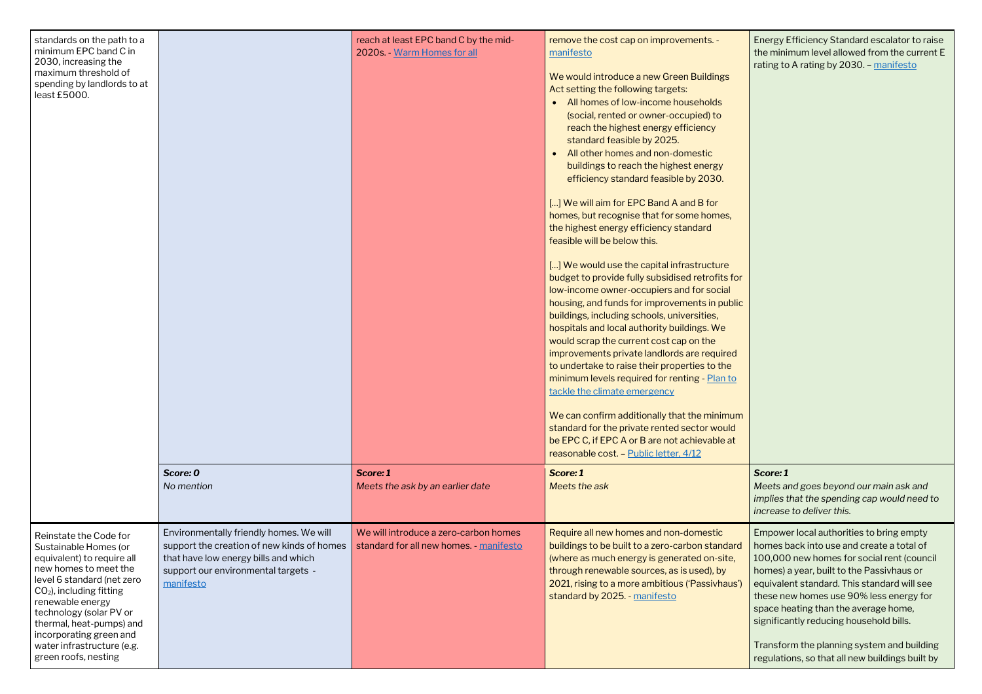| standards on the path to a<br>minimum EPC band C in<br>2030, increasing the<br>maximum threshold of<br>spending by landlords to at<br>least £5000.                                                                                                                                                                             | Score: 0<br>No mention                                                                                                                                                            | reach at least EPC band C by the mid-<br>2020s. - Warm Homes for all<br>Score: 1<br>Meets the ask by an earlier date | remove the cost cap on improvements. -<br>manifesto<br>We would introduce a new Green Buildings<br>Act setting the following targets:<br>All homes of low-income households<br>$\bullet$<br>(social, rented or owner-occupied) to<br>reach the highest energy efficiency<br>standard feasible by 2025.<br>All other homes and non-domestic<br>buildings to reach the highest energy<br>efficiency standard feasible by 2030.<br>[] We will aim for EPC Band A and B for<br>homes, but recognise that for some homes,<br>the highest energy efficiency standard<br>feasible will be below this.<br>[] We would use the capital infrastructure<br>budget to provide fully subsidised retrofits for<br>low-income owner-occupiers and for social<br>housing, and funds for improvements in public<br>buildings, including schools, universities,<br>hospitals and local authority buildings. We<br>would scrap the current cost cap on the<br>improvements private landlords are required<br>to undertake to raise their properties to the<br>minimum levels required for renting - Plan to<br>tackle the climate emergency<br>We can confirm additionally that the minimum<br>standard for the private rented sector would<br>be EPC C, if EPC A or B are not achievable at<br>reasonable cost. - Public letter, 4/12<br>Score: 1<br>Meets the ask |
|--------------------------------------------------------------------------------------------------------------------------------------------------------------------------------------------------------------------------------------------------------------------------------------------------------------------------------|-----------------------------------------------------------------------------------------------------------------------------------------------------------------------------------|----------------------------------------------------------------------------------------------------------------------|--------------------------------------------------------------------------------------------------------------------------------------------------------------------------------------------------------------------------------------------------------------------------------------------------------------------------------------------------------------------------------------------------------------------------------------------------------------------------------------------------------------------------------------------------------------------------------------------------------------------------------------------------------------------------------------------------------------------------------------------------------------------------------------------------------------------------------------------------------------------------------------------------------------------------------------------------------------------------------------------------------------------------------------------------------------------------------------------------------------------------------------------------------------------------------------------------------------------------------------------------------------------------------------------------------------------------------------------------|
| Reinstate the Code for<br>Sustainable Homes (or<br>equivalent) to require all<br>new homes to meet the<br>level 6 standard (net zero<br>$CO2$ ), including fitting<br>renewable energy<br>technology (solar PV or<br>thermal, heat-pumps) and<br>incorporating green and<br>water infrastructure (e.g.<br>green roofs, nesting | Environmentally friendly homes. We will<br>support the creation of new kinds of homes<br>that have low energy bills and which<br>support our environmental targets -<br>manifesto | We will introduce a zero-carbon homes<br>standard for all new homes. - manifesto                                     | Require all new homes and non-domestic<br>buildings to be built to a zero-carbon standard<br>(where as much energy is generated on-site,<br>through renewable sources, as is used), by<br>2021, rising to a more ambitious ('Passivhaus')<br>standard by 2025. - manifesto                                                                                                                                                                                                                                                                                                                                                                                                                                                                                                                                                                                                                                                                                                                                                                                                                                                                                                                                                                                                                                                                       |

Energy Efficiency Standard escalator to raise the minimum level allowed from the current E rating to A rating by 2030. – [manifesto](https://www.greenparty.org.uk/assets/files/Elections/Green%20Party%20Manifesto%202019.pdf)

#### *Score: 1*

*Meets and goes beyond our main ask and implies that the spending cap would need to increase to deliver this.*

Empower local authorities to bring empty homes back into use and create a total of 100,000 new homes for social rent (council homes) a year, built to the Passivhaus or equivalent standard. This standard will see these new homes use 90% less energy for space heating than the average home, significantly reducing household bills.

Transform the planning system and building regulations, so that all new buildings built by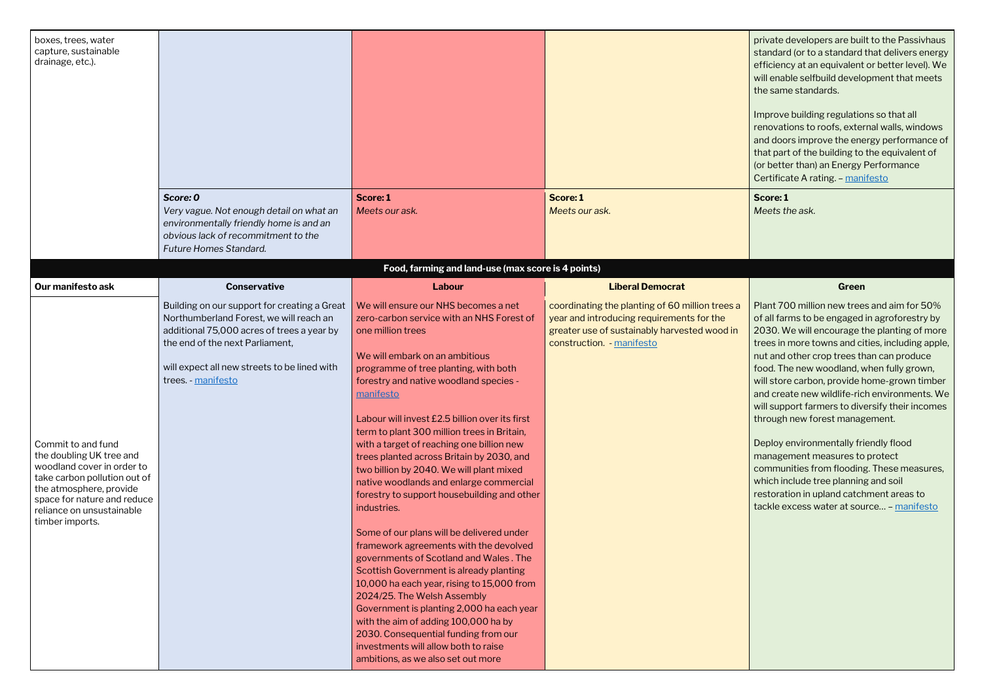private developers are built to the Passivhaus standard (or to a standard that delivers energy efficiency at an equivalent or better level). We will enable selfbuild development that meets the same standards.

Improve building regulations so that all renovations to roofs, external walls, windows and doors improve the energy performance of that part of the building to the equivalent of (or better than) an Energy Performance Certificate A rating. – [manifesto](https://www.greenparty.org.uk/assets/files/Elections/Green%20Party%20Manifesto%202019.pdf)

| boxes, trees, water<br>capture, sustainable<br>drainage, etc.).                                                                                                                                                        | Score: 0<br>Very vague. Not enough detail on what an<br>environmentally friendly home is and an                                                                                                                                                | Score: 1<br>Meets our ask.                                                                                                                                                                                                                                                                                                                                                                                                                                                                                                                                                                                                                                                                                                                                                                                                                                                                                                                                                                                                                                   | Score: 1<br>Meets our ask.                                                                                                                                                | private developers are bui<br>standard (or to a standard<br>efficiency at an equivalent<br>will enable selfbuild develd<br>the same standards.<br>Improve building regulatio<br>renovations to roofs, exter<br>and doors improve the ene<br>that part of the building to<br>(or better than) an Energy<br>Certificate A rating. - man<br>Score: 1<br>Meets the ask.                                                                                                                       |
|------------------------------------------------------------------------------------------------------------------------------------------------------------------------------------------------------------------------|------------------------------------------------------------------------------------------------------------------------------------------------------------------------------------------------------------------------------------------------|--------------------------------------------------------------------------------------------------------------------------------------------------------------------------------------------------------------------------------------------------------------------------------------------------------------------------------------------------------------------------------------------------------------------------------------------------------------------------------------------------------------------------------------------------------------------------------------------------------------------------------------------------------------------------------------------------------------------------------------------------------------------------------------------------------------------------------------------------------------------------------------------------------------------------------------------------------------------------------------------------------------------------------------------------------------|---------------------------------------------------------------------------------------------------------------------------------------------------------------------------|-------------------------------------------------------------------------------------------------------------------------------------------------------------------------------------------------------------------------------------------------------------------------------------------------------------------------------------------------------------------------------------------------------------------------------------------------------------------------------------------|
|                                                                                                                                                                                                                        | obvious lack of recommitment to the<br>Future Homes Standard.                                                                                                                                                                                  |                                                                                                                                                                                                                                                                                                                                                                                                                                                                                                                                                                                                                                                                                                                                                                                                                                                                                                                                                                                                                                                              |                                                                                                                                                                           |                                                                                                                                                                                                                                                                                                                                                                                                                                                                                           |
|                                                                                                                                                                                                                        |                                                                                                                                                                                                                                                | Food, farming and land-use (max score is 4 points)                                                                                                                                                                                                                                                                                                                                                                                                                                                                                                                                                                                                                                                                                                                                                                                                                                                                                                                                                                                                           |                                                                                                                                                                           |                                                                                                                                                                                                                                                                                                                                                                                                                                                                                           |
| Our manifesto ask                                                                                                                                                                                                      | <b>Conservative</b>                                                                                                                                                                                                                            | Labour                                                                                                                                                                                                                                                                                                                                                                                                                                                                                                                                                                                                                                                                                                                                                                                                                                                                                                                                                                                                                                                       | <b>Liberal Democrat</b>                                                                                                                                                   | Green                                                                                                                                                                                                                                                                                                                                                                                                                                                                                     |
| Commit to and fund<br>the doubling UK tree and<br>woodland cover in order to<br>take carbon pollution out of<br>the atmosphere, provide<br>space for nature and reduce<br>reliance on unsustainable<br>timber imports. | Building on our support for creating a Great<br>Northumberland Forest, we will reach an<br>additional 75,000 acres of trees a year by<br>the end of the next Parliament,<br>will expect all new streets to be lined with<br>trees. - manifesto | We will ensure our NHS becomes a net<br>zero-carbon service with an NHS Forest of<br>one million trees<br>We will embark on an ambitious<br>programme of tree planting, with both<br>forestry and native woodland species -<br>manifesto<br>Labour will invest £2.5 billion over its first<br>term to plant 300 million trees in Britain,<br>with a target of reaching one billion new<br>trees planted across Britain by 2030, and<br>two billion by 2040. We will plant mixed<br>native woodlands and enlarge commercial<br>forestry to support housebuilding and other<br>industries.<br>Some of our plans will be delivered under<br>framework agreements with the devolved<br>governments of Scotland and Wales. The<br>Scottish Government is already planting<br>10,000 ha each year, rising to 15,000 from<br>2024/25. The Welsh Assembly<br>Government is planting 2,000 ha each year<br>with the aim of adding 100,000 ha by<br>2030. Consequential funding from our<br>investments will allow both to raise<br>ambitions, as we also set out more | coordinating the planting of 60 million trees a<br>year and introducing requirements for the<br>greater use of sustainably harvested wood in<br>construction. - manifesto | Plant 700 million new tree<br>of all farms to be engaged<br>2030. We will encourage t<br>trees in more towns and ci<br>nut and other crop trees th<br>food. The new woodland, v<br>will store carbon, provide h<br>and create new wildlife-ric<br>will support farmers to div<br>through new forest manag<br>Deploy environmentally fri<br>management measures to<br>communities from flooding<br>which include tree plannin<br>restoration in upland catch<br>tackle excess water at sou |

Plant 700 million new trees and aim for 50% of all farms to be engaged in agroforestry by 2030. We will encourage the planting of more trees in more towns and cities, including apple, nut and other crop trees than can produce food. The new woodland, when fully grown, will store carbon, provide home-grown timber and create new wildlife-rich environments. We will support farmers to diversify their incomes through new forest management.

Deploy environmentally friendly flood management measures to protect communities from flooding. These measures, which include tree planning and soil restoration in upland catchment areas to tackle excess water at source… – [manifesto](https://www.greenparty.org.uk/assets/files/Elections/Green%20Party%20Manifesto%202019.pdf)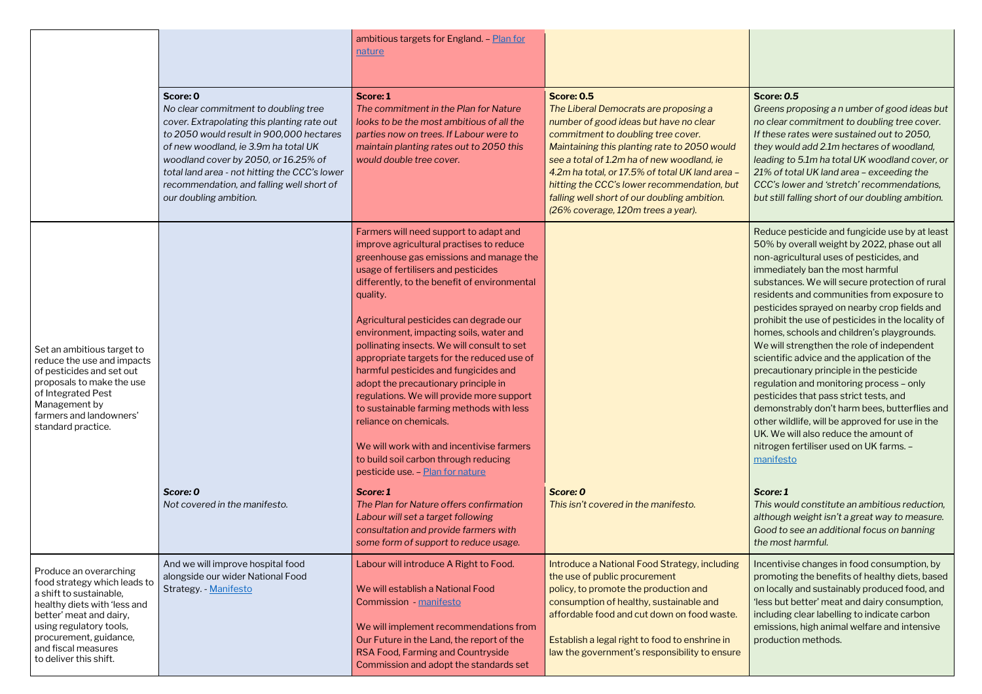#### **Score:** *0.5*

*Greens proposing a n umber of good ideas but no clear commitment to doubling tree cover. If these rates were sustained out to 2050, they would add 2.1m hectares of woodland, leading to 5.1m ha total UK woodland cover, or 21% of total UK land area – exceeding the CCC's lower and 'stretch' recommendations, but still falling short of our doubling ambition.*

|                                                                                                                                                                                                                                                    |                                                                                                                                                                                                                                                                                                                                                     | ambitious targets for England. - Plan for<br>nature                                                                                                                                                                                                                                                                                                                                                                                                                                                                                                                                                                                                                                                                                               |                                                                                                                                                                                                                                                                                                                                                                                                                                  |
|----------------------------------------------------------------------------------------------------------------------------------------------------------------------------------------------------------------------------------------------------|-----------------------------------------------------------------------------------------------------------------------------------------------------------------------------------------------------------------------------------------------------------------------------------------------------------------------------------------------------|---------------------------------------------------------------------------------------------------------------------------------------------------------------------------------------------------------------------------------------------------------------------------------------------------------------------------------------------------------------------------------------------------------------------------------------------------------------------------------------------------------------------------------------------------------------------------------------------------------------------------------------------------------------------------------------------------------------------------------------------------|----------------------------------------------------------------------------------------------------------------------------------------------------------------------------------------------------------------------------------------------------------------------------------------------------------------------------------------------------------------------------------------------------------------------------------|
|                                                                                                                                                                                                                                                    | Score: 0<br>No clear commitment to doubling tree<br>cover. Extrapolating this planting rate out<br>to 2050 would result in 900,000 hectares<br>of new woodland, ie 3.9m ha total UK<br>woodland cover by 2050, or 16.25% of<br>total land area - not hitting the CCC's lower<br>recommendation, and falling well short of<br>our doubling ambition. | Score: 1<br>The commitment in the Plan for Nature<br>looks to be the most ambitious of all the<br>parties now on trees. If Labour were to<br>maintain planting rates out to 2050 this<br>would double tree cover.                                                                                                                                                                                                                                                                                                                                                                                                                                                                                                                                 | <b>Score: 0.5</b><br>The Liberal Democrats are proposing a<br>number of good ideas but have no clear<br>commitment to doubling tree cover.<br>Maintaining this planting rate to 2050 would<br>see a total of 1.2m ha of new woodland, ie<br>4.2m ha total, or 17.5% of total UK land area -<br>hitting the CCC's lower recommendation, but<br>falling well short of our doubling ambition.<br>(26% coverage, 120m trees a year). |
| Set an ambitious target to<br>reduce the use and impacts<br>of pesticides and set out<br>proposals to make the use<br>of Integrated Pest<br>Management by<br>farmers and landowners'<br>standard practice.                                         |                                                                                                                                                                                                                                                                                                                                                     | Farmers will need support to adapt and<br>improve agricultural practises to reduce<br>greenhouse gas emissions and manage the<br>usage of fertilisers and pesticides<br>differently, to the benefit of environmental<br>quality.<br>Agricultural pesticides can degrade our<br>environment, impacting soils, water and<br>pollinating insects. We will consult to set<br>appropriate targets for the reduced use of<br>harmful pesticides and fungicides and<br>adopt the precautionary principle in<br>regulations. We will provide more support<br>to sustainable farming methods with less<br>reliance on chemicals.<br>We will work with and incentivise farmers<br>to build soil carbon through reducing<br>pesticide use. - Plan for nature |                                                                                                                                                                                                                                                                                                                                                                                                                                  |
|                                                                                                                                                                                                                                                    | Score: 0<br>Not covered in the manifesto.                                                                                                                                                                                                                                                                                                           | Score: 1<br>The Plan for Nature offers confirmation<br>Labour will set a target following<br>consultation and provide farmers with<br>some form of support to reduce usage.                                                                                                                                                                                                                                                                                                                                                                                                                                                                                                                                                                       | Score: 0<br>This isn't covered in the manifesto.                                                                                                                                                                                                                                                                                                                                                                                 |
| Produce an overarching<br>food strategy which leads to<br>a shift to sustainable,<br>healthy diets with 'less and<br>better' meat and dairy,<br>using regulatory tools,<br>procurement, guidance,<br>and fiscal measures<br>to deliver this shift. | And we will improve hospital food<br>alongside our wider National Food<br>Strategy. - Manifesto                                                                                                                                                                                                                                                     | Labour will introduce A Right to Food.<br>We will establish a National Food<br>Commission - manifesto<br>We will implement recommendations from<br>Our Future in the Land, the report of the<br>RSA Food, Farming and Countryside<br>Commission and adopt the standards set                                                                                                                                                                                                                                                                                                                                                                                                                                                                       | Introduce a National Food Strategy, including<br>the use of public procurement<br>policy, to promote the production and<br>consumption of healthy, sustainable and<br>affordable food and cut down on food waste.<br>Establish a legal right to food to enshrine in<br>law the government's responsibility to ensure                                                                                                             |

Reduce pesticide and fungicide use by at least 50% by overall weight by 2022, phase out all non-agricultural uses of pesticides, and immediately ban the most harmful substances. We will secure protection of rural residents and communities from exposure to pesticides sprayed on nearby crop fields and prohibit the use of pesticides in the locality of homes, schools and children's playgrounds. We will strengthen the role of independent scientific advice and the application of the precautionary principle in the pesticide regulation and monitoring process – only pesticides that pass strict tests, and demonstrably don't harm bees, butterflies and other wildlife, will be approved for use in the UK. We will also reduce the amount of nitrogen fertiliser used on UK farms. – [manifesto](https://www.greenparty.org.uk/assets/files/Elections/Green%20Party%20Manifesto%202019.pdf)

#### *Score: 1*

*This would constitute an ambitious reduction, although weight isn't a great way to measure. Good to see an additional focus on banning the most harmful.*

Incentivise changes in food consumption, by promoting the benefits of healthy diets, based on locally and sustainably produced food, and 'less but better' meat and dairy consumption, including clear labelling to indicate carbon emissions, high animal welfare and intensive production methods.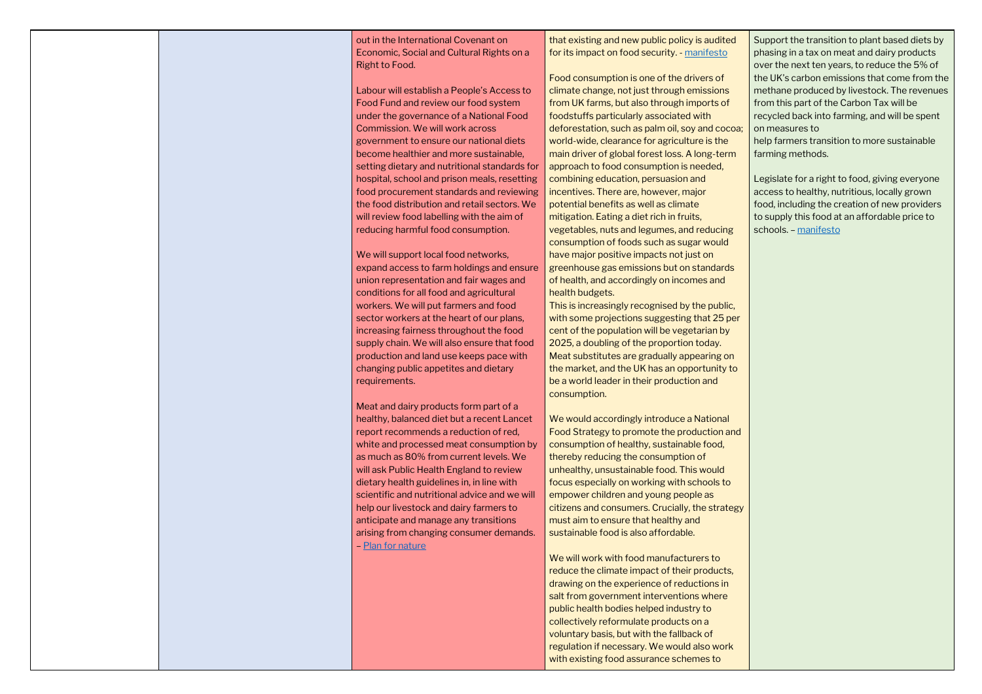out in the International Covenant on Economic, Social and Cultural Rights on a Right to Food.

Labour will establish a People's Access to Food Fund and review our food system under the governance of a National Food Commission. We will work across government to ensure our national diets become healthier and more sustainable, setting dietary and nutritional standards for hospital, school and prison meals, resetting food procurement standards and reviewing the food distribution and retail sectors. We will review food labelling with the aim of reducing harmful food consumption.

We will support local food networks, expand access to farm holdings and ensure union representation and fair wages and conditions for all food and agricultural workers. We will put farmers and food sector workers at the heart of our plans, increasing fairness throughout the food supply chain. We will also ensure that food production and land use keeps pace with changing public appetites and dietary requirements.

Meat and dairy products form part of a healthy, balanced diet but a recent Lancet report recommends a reduction of red, white and processed meat consumption by as much as 80% from current levels. We will ask Public Health England to review dietary health guidelines in, in line with scientific and nutritional advice and we will help our livestock and dairy farmers to anticipate and manage any transitions arising from changing consumer demands. – [Plan for nature](https://labour.org.uk/wp-content/uploads/2019/11/FINAL-FOR-WEB_13172_19-Environment-Manifesto.pdf)

that existing and new public policy is audited for its impact on food security. - [manifesto](https://d3n8a8pro7vhmx.cloudfront.net/libdems/pages/57307/attachments/original/1574251172/Stop_Brexit_and_Build_a_Brighter_Future.pdf?1574251172)

Food consumption is one of the drivers of climate change, not just through emissions from UK farms, but also through imports of foodstuffs particularly associated with deforestation, such as palm oil, soy and cocoa; world-wide, clearance for agriculture is the main driver of global forest loss. A long-term approach to food consumption is needed, combining education, persuasion and incentives. There are, however, major potential benefits as well as climate mitigation. Eating a diet rich in fruits, vegetables, nuts and legumes, and reducing consumption of foods such as sugar would have major positive impacts not just on greenhouse gas emissions but on standards of health, and accordingly on incomes and health budgets.

This is increasingly recognised by the public, with some projections suggesting that 25 per cent of the population will be vegetarian by 2025, a doubling of the proportion today. Meat substitutes are gradually appearing on the market, and the UK has an opportunity to be a world leader in their production and consumption.

We would accordingly introduce a National Food Strategy to promote the production and consumption of healthy, sustainable food, thereby reducing the consumption of unhealthy, unsustainable food. This would focus especially on working with schools to empower children and young people as citizens and consumers. Crucially, the strategy must aim to ensure that healthy and sustainable food is also affordable.

We will work with food manufacturers to reduce the climate impact of their products, drawing on the experience of reductions in salt from government interventions where public health bodies helped industry to collectively reformulate products on a voluntary basis, but with the fallback of regulation if necessary. We would also work with existing food assurance schemes to

Support the transition to plant based diets by phasing in a tax on meat and dairy products over the next ten years, to reduce the 5% of the UK's carbon emissions that come from the methane produced by livestock. The revenues from this part of the Carbon Tax will be recycled back into farming, and will be spent on measures to

help farmers transition to more sustainable farming methods.

Legislate for a right to food, giving everyone access to healthy, nutritious, locally grown food, including the creation of new providers to supply this food at an affordable price to schools. – [manifesto](https://www.greenparty.org.uk/assets/files/Elections/Green%20Party%20Manifesto%202019.pdf)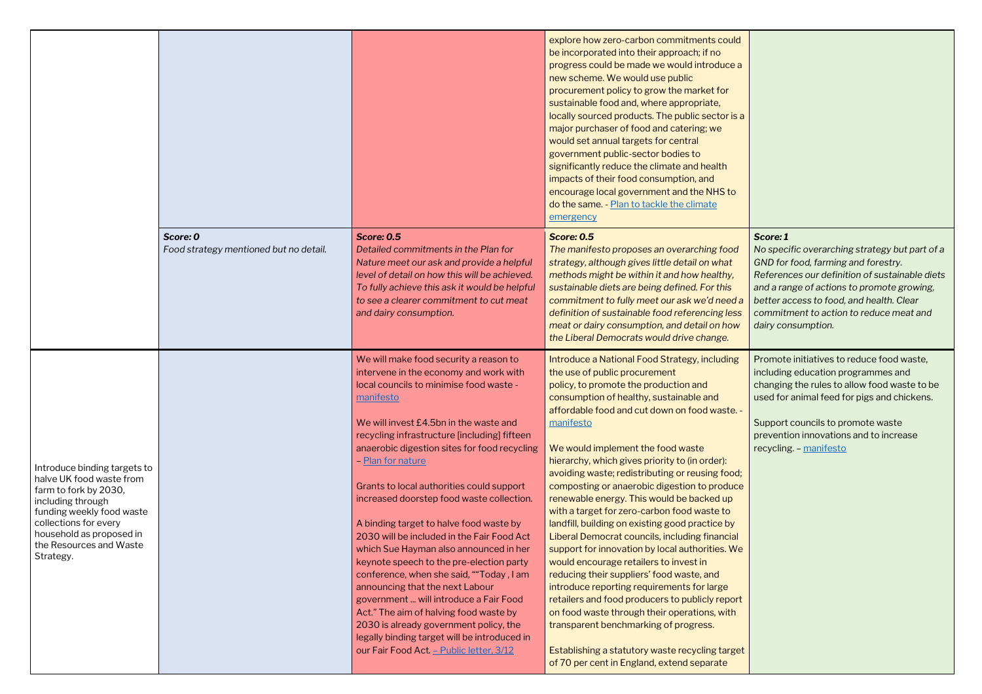*No specific overarching strategy but part of a GND for food, farming and forestry. References our definition of sustainable diets and a range of actions to promote growing, better access to food, and health. Clear commitment to action to reduce meat and dairy consumption.*

|                                                                                                                                                                                                                                  |                                                    |                                                                                                                                                                                                                                                                                                                                                                                                                                                                                                                                                                                                                                                                                                                                                                                                                                                                                           | explore how zero-carbon commitments could<br>be incorporated into their approach; if no<br>progress could be made we would introduce a<br>new scheme. We would use public<br>procurement policy to grow the market for<br>sustainable food and, where appropriate,<br>locally sourced products. The public sector is a<br>major purchaser of food and catering; we<br>would set annual targets for central<br>government public-sector bodies to<br>significantly reduce the climate and health<br>impacts of their food consumption, and<br>encourage local government and the NHS to<br>do the same. - Plan to tackle the climate<br>emergency                                                                                                                                                                                                                                                                                                                                                                                                                 |
|----------------------------------------------------------------------------------------------------------------------------------------------------------------------------------------------------------------------------------|----------------------------------------------------|-------------------------------------------------------------------------------------------------------------------------------------------------------------------------------------------------------------------------------------------------------------------------------------------------------------------------------------------------------------------------------------------------------------------------------------------------------------------------------------------------------------------------------------------------------------------------------------------------------------------------------------------------------------------------------------------------------------------------------------------------------------------------------------------------------------------------------------------------------------------------------------------|------------------------------------------------------------------------------------------------------------------------------------------------------------------------------------------------------------------------------------------------------------------------------------------------------------------------------------------------------------------------------------------------------------------------------------------------------------------------------------------------------------------------------------------------------------------------------------------------------------------------------------------------------------------------------------------------------------------------------------------------------------------------------------------------------------------------------------------------------------------------------------------------------------------------------------------------------------------------------------------------------------------------------------------------------------------|
|                                                                                                                                                                                                                                  | Score: 0<br>Food strategy mentioned but no detail. | <b>Score: 0.5</b><br>Detailed commitments in the Plan for<br>Nature meet our ask and provide a helpful<br>level of detail on how this will be achieved.<br>To fully achieve this ask it would be helpful<br>to see a clearer commitment to cut meat<br>and dairy consumption.                                                                                                                                                                                                                                                                                                                                                                                                                                                                                                                                                                                                             | <b>Score: 0.5</b><br>The manifesto proposes an overarching food<br>strategy, although gives little detail on what<br>methods might be within it and how healthy,<br>sustainable diets are being defined. For this<br>commitment to fully meet our ask we'd need a<br>definition of sustainable food referencing less<br>meat or dairy consumption, and detail on how<br>the Liberal Democrats would drive change.                                                                                                                                                                                                                                                                                                                                                                                                                                                                                                                                                                                                                                                |
| Introduce binding targets to<br>halve UK food waste from<br>farm to fork by 2030,<br>including through<br>funding weekly food waste<br>collections for every<br>household as proposed in<br>the Resources and Waste<br>Strategy. |                                                    | We will make food security a reason to<br>intervene in the economy and work with<br>local councils to minimise food waste -<br>manifesto<br>We will invest £4.5bn in the waste and<br>recycling infrastructure [including] fifteen<br>anaerobic digestion sites for food recycling<br>- Plan for nature<br>Grants to local authorities could support<br>increased doorstep food waste collection.<br>A binding target to halve food waste by<br>2030 will be included in the Fair Food Act<br>which Sue Hayman also announced in her<br>keynote speech to the pre-election party<br>conference, when she said, ""Today, I am<br>announcing that the next Labour<br>government  will introduce a Fair Food<br>Act." The aim of halving food waste by<br>2030 is already government policy, the<br>legally binding target will be introduced in<br>our Fair Food Act. - Public letter, 3/12 | Introduce a National Food Strategy, including<br>the use of public procurement<br>policy, to promote the production and<br>consumption of healthy, sustainable and<br>affordable food and cut down on food waste. -<br>manifesto<br>We would implement the food waste<br>hierarchy, which gives priority to (in order):<br>avoiding waste; redistributing or reusing food;<br>composting or anaerobic digestion to produce<br>renewable energy. This would be backed up<br>with a target for zero-carbon food waste to<br>landfill, building on existing good practice by<br>Liberal Democrat councils, including financial<br>support for innovation by local authorities. We<br>would encourage retailers to invest in<br>reducing their suppliers' food waste, and<br>introduce reporting requirements for large<br>retailers and food producers to publicly report<br>on food waste through their operations, with<br>transparent benchmarking of progress.<br>Establishing a statutory waste recycling target<br>of 70 per cent in England, extend separate |

Support councils to promote waste prevention innovations and to increase recycling. – [manifesto](https://www.greenparty.org.uk/assets/files/Elections/Green%20Party%20Manifesto%202019.pdf)

Promote initiatives to reduce food waste, including education programmes and changing the rules to allow food waste to be used for animal feed for pigs and chickens.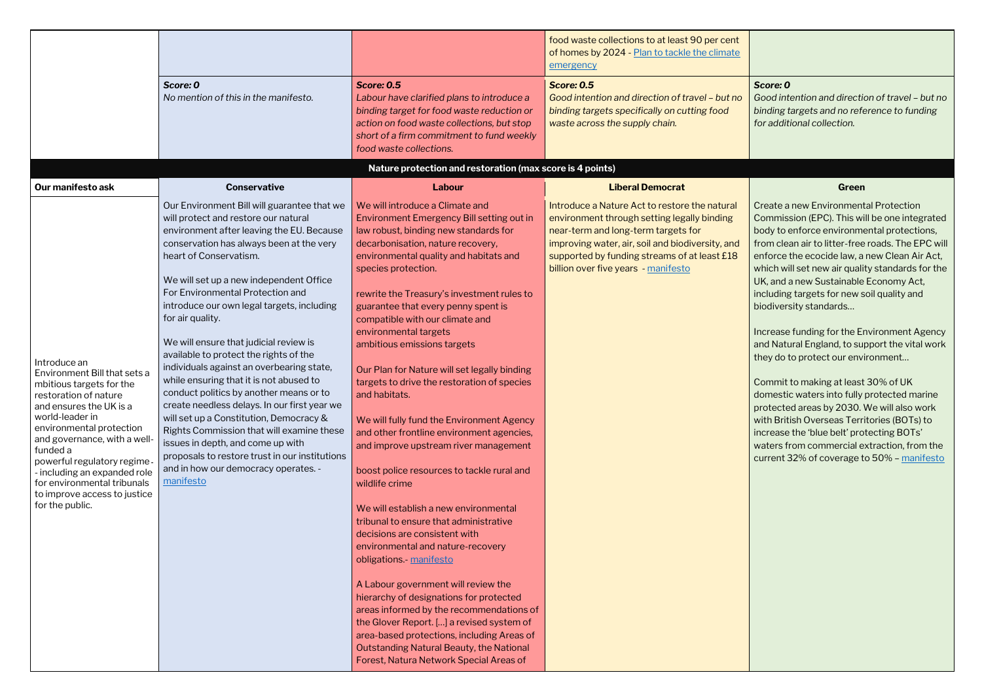*Score: 0 Good intention and direction of travel – but no binding targets and no reference to funding for additional collection.*

|                                                                                                                                                                                                                                                                                                                                                                         |                                                                                                                                                                                                                                                                                                                                                                                                                                                                                                                                                                                                                                                                                                                                                                                                                                                                    |                                                                                                                                                                                                                                                                                                                                                                                                                                                                                                                                                                                                                                                                                                                                                                                                                                                                                                                                                                                                                                                                                                                                                                                                                                           | food waste collections to at least 90 per cent<br>of homes by 2024 - Plan to tackle the climate<br>emergency                                                                                                                                                                   |                                                                                                                                                                                                                                                                                                                                                                                                                                                                                                                                                                                 |
|-------------------------------------------------------------------------------------------------------------------------------------------------------------------------------------------------------------------------------------------------------------------------------------------------------------------------------------------------------------------------|--------------------------------------------------------------------------------------------------------------------------------------------------------------------------------------------------------------------------------------------------------------------------------------------------------------------------------------------------------------------------------------------------------------------------------------------------------------------------------------------------------------------------------------------------------------------------------------------------------------------------------------------------------------------------------------------------------------------------------------------------------------------------------------------------------------------------------------------------------------------|-------------------------------------------------------------------------------------------------------------------------------------------------------------------------------------------------------------------------------------------------------------------------------------------------------------------------------------------------------------------------------------------------------------------------------------------------------------------------------------------------------------------------------------------------------------------------------------------------------------------------------------------------------------------------------------------------------------------------------------------------------------------------------------------------------------------------------------------------------------------------------------------------------------------------------------------------------------------------------------------------------------------------------------------------------------------------------------------------------------------------------------------------------------------------------------------------------------------------------------------|--------------------------------------------------------------------------------------------------------------------------------------------------------------------------------------------------------------------------------------------------------------------------------|---------------------------------------------------------------------------------------------------------------------------------------------------------------------------------------------------------------------------------------------------------------------------------------------------------------------------------------------------------------------------------------------------------------------------------------------------------------------------------------------------------------------------------------------------------------------------------|
|                                                                                                                                                                                                                                                                                                                                                                         | Score: 0<br>No mention of this in the manifesto.                                                                                                                                                                                                                                                                                                                                                                                                                                                                                                                                                                                                                                                                                                                                                                                                                   | <b>Score: 0.5</b><br>Labour have clarified plans to introduce a<br>binding target for food waste reduction or<br>action on food waste collections, but stop<br>short of a firm commitment to fund weekly<br>food waste collections.                                                                                                                                                                                                                                                                                                                                                                                                                                                                                                                                                                                                                                                                                                                                                                                                                                                                                                                                                                                                       | <b>Score: 0.5</b><br>Good intention and direction of travel - but no<br>binding targets specifically on cutting food<br>waste across the supply chain.                                                                                                                         | Score: 0<br>Good intention and directi<br>binding targets and no refe<br>for additional collection.                                                                                                                                                                                                                                                                                                                                                                                                                                                                             |
|                                                                                                                                                                                                                                                                                                                                                                         |                                                                                                                                                                                                                                                                                                                                                                                                                                                                                                                                                                                                                                                                                                                                                                                                                                                                    | Nature protection and restoration (max score is 4 points)                                                                                                                                                                                                                                                                                                                                                                                                                                                                                                                                                                                                                                                                                                                                                                                                                                                                                                                                                                                                                                                                                                                                                                                 |                                                                                                                                                                                                                                                                                |                                                                                                                                                                                                                                                                                                                                                                                                                                                                                                                                                                                 |
| Our manifesto ask                                                                                                                                                                                                                                                                                                                                                       | <b>Conservative</b>                                                                                                                                                                                                                                                                                                                                                                                                                                                                                                                                                                                                                                                                                                                                                                                                                                                | Labour                                                                                                                                                                                                                                                                                                                                                                                                                                                                                                                                                                                                                                                                                                                                                                                                                                                                                                                                                                                                                                                                                                                                                                                                                                    | <b>Liberal Democrat</b>                                                                                                                                                                                                                                                        | Green                                                                                                                                                                                                                                                                                                                                                                                                                                                                                                                                                                           |
| Introduce an<br>Environment Bill that sets a<br>mbitious targets for the<br>restoration of nature<br>and ensures the UK is a<br>world-leader in<br>environmental protection<br>and governance, with a well-<br>funded a<br>powerful regulatory regime<br>- including an expanded role<br>for environmental tribunals<br>to improve access to justice<br>for the public. | Our Environment Bill will guarantee that we<br>will protect and restore our natural<br>environment after leaving the EU. Because<br>conservation has always been at the very<br>heart of Conservatism.<br>We will set up a new independent Office<br>For Environmental Protection and<br>introduce our own legal targets, including<br>for air quality.<br>We will ensure that judicial review is<br>available to protect the rights of the<br>individuals against an overbearing state,<br>while ensuring that it is not abused to<br>conduct politics by another means or to<br>create needless delays. In our first year we<br>will set up a Constitution, Democracy &<br>Rights Commission that will examine these<br>issues in depth, and come up with<br>proposals to restore trust in our institutions<br>and in how our democracy operates. -<br>manifesto | We will introduce a Climate and<br>Environment Emergency Bill setting out in<br>law robust, binding new standards for<br>decarbonisation, nature recovery,<br>environmental quality and habitats and<br>species protection.<br>rewrite the Treasury's investment rules to<br>guarantee that every penny spent is<br>compatible with our climate and<br>environmental targets<br>ambitious emissions targets<br>Our Plan for Nature will set legally binding<br>targets to drive the restoration of species<br>and habitats.<br>We will fully fund the Environment Agency<br>and other frontline environment agencies,<br>and improve upstream river management<br>boost police resources to tackle rural and<br>wildlife crime<br>We will establish a new environmental<br>tribunal to ensure that administrative<br>decisions are consistent with<br>environmental and nature-recovery<br>obligations.- manifesto<br>A Labour government will review the<br>hierarchy of designations for protected<br>areas informed by the recommendations of<br>the Glover Report. [] a revised system of<br>area-based protections, including Areas of<br><b>Outstanding Natural Beauty, the National</b><br>Forest, Natura Network Special Areas of | Introduce a Nature Act to restore the natural<br>environment through setting legally binding<br>near-term and long-term targets for<br>improving water, air, soil and biodiversity, and<br>supported by funding streams of at least £18<br>billion over five years - manifesto | Create a new Environment<br>Commission (EPC). This wi<br>body to enforce environm<br>from clean air to litter-free<br>enforce the ecocide law, a<br>which will set new air quali<br>UK, and a new Sustainable<br>including targets for new s<br>biodiversity standards<br>Increase funding for the Er<br>and Natural England, to su<br>they do to protect our env<br>Commit to making at least<br>domestic waters into fully<br>protected areas by 2030.<br>with British Overseas Terr<br>increase the 'blue belt' pro<br>waters from commercial e<br>current 32% of coverage t |

Create a new Environmental Protection Commission (EPC). This will be one integrated body to enforce environmental protections, from clean air to litter-free roads. The EPC will enforce the ecocide law, a new Clean Air Act, which will set new air quality standards for the UK, and a new Sustainable Economy Act, including targets for new soil quality and biodiversity standards…

Increase funding for the Environment Agency and Natural England, to support the vital work they do to protect our environment...

Commit to making at least 30% of UK domestic waters into fully protected marine protected areas by 2030. We will also work with British Overseas Territories (BOTs) to increase the 'blue belt' protecting BOTs' waters from commercial extraction, from the current 32% of coverage to 50% – [manifesto](https://www.greenparty.org.uk/assets/files/Elections/Green%20Party%20Manifesto%202019.pdf)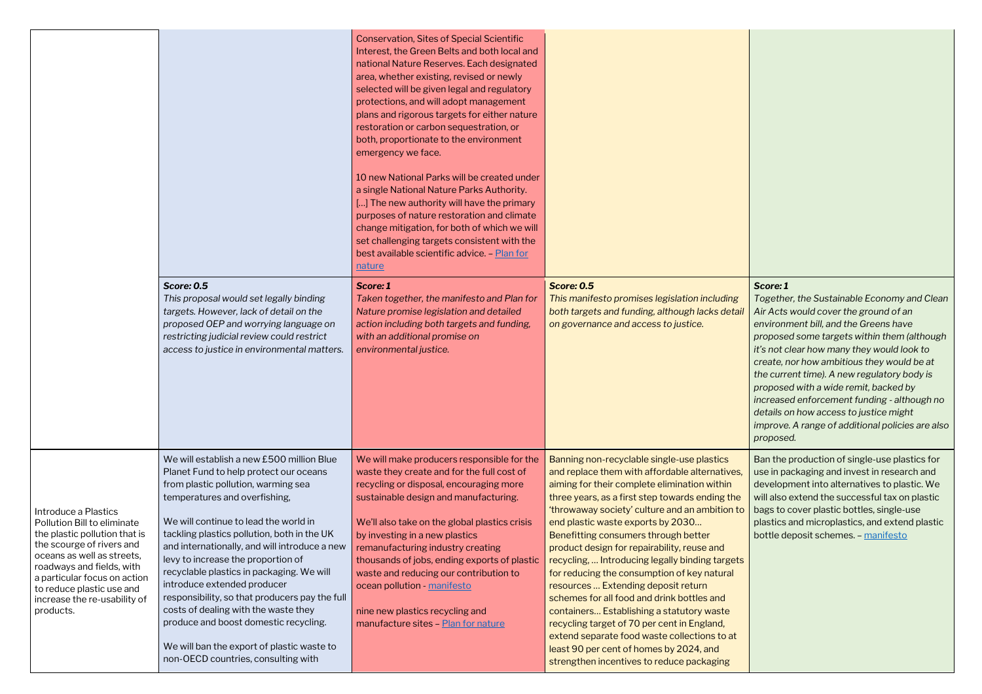*Together, the Sustainable Economy and Clean Air Acts would cover the ground of an environment bill, and the Greens have proposed some targets within them (although it's not clear how many they would look to create, nor how ambitious they would be at the current time). A new regulatory body is proposed with a wide remit, backed by increased enforcement funding - although no details on how access to justice might improve. A range of additional policies are also proposed.* 

|                                                                                                                                                                                                                                                                                        | <b>Score: 0.5</b><br>This proposal would set legally binding<br>targets. However, lack of detail on the<br>proposed OEP and worrying language on<br>restricting judicial review could restrict<br>access to justice in environmental matters.                                                                                                                                                                                                                                                                                                                                                                                                  | <b>Conservation, Sites of Special Scientific</b><br>Interest, the Green Belts and both local and<br>national Nature Reserves. Each designated<br>area, whether existing, revised or newly<br>selected will be given legal and regulatory<br>protections, and will adopt management<br>plans and rigorous targets for either nature<br>restoration or carbon sequestration, or<br>both, proportionate to the environment<br>emergency we face.<br>10 new National Parks will be created under<br>a single National Nature Parks Authority.<br>[] The new authority will have the primary<br>purposes of nature restoration and climate<br>change mitigation, for both of which we will<br>set challenging targets consistent with the<br>best available scientific advice - Plan for<br>nature<br>Score: 1<br>Taken together, the manifesto and Plan for<br>Nature promise legislation and detailed<br>action including both targets and funding,<br>with an additional promise on<br>environmental justice. | <b>Score: 0.5</b><br>This manifesto promises legislation including<br>both targets and funding, although lacks detail<br>on governance and access to justice.                                                                                                                                                                                                                                                                                                                                                                                                                                                                                                                                                                                                                                            |
|----------------------------------------------------------------------------------------------------------------------------------------------------------------------------------------------------------------------------------------------------------------------------------------|------------------------------------------------------------------------------------------------------------------------------------------------------------------------------------------------------------------------------------------------------------------------------------------------------------------------------------------------------------------------------------------------------------------------------------------------------------------------------------------------------------------------------------------------------------------------------------------------------------------------------------------------|-------------------------------------------------------------------------------------------------------------------------------------------------------------------------------------------------------------------------------------------------------------------------------------------------------------------------------------------------------------------------------------------------------------------------------------------------------------------------------------------------------------------------------------------------------------------------------------------------------------------------------------------------------------------------------------------------------------------------------------------------------------------------------------------------------------------------------------------------------------------------------------------------------------------------------------------------------------------------------------------------------------|----------------------------------------------------------------------------------------------------------------------------------------------------------------------------------------------------------------------------------------------------------------------------------------------------------------------------------------------------------------------------------------------------------------------------------------------------------------------------------------------------------------------------------------------------------------------------------------------------------------------------------------------------------------------------------------------------------------------------------------------------------------------------------------------------------|
| Introduce a Plastics<br>Pollution Bill to eliminate<br>the plastic pollution that is<br>the scourge of rivers and<br>oceans as well as streets,<br>roadways and fields, with<br>a particular focus on action<br>to reduce plastic use and<br>increase the re-usability of<br>products. | We will establish a new £500 million Blue<br>Planet Fund to help protect our oceans<br>from plastic pollution, warming sea<br>temperatures and overfishing,<br>We will continue to lead the world in<br>tackling plastics pollution, both in the UK<br>and internationally, and will introduce a new<br>levy to increase the proportion of<br>recyclable plastics in packaging. We will<br>introduce extended producer<br>responsibility, so that producers pay the full<br>costs of dealing with the waste they<br>produce and boost domestic recycling.<br>We will ban the export of plastic waste to<br>non-OECD countries, consulting with | We will make producers responsible for the<br>waste they create and for the full cost of<br>recycling or disposal, encouraging more<br>sustainable design and manufacturing.<br>We'll also take on the global plastics crisis<br>by investing in a new plastics<br>remanufacturing industry creating<br>thousands of jobs, ending exports of plastic<br>waste and reducing our contribution to<br>ocean pollution - manifesto<br>nine new plastics recycling and<br>manufacture sites - Plan for nature                                                                                                                                                                                                                                                                                                                                                                                                                                                                                                     | Banning non-recyclable single-use plastics<br>and replace them with affordable alternatives,<br>aiming for their complete elimination within<br>three years, as a first step towards ending the<br>'throwaway society' culture and an ambition to<br>end plastic waste exports by 2030<br>Benefitting consumers through better<br>product design for repairability, reuse and<br>recycling,  Introducing legally binding targets<br>for reducing the consumption of key natural<br>resources  Extending deposit return<br>schemes for all food and drink bottles and<br>containers Establishing a statutory waste<br>recycling target of 70 per cent in England,<br>extend separate food waste collections to at<br>least 90 per cent of homes by 2024, and<br>strengthen incentives to reduce packaging |

Ban the production of single-use plastics for use in packaging and invest in research and development into alternatives to plastic. We will also extend the successful tax on plastic bags to cover plastic bottles, single-use plastics and microplastics, and extend plastic bottle deposit schemes. – [manifesto](https://www.greenparty.org.uk/assets/files/Elections/Green%20Party%20Manifesto%202019.pdf)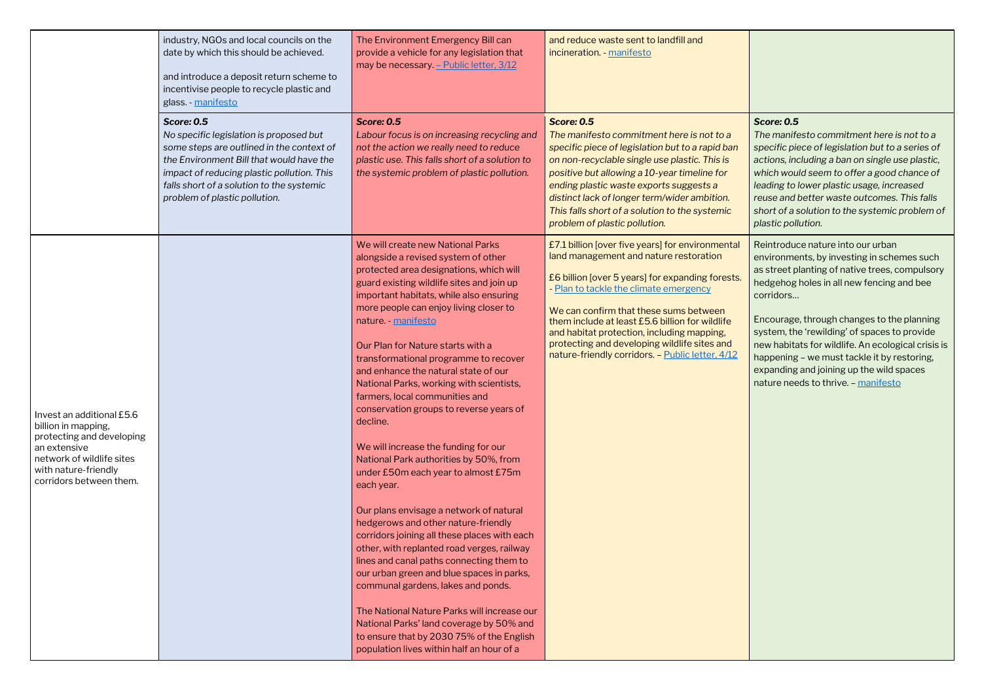### *Score: 0.5*

*The manifesto commitment here is not to a specific piece of legislation but to a series of actions, including a ban on single use plastic, which would seem to offer a good chance of leading to lower plastic usage, increased reuse and better waste outcomes. This falls short of a solution to the systemic problem of plastic pollution.*

|                                                                                                                                                                               | industry, NGOs and local councils on the<br>date by which this should be achieved.<br>and introduce a deposit return scheme to<br>incentivise people to recycle plastic and<br>glass. - manifesto                                                                                 | The Environment Emergency Bill can<br>provide a vehicle for any legislation that<br>may be necessary. - Public letter, 3/12                                                                                                                                                                                                                                                                                                                                                                                                                                                                                                                                                                                                                                                                                                                                                                                                                                                                                                                                                                                                                                                        | and reduce waste sent to landfill and<br>incineration. - manifesto                                                                                                                                                                                                                                                                                                                                                                      |
|-------------------------------------------------------------------------------------------------------------------------------------------------------------------------------|-----------------------------------------------------------------------------------------------------------------------------------------------------------------------------------------------------------------------------------------------------------------------------------|------------------------------------------------------------------------------------------------------------------------------------------------------------------------------------------------------------------------------------------------------------------------------------------------------------------------------------------------------------------------------------------------------------------------------------------------------------------------------------------------------------------------------------------------------------------------------------------------------------------------------------------------------------------------------------------------------------------------------------------------------------------------------------------------------------------------------------------------------------------------------------------------------------------------------------------------------------------------------------------------------------------------------------------------------------------------------------------------------------------------------------------------------------------------------------|-----------------------------------------------------------------------------------------------------------------------------------------------------------------------------------------------------------------------------------------------------------------------------------------------------------------------------------------------------------------------------------------------------------------------------------------|
|                                                                                                                                                                               | <b>Score: 0.5</b><br>No specific legislation is proposed but<br>some steps are outlined in the context of<br>the Environment Bill that would have the<br>impact of reducing plastic pollution. This<br>falls short of a solution to the systemic<br>problem of plastic pollution. | <b>Score: 0.5</b><br>Labour focus is on increasing recycling and<br>not the action we really need to reduce<br>plastic use. This falls short of a solution to<br>the systemic problem of plastic pollution.                                                                                                                                                                                                                                                                                                                                                                                                                                                                                                                                                                                                                                                                                                                                                                                                                                                                                                                                                                        | <b>Score: 0.5</b><br>The manifesto commitment here is not to a<br>specific piece of legislation but to a rapid ban<br>on non-recyclable single use plastic. This is<br>positive but allowing a 10-year timeline for<br>ending plastic waste exports suggests a<br>distinct lack of longer term/wider ambition.<br>This falls short of a solution to the systemic<br>problem of plastic pollution.                                       |
| Invest an additional £5.6<br>billion in mapping,<br>protecting and developing<br>an extensive<br>network of wildlife sites<br>with nature-friendly<br>corridors between them. |                                                                                                                                                                                                                                                                                   | We will create new National Parks<br>alongside a revised system of other<br>protected area designations, which will<br>guard existing wildlife sites and join up<br>important habitats, while also ensuring<br>more people can enjoy living closer to<br>nature. - manifesto<br>Our Plan for Nature starts with a<br>transformational programme to recover<br>and enhance the natural state of our<br>National Parks, working with scientists,<br>farmers, local communities and<br>conservation groups to reverse years of<br>decline.<br>We will increase the funding for our<br>National Park authorities by 50%, from<br>under £50m each year to almost £75m<br>each year.<br>Our plans envisage a network of natural<br>hedgerows and other nature-friendly<br>corridors joining all these places with each<br>other, with replanted road verges, railway<br>lines and canal paths connecting them to<br>our urban green and blue spaces in parks,<br>communal gardens, lakes and ponds.<br>The National Nature Parks will increase our<br>National Parks' land coverage by 50% and<br>to ensure that by 2030 75% of the English<br>population lives within half an hour of a | £7.1 billion [over five years] for environmental<br>land management and nature restoration<br>£6 billion [over 5 years] for expanding forests.<br>- Plan to tackle the climate emergency<br>We can confirm that these sums between<br>them include at least £5.6 billion for wildlife<br>and habitat protection, including mapping,<br>protecting and developing wildlife sites and<br>nature-friendly corridors. - Public letter, 4/12 |

Reintroduce nature into our urban environments, by investing in schemes such as street planting of native trees, compulsory hedgehog holes in all new fencing and bee corridors…

Encourage, through changes to the planning system, the 'rewilding' of spaces to provide new habitats for wildlife. An ecological crisis is happening – we must tackle it by restoring, expanding and joining up the wild spaces nature needs to thrive. – [manifesto](https://www.greenparty.org.uk/assets/files/Elections/Green%20Party%20Manifesto%202019.pdf)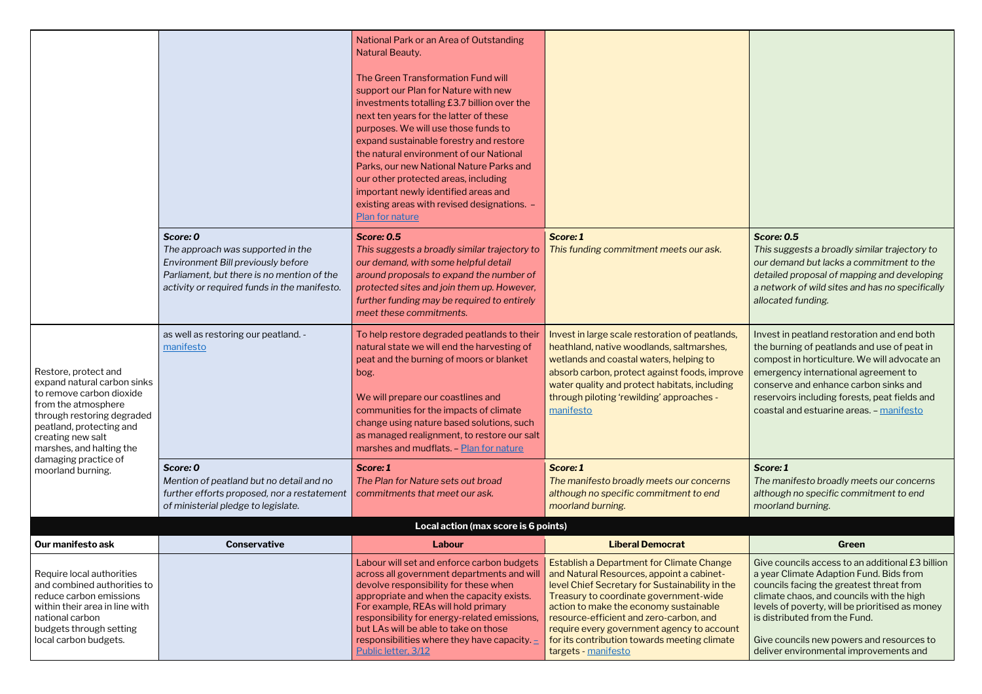#### *Score: 0.5*

*This suggests a broadly similar trajectory to our demand but lacks a commitment to the detailed proposal of mapping and developing a network of wild sites and has no specifically allocated funding.*

|                                                                                                                                                                                                                   |                                                                                                                                                                                   | National Park or an Area of Outstanding<br>Natural Beauty.<br>The Green Transformation Fund will<br>support our Plan for Nature with new<br>investments totalling £3.7 billion over the<br>next ten years for the latter of these<br>purposes. We will use those funds to<br>expand sustainable forestry and restore<br>the natural environment of our National<br>Parks, our new National Nature Parks and<br>our other protected areas, including<br>important newly identified areas and<br>existing areas with revised designations. - |                                                                                                                                                                                                                                                                                                                                                                                                      |                                                                                                                                                                                                                                                |
|-------------------------------------------------------------------------------------------------------------------------------------------------------------------------------------------------------------------|-----------------------------------------------------------------------------------------------------------------------------------------------------------------------------------|--------------------------------------------------------------------------------------------------------------------------------------------------------------------------------------------------------------------------------------------------------------------------------------------------------------------------------------------------------------------------------------------------------------------------------------------------------------------------------------------------------------------------------------------|------------------------------------------------------------------------------------------------------------------------------------------------------------------------------------------------------------------------------------------------------------------------------------------------------------------------------------------------------------------------------------------------------|------------------------------------------------------------------------------------------------------------------------------------------------------------------------------------------------------------------------------------------------|
|                                                                                                                                                                                                                   | Score: 0<br>The approach was supported in the<br>Environment Bill previously before<br>Parliament, but there is no mention of the<br>activity or required funds in the manifesto. | Plan for nature<br><b>Score: 0.5</b><br>This suggests a broadly similar trajectory to<br>our demand, with some helpful detail<br>around proposals to expand the number of<br>protected sites and join them up. However,<br>further funding may be required to entirely<br>meet these commitments.                                                                                                                                                                                                                                          | Score: 1<br>This funding commitment meets our ask.                                                                                                                                                                                                                                                                                                                                                   | <b>Score: 0.5</b><br>This suggests a broadly sir<br>our demand but lacks a co<br>detailed proposal of mapp<br>a network of wild sites and<br>allocated funding.                                                                                |
| Restore, protect and<br>expand natural carbon sinks<br>to remove carbon dioxide<br>from the atmosphere<br>through restoring degraded<br>peatland, protecting and<br>creating new salt<br>marshes, and halting the | as well as restoring our peatland. -<br>manifesto                                                                                                                                 | To help restore degraded peatlands to their<br>natural state we will end the harvesting of<br>peat and the burning of moors or blanket<br>bog.<br>We will prepare our coastlines and<br>communities for the impacts of climate<br>change using nature based solutions, such<br>as managed realignment, to restore our salt<br>marshes and mudflats. - Plan for nature                                                                                                                                                                      | Invest in large scale restoration of peatlands,<br>heathland, native woodlands, saltmarshes,<br>wetlands and coastal waters, helping to<br>absorb carbon, protect against foods, improve<br>water quality and protect habitats, including<br>through piloting 'rewilding' approaches -<br>manifesto                                                                                                  | Invest in peatland restorat<br>the burning of peatlands a<br>compost in horticulture. W<br>emergency international a<br>conserve and enhance car<br>reservoirs including forest<br>coastal and estuarine area                                  |
| damaging practice of<br>moorland burning.                                                                                                                                                                         | Score: 0<br>Mention of peatland but no detail and no<br>further efforts proposed, nor a restatement<br>of ministerial pledge to legislate.                                        | Score: 1<br>The Plan for Nature sets out broad<br>commitments that meet our ask.                                                                                                                                                                                                                                                                                                                                                                                                                                                           | Score: 1<br>The manifesto broadly meets our concerns<br>although no specific commitment to end<br>moorland burning.                                                                                                                                                                                                                                                                                  | Score: 1<br>The manifesto broadly me<br>although no specific comn<br>moorland burning.                                                                                                                                                         |
|                                                                                                                                                                                                                   |                                                                                                                                                                                   | Local action (max score is 6 points)                                                                                                                                                                                                                                                                                                                                                                                                                                                                                                       |                                                                                                                                                                                                                                                                                                                                                                                                      |                                                                                                                                                                                                                                                |
| Our manifesto ask                                                                                                                                                                                                 | <b>Conservative</b>                                                                                                                                                               | Labour                                                                                                                                                                                                                                                                                                                                                                                                                                                                                                                                     | <b>Liberal Democrat</b>                                                                                                                                                                                                                                                                                                                                                                              | Green                                                                                                                                                                                                                                          |
| Require local authorities<br>and combined authorities to<br>reduce carbon emissions<br>within their area in line with<br>national carbon<br>budgets through setting<br>local carbon budgets.                      |                                                                                                                                                                                   | Labour will set and enforce carbon budgets<br>across all government departments and will<br>devolve responsibility for these when<br>appropriate and when the capacity exists.<br>For example, REAs will hold primary<br>responsibility for energy-related emissions,<br>but LAs will be able to take on those<br>responsibilities where they have capacity. $\pm$<br>Public letter, 3/12                                                                                                                                                  | <b>Establish a Department for Climate Change</b><br>and Natural Resources, appoint a cabinet-<br>level Chief Secretary for Sustainability in the<br>Treasury to coordinate government-wide<br>action to make the economy sustainable<br>resource-efficient and zero-carbon, and<br>require every government agency to account<br>for its contribution towards meeting climate<br>targets - manifesto | Give councils access to an<br>a year Climate Adaption Fu<br>councils facing the greates<br>climate chaos, and council<br>levels of poverty, will be pr<br>is distributed from the Fur<br>Give councils new powers<br>deliver environmental imp |

Invest in peatland restoration and end both the burning of peatlands and use of peat in compost in horticulture. We will advocate an e amergency international agreement to conserve and enhance carbon sinks and reservoirs including forests, peat fields and coastal and estuarine areas. – [manifesto](https://www.greenparty.org.uk/assets/files/Elections/Green%20Party%20Manifesto%202019.pdf)

#### *Score: 1*

*The manifesto broadly meets our concerns although no specific commitment to end moorland burning.*

Give councils access to an additional £3 billion a year Climate Adaption Fund. Bids from councils facing the greatest threat from climate chaos, and councils with the high levels of poverty, will be prioritised as money is distributed from the Fund.

Give councils new powers and resources to deliver environmental improvements and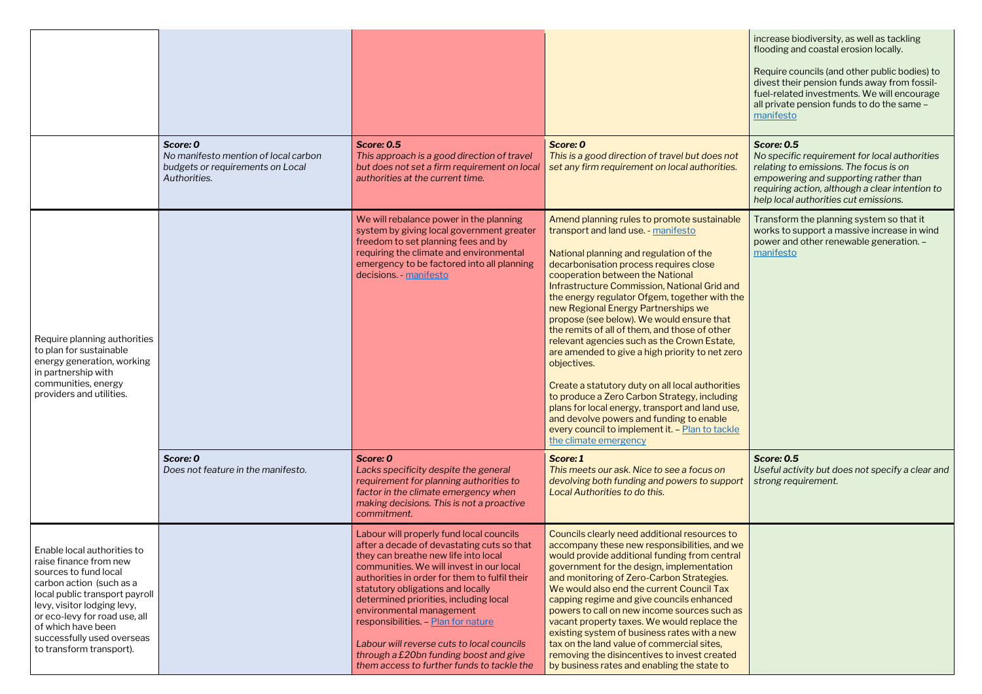| increase biodiversity, as well as tackling<br>flooding and coastal erosion locally.                                                                                                                                                               |
|---------------------------------------------------------------------------------------------------------------------------------------------------------------------------------------------------------------------------------------------------|
| Require councils (and other public bodies) to<br>divest their pension funds away from fossil-<br>fuel-related investments. We will encourage<br>all private pension funds to do the same -<br>manifesto                                           |
| <b>Score: 0.5</b><br>No specific requirement for local authorities<br>relating to emissions. The focus is on<br>empowering and supporting rather than<br>requiring action, although a clear intention to<br>help local authorities cut emissions. |
| Transform the planning system so that it<br>works to support a massive increase in wind<br>power and other renewable generation. -<br>manifesto                                                                                                   |
| <b>Score: 0.5</b><br>Useful activity but does not specify a clear and<br>strong requirement.                                                                                                                                                      |
|                                                                                                                                                                                                                                                   |

|                                                                                                                                                                                                                                                                                              | Score: 0<br>No manifesto mention of local carbon<br>budgets or requirements on Local<br>Authorities. | <b>Score: 0.5</b><br>This approach is a good direction of travel<br>but does not set a firm requirement on local<br>authorities at the current time.                                                                                                                                                                                                                                                                                                                                                                | Score: 0<br>This is a good direction of travel but does not<br>set any firm requirement on local authorities.                                                                                                                                                                                                                                                                                                                                                                                                                                                                                                                                                                                                                                                                                                                                     |
|----------------------------------------------------------------------------------------------------------------------------------------------------------------------------------------------------------------------------------------------------------------------------------------------|------------------------------------------------------------------------------------------------------|---------------------------------------------------------------------------------------------------------------------------------------------------------------------------------------------------------------------------------------------------------------------------------------------------------------------------------------------------------------------------------------------------------------------------------------------------------------------------------------------------------------------|---------------------------------------------------------------------------------------------------------------------------------------------------------------------------------------------------------------------------------------------------------------------------------------------------------------------------------------------------------------------------------------------------------------------------------------------------------------------------------------------------------------------------------------------------------------------------------------------------------------------------------------------------------------------------------------------------------------------------------------------------------------------------------------------------------------------------------------------------|
| Require planning authorities<br>to plan for sustainable<br>energy generation, working<br>in partnership with<br>communities, energy<br>providers and utilities.                                                                                                                              |                                                                                                      | We will rebalance power in the planning<br>system by giving local government greater<br>freedom to set planning fees and by<br>requiring the climate and environmental<br>emergency to be factored into all planning<br>decisions. - manifesto                                                                                                                                                                                                                                                                      | Amend planning rules to promote sustainable<br>transport and land use. - manifesto<br>National planning and regulation of the<br>decarbonisation process requires close<br>cooperation between the National<br>Infrastructure Commission, National Grid and<br>the energy regulator Ofgem, together with the<br>new Regional Energy Partnerships we<br>propose (see below). We would ensure that<br>the remits of all of them, and those of other<br>relevant agencies such as the Crown Estate,<br>are amended to give a high priority to net zero<br>objectives.<br>Create a statutory duty on all local authorities<br>to produce a Zero Carbon Strategy, including<br>plans for local energy, transport and land use,<br>and devolve powers and funding to enable<br>every council to implement it. - Plan to tackle<br>the climate emergency |
|                                                                                                                                                                                                                                                                                              | Score: 0<br>Does not feature in the manifesto.                                                       | Score: 0<br>Lacks specificity despite the general<br>requirement for planning authorities to<br>factor in the climate emergency when<br>making decisions. This is not a proactive<br>commitment.                                                                                                                                                                                                                                                                                                                    | Score: 1<br>This meets our ask. Nice to see a focus on<br>devolving both funding and powers to support<br>Local Authorities to do this.                                                                                                                                                                                                                                                                                                                                                                                                                                                                                                                                                                                                                                                                                                           |
| Enable local authorities to<br>raise finance from new<br>sources to fund local<br>carbon action (such as a<br>local public transport payroll<br>levy, visitor lodging levy,<br>or eco-levy for road use, all<br>of which have been<br>successfully used overseas<br>to transform transport). |                                                                                                      | Labour will properly fund local councils<br>after a decade of devastating cuts so that<br>they can breathe new life into local<br>communities. We will invest in our local<br>authorities in order for them to fulfil their<br>statutory obligations and locally<br>determined priorities, including local<br>environmental management<br>responsibilities. - Plan for nature<br>Labour will reverse cuts to local councils<br>through a £20bn funding boost and give<br>them access to further funds to tackle the | Councils clearly need additional resources to<br>accompany these new responsibilities, and we<br>would provide additional funding from central<br>government for the design, implementation<br>and monitoring of Zero-Carbon Strategies.<br>We would also end the current Council Tax<br>capping regime and give councils enhanced<br>powers to call on new income sources such as<br>vacant property taxes. We would replace the<br>existing system of business rates with a new<br>tax on the land value of commercial sites,<br>removing the disincentives to invest created<br>by business rates and enabling the state to                                                                                                                                                                                                                    |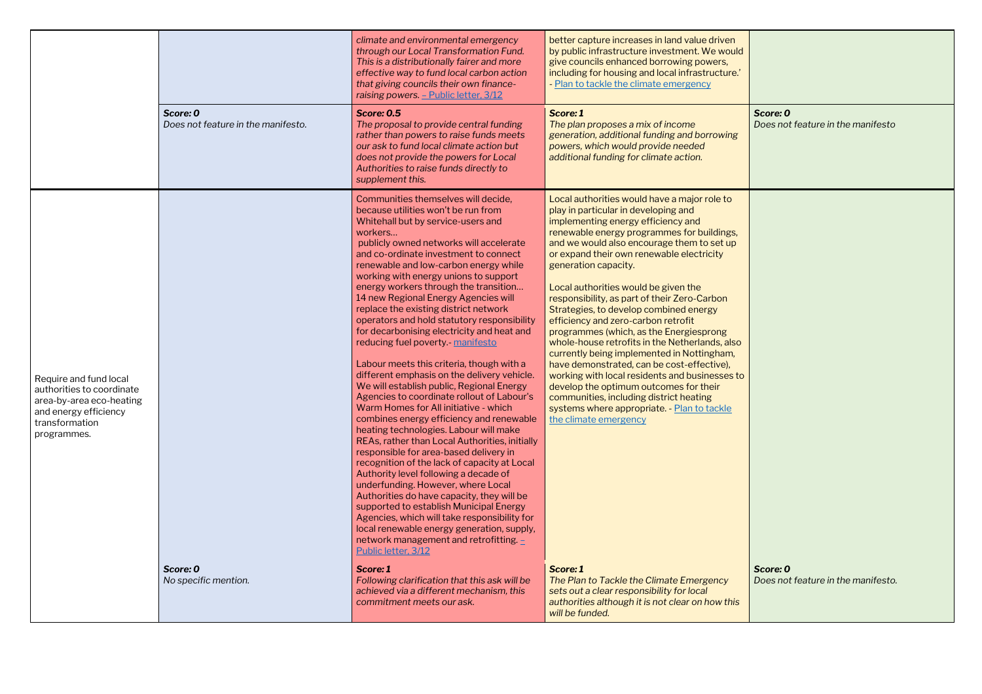|                                                                                                                                           |                                                | climate and environmental emergency<br>through our Local Transformation Fund.<br>This is a distributionally fairer and more<br>effective way to fund local carbon action<br>that giving councils their own finance-<br>raising powers. - Public letter, 3/12                                                                                                                                                                                                                                                                                                                                                                                                                                                                                                                                                                                                                                                                                                                                                                                                                                                                                                                                                                                                                                                                                                               | better capture increases in land value driven<br>by public infrastructure investment. We would<br>give councils enhanced borrowing powers,<br>including for housing and local infrastructure.'<br>- Plan to tackle the climate emergency                                                                                                                                                                                                                                                                                                                                                                                                                                                                                                                                                                                                                                     |
|-------------------------------------------------------------------------------------------------------------------------------------------|------------------------------------------------|----------------------------------------------------------------------------------------------------------------------------------------------------------------------------------------------------------------------------------------------------------------------------------------------------------------------------------------------------------------------------------------------------------------------------------------------------------------------------------------------------------------------------------------------------------------------------------------------------------------------------------------------------------------------------------------------------------------------------------------------------------------------------------------------------------------------------------------------------------------------------------------------------------------------------------------------------------------------------------------------------------------------------------------------------------------------------------------------------------------------------------------------------------------------------------------------------------------------------------------------------------------------------------------------------------------------------------------------------------------------------|------------------------------------------------------------------------------------------------------------------------------------------------------------------------------------------------------------------------------------------------------------------------------------------------------------------------------------------------------------------------------------------------------------------------------------------------------------------------------------------------------------------------------------------------------------------------------------------------------------------------------------------------------------------------------------------------------------------------------------------------------------------------------------------------------------------------------------------------------------------------------|
|                                                                                                                                           | Score: 0<br>Does not feature in the manifesto. | <b>Score: 0.5</b><br>The proposal to provide central funding<br>rather than powers to raise funds meets<br>our ask to fund local climate action but<br>does not provide the powers for Local<br>Authorities to raise funds directly to<br>supplement this.                                                                                                                                                                                                                                                                                                                                                                                                                                                                                                                                                                                                                                                                                                                                                                                                                                                                                                                                                                                                                                                                                                                 | Score: 1<br>The plan proposes a mix of income<br>generation, additional funding and borrowing<br>powers, which would provide needed<br>additional funding for climate action.                                                                                                                                                                                                                                                                                                                                                                                                                                                                                                                                                                                                                                                                                                |
| Require and fund local<br>authorities to coordinate<br>area-by-area eco-heating<br>and energy efficiency<br>transformation<br>programmes. |                                                | Communities themselves will decide,<br>because utilities won't be run from<br>Whitehall but by service-users and<br>workers<br>publicly owned networks will accelerate<br>and co-ordinate investment to connect<br>renewable and low-carbon energy while<br>working with energy unions to support<br>energy workers through the transition<br>14 new Regional Energy Agencies will<br>replace the existing district network<br>operators and hold statutory responsibility<br>for decarbonising electricity and heat and<br>reducing fuel poverty - manifesto<br>Labour meets this criteria, though with a<br>different emphasis on the delivery vehicle.<br>We will establish public, Regional Energy<br>Agencies to coordinate rollout of Labour's<br>Warm Homes for All initiative - which<br>combines energy efficiency and renewable<br>heating technologies. Labour will make<br>REAs, rather than Local Authorities, initially<br>responsible for area-based delivery in<br>recognition of the lack of capacity at Local<br>Authority level following a decade of<br>underfunding. However, where Local<br>Authorities do have capacity, they will be<br>supported to establish Municipal Energy<br>Agencies, which will take responsibility for<br>local renewable energy generation, supply,<br>network management and retrofitting. $\pm$<br>Public letter, 3/12 | Local authorities would have a major role to<br>play in particular in developing and<br>implementing energy efficiency and<br>renewable energy programmes for buildings,<br>and we would also encourage them to set up<br>or expand their own renewable electricity<br>generation capacity.<br>Local authorities would be given the<br>responsibility, as part of their Zero-Carbon<br>Strategies, to develop combined energy<br>efficiency and zero-carbon retrofit<br>programmes (which, as the Energiesprong<br>whole-house retrofits in the Netherlands, also<br>currently being implemented in Nottingham,<br>have demonstrated, can be cost-effective),<br>working with local residents and businesses to<br>develop the optimum outcomes for their<br>communities, including district heating<br>systems where appropriate. - Plan to tackle<br>the climate emergency |
|                                                                                                                                           | Score: 0<br>No specific mention.               | Score: 1<br>Following clarification that this ask will be<br>achieved via a different mechanism, this<br>commitment meets our ask.                                                                                                                                                                                                                                                                                                                                                                                                                                                                                                                                                                                                                                                                                                                                                                                                                                                                                                                                                                                                                                                                                                                                                                                                                                         | Score: 1<br>The Plan to Tackle the Climate Emergency<br>sets out a clear responsibility for local<br>authorities although it is not clear on how this<br>will be funded.                                                                                                                                                                                                                                                                                                                                                                                                                                                                                                                                                                                                                                                                                                     |

| Ł |                                                |  |
|---|------------------------------------------------|--|
|   | Score: 0<br>Does not feature in the manifesto  |  |
|   |                                                |  |
|   |                                                |  |
|   |                                                |  |
|   |                                                |  |
| O |                                                |  |
|   |                                                |  |
|   |                                                |  |
|   |                                                |  |
|   | Score: 0<br>Does not feature in the manifesto. |  |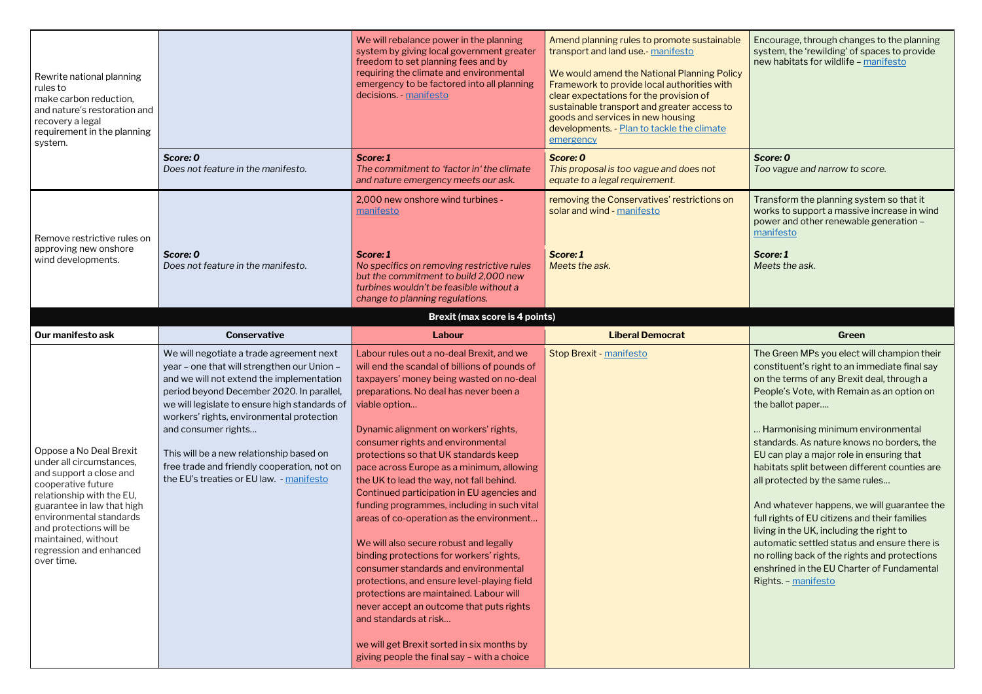Encourage, through changes to the planning system, the 'rewilding' of spaces to provide new habitats for wildlife – [manifesto](https://www.greenparty.org.uk/assets/files/Elections/Green%20Party%20Manifesto%202019.pdf)

*Score: 0 Too vague and narrow to score.*

Transform the planning system so that it works to support a massive increase in wind power and other renewable generation – [manifesto](https://www.greenparty.org.uk/assets/files/Elections/Green%20Party%20Manifesto%202019.pdf)

| Rewrite national planning<br>rules to<br>make carbon reduction,<br>and nature's restoration and<br>recovery a legal<br>requirement in the planning<br>system.                                                                                                                         |                                                                                                                                                                                                                                                                                                                                                                                                                                               | We will rebalance power in the planning<br>system by giving local government greater<br>freedom to set planning fees and by<br>requiring the climate and environmental<br>emergency to be factored into all planning<br>decisions. - manifesto                                                                                                                                                                                                                                                                                                                                                                                                                                                                                                                                                                                                                                                                                                       | Amend planning rules to promote sustainable<br>transport and land use.- manifesto<br>We would amend the National Planning Policy<br>Framework to provide local authorities with<br>clear expectations for the provision of<br>sustainable transport and greater access to<br>goods and services in new housing<br>developments. - Plan to tackle the climate<br>emergency | Encourage, through chang<br>system, the 'rewilding' of s<br>new habitats for wildlife $-$                                                                                                                                                                                                                                                                                                                                                                                                                    |
|---------------------------------------------------------------------------------------------------------------------------------------------------------------------------------------------------------------------------------------------------------------------------------------|-----------------------------------------------------------------------------------------------------------------------------------------------------------------------------------------------------------------------------------------------------------------------------------------------------------------------------------------------------------------------------------------------------------------------------------------------|------------------------------------------------------------------------------------------------------------------------------------------------------------------------------------------------------------------------------------------------------------------------------------------------------------------------------------------------------------------------------------------------------------------------------------------------------------------------------------------------------------------------------------------------------------------------------------------------------------------------------------------------------------------------------------------------------------------------------------------------------------------------------------------------------------------------------------------------------------------------------------------------------------------------------------------------------|---------------------------------------------------------------------------------------------------------------------------------------------------------------------------------------------------------------------------------------------------------------------------------------------------------------------------------------------------------------------------|--------------------------------------------------------------------------------------------------------------------------------------------------------------------------------------------------------------------------------------------------------------------------------------------------------------------------------------------------------------------------------------------------------------------------------------------------------------------------------------------------------------|
|                                                                                                                                                                                                                                                                                       | Score: 0<br>Does not feature in the manifesto.                                                                                                                                                                                                                                                                                                                                                                                                | Score: 1<br>The commitment to 'factor in' the climate<br>and nature emergency meets our ask.                                                                                                                                                                                                                                                                                                                                                                                                                                                                                                                                                                                                                                                                                                                                                                                                                                                         | Score: 0<br>This proposal is too vague and does not<br>equate to a legal requirement.                                                                                                                                                                                                                                                                                     | Score: 0<br>Too vague and narrow to s                                                                                                                                                                                                                                                                                                                                                                                                                                                                        |
| Remove restrictive rules on                                                                                                                                                                                                                                                           |                                                                                                                                                                                                                                                                                                                                                                                                                                               | 2,000 new onshore wind turbines -<br>manifesto                                                                                                                                                                                                                                                                                                                                                                                                                                                                                                                                                                                                                                                                                                                                                                                                                                                                                                       | removing the Conservatives' restrictions on<br>solar and wind - manifesto                                                                                                                                                                                                                                                                                                 | Transform the planning sy<br>works to support a massiv<br>power and other renewabl<br>manifesto                                                                                                                                                                                                                                                                                                                                                                                                              |
| approving new onshore<br>wind developments.                                                                                                                                                                                                                                           | Score: 0<br>Does not feature in the manifesto.                                                                                                                                                                                                                                                                                                                                                                                                | Score: 1<br>No specifics on removing restrictive rules<br>but the commitment to build 2,000 new<br>turbines wouldn't be feasible without a<br>change to planning regulations.                                                                                                                                                                                                                                                                                                                                                                                                                                                                                                                                                                                                                                                                                                                                                                        | Score: 1<br>Meets the ask.                                                                                                                                                                                                                                                                                                                                                | Score: 1<br>Meets the ask.                                                                                                                                                                                                                                                                                                                                                                                                                                                                                   |
|                                                                                                                                                                                                                                                                                       |                                                                                                                                                                                                                                                                                                                                                                                                                                               | <b>Brexit (max score is 4 points)</b>                                                                                                                                                                                                                                                                                                                                                                                                                                                                                                                                                                                                                                                                                                                                                                                                                                                                                                                |                                                                                                                                                                                                                                                                                                                                                                           |                                                                                                                                                                                                                                                                                                                                                                                                                                                                                                              |
| Our manifesto ask                                                                                                                                                                                                                                                                     | <b>Conservative</b>                                                                                                                                                                                                                                                                                                                                                                                                                           | Labour                                                                                                                                                                                                                                                                                                                                                                                                                                                                                                                                                                                                                                                                                                                                                                                                                                                                                                                                               | <b>Liberal Democrat</b>                                                                                                                                                                                                                                                                                                                                                   | Green                                                                                                                                                                                                                                                                                                                                                                                                                                                                                                        |
| Oppose a No Deal Brexit<br>under all circumstances,<br>and support a close and<br>cooperative future<br>relationship with the EU,<br>guarantee in law that high<br>environmental standards<br>and protections will be<br>maintained, without<br>regression and enhanced<br>over time. | We will negotiate a trade agreement next<br>year - one that will strengthen our Union -<br>and we will not extend the implementation<br>period beyond December 2020. In parallel,<br>we will legislate to ensure high standards of<br>workers' rights, environmental protection<br>and consumer rights<br>This will be a new relationship based on<br>free trade and friendly cooperation, not on<br>the EU's treaties or EU law. - manifesto | Labour rules out a no-deal Brexit, and we<br>will end the scandal of billions of pounds of<br>taxpayers' money being wasted on no-deal<br>preparations. No deal has never been a<br>viable option<br>Dynamic alignment on workers' rights,<br>consumer rights and environmental<br>protections so that UK standards keep<br>pace across Europe as a minimum, allowing<br>the UK to lead the way, not fall behind.<br>Continued participation in EU agencies and<br>funding programmes, including in such vital<br>areas of co-operation as the environment<br>We will also secure robust and legally<br>binding protections for workers' rights,<br>consumer standards and environmental<br>protections, and ensure level-playing field<br>protections are maintained. Labour will<br>never accept an outcome that puts rights<br>and standards at risk<br>we will get Brexit sorted in six months by<br>giving people the final say - with a choice | Stop Brexit - manifesto                                                                                                                                                                                                                                                                                                                                                   | The Green MPs you elect \<br>constituent's right to an im<br>on the terms of any Brexit<br>People's Vote, with Remai<br>the ballot paper<br>Harmonising minimum e<br>standards. As nature know<br>EU can play a major role in<br>habitats split between diff<br>all protected by the same i<br>And whatever happens, we<br>full rights of EU citizens an<br>living in the UK, including t<br>automatic settled status a<br>no rolling back of the right<br>enshrined in the EU Charte<br>Rights. - manifesto |

The Green MPs you elect will champion their constituent's right to an immediate final say on the terms of any Brexit deal, through a People's Vote, with Remain as an option on the ballot paper….

… Harmonising minimum environmental standards. As nature knows no borders, the EU can play a major role in ensuring that habitats split between different counties are all protected by the same rules...

And whatever happens, we will guarantee the full rights of EU citizens and their families living in the UK, including the right to automatic settled status and ensure there is no rolling back of the rights and protections enshrined in the EU Charter of Fundamental Rights. – [manifesto](https://www.greenparty.org.uk/assets/files/Elections/Green%20Party%20Manifesto%202019.pdf)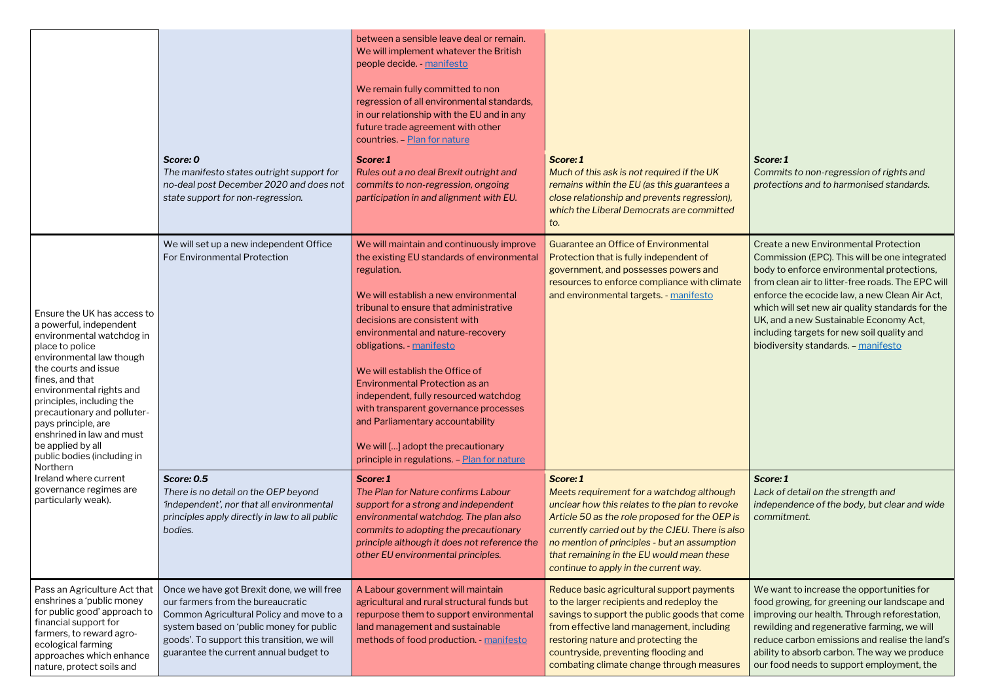### *Score: 1 Commits to non-regression of rights and protections and to harmonised standards.*

Create a new Environmental Protection Commission (EPC). This will be one integrated body to enforce environmental protections, from clean air to litter-free roads. The EPC will enforce the ecocide law, a new Clean Air Act, which will set new air quality standards for the UK, and a new Sustainable Economy Act, including targets for new soil quality and biodiversity standards. - [manifesto](https://www.greenparty.org.uk/assets/files/Elections/Green%20Party%20Manifesto%202019.pdf)

|                                                                                                                                                                                                                                                                                                                                                                                           |                                                                                                                                                                                                                                                                  | between a sensible leave deal or remain.<br>We will implement whatever the British<br>people decide. manifesto<br>We remain fully committed to non<br>regression of all environmental standards,<br>in our relationship with the EU and in any<br>future trade agreement with other<br>countries. - Plan for nature                                                                                                                                                                                                                                                                |                                                                                                                                                                                                                                                                                                                                                     |
|-------------------------------------------------------------------------------------------------------------------------------------------------------------------------------------------------------------------------------------------------------------------------------------------------------------------------------------------------------------------------------------------|------------------------------------------------------------------------------------------------------------------------------------------------------------------------------------------------------------------------------------------------------------------|------------------------------------------------------------------------------------------------------------------------------------------------------------------------------------------------------------------------------------------------------------------------------------------------------------------------------------------------------------------------------------------------------------------------------------------------------------------------------------------------------------------------------------------------------------------------------------|-----------------------------------------------------------------------------------------------------------------------------------------------------------------------------------------------------------------------------------------------------------------------------------------------------------------------------------------------------|
|                                                                                                                                                                                                                                                                                                                                                                                           | Score: 0<br>The manifesto states outright support for<br>no-deal post December 2020 and does not<br>state support for non-regression.                                                                                                                            | Score: 1<br>Rules out a no deal Brexit outright and<br>commits to non-regression, ongoing<br>participation in and alignment with EU.                                                                                                                                                                                                                                                                                                                                                                                                                                               | Score: 1<br>Much of this ask is not required if the UK<br>remains within the EU (as this guarantees a<br>close relationship and prevents regression),<br>which the Liberal Democrats are committed<br>to.                                                                                                                                           |
| Ensure the UK has access to<br>a powerful, independent<br>environmental watchdog in<br>place to police<br>environmental law though<br>the courts and issue<br>fines, and that<br>environmental rights and<br>principles, including the<br>precautionary and polluter-<br>pays principle, are<br>enshrined in law and must<br>be applied by all<br>public bodies (including in<br>Northern | We will set up a new independent Office<br>For Environmental Protection                                                                                                                                                                                          | We will maintain and continuously improve<br>the existing EU standards of environmental<br>regulation.<br>We will establish a new environmental<br>tribunal to ensure that administrative<br>decisions are consistent with<br>environmental and nature-recovery<br>obligations. - manifesto<br>We will establish the Office of<br><b>Environmental Protection as an</b><br>independent, fully resourced watchdog<br>with transparent governance processes<br>and Parliamentary accountability<br>We will [] adopt the precautionary<br>principle in regulations. - Plan for nature | <b>Guarantee an Office of Environmental</b><br>Protection that is fully independent of<br>government, and possesses powers and<br>resources to enforce compliance with climate<br>and environmental targets. - manifesto                                                                                                                            |
| Ireland where current<br>governance regimes are<br>particularly weak).                                                                                                                                                                                                                                                                                                                    | <b>Score: 0.5</b><br>There is no detail on the OEP beyond<br>'independent', nor that all environmental<br>principles apply directly in law to all public<br>bodies.                                                                                              | Score: 1<br>The Plan for Nature confirms Labour<br>support for a strong and independent<br>environmental watchdog. The plan also<br>commits to adopting the precautionary<br>principle although it does not reference the<br>other EU environmental principles.                                                                                                                                                                                                                                                                                                                    | Score: 1<br>Meets requirement for a watchdog although<br>unclear how this relates to the plan to revoke<br>Article 50 as the role proposed for the OEP is<br>currently carried out by the CJEU. There is also<br>no mention of principles - but an assumption<br>that remaining in the EU would mean these<br>continue to apply in the current way. |
| Pass an Agriculture Act that<br>enshrines a 'public money<br>for public good' approach to<br>financial support for<br>farmers, to reward agro-<br>ecological farming<br>approaches which enhance<br>nature, protect soils and                                                                                                                                                             | Once we have got Brexit done, we will free<br>our farmers from the bureaucratic<br>Common Agricultural Policy and move to a<br>system based on 'public money for public<br>goods'. To support this transition, we will<br>guarantee the current annual budget to | A Labour government will maintain<br>agricultural and rural structural funds but<br>repurpose them to support environmental<br>land management and sustainable<br>methods of food production. - manifesto                                                                                                                                                                                                                                                                                                                                                                          | Reduce basic agricultural support payments<br>to the larger recipients and redeploy the<br>savings to support the public goods that come<br>from effective land management, including<br>restoring nature and protecting the<br>countryside, preventing flooding and<br>combating climate change through measures                                   |

#### *Score: 1*

*Lack of detail on the strength and independence of the body, but clear and wide commitment.*

We want to increase the opportunities for food growing, for greening our landscape and improving our health. Through reforestation, rewilding and regenerative farming, we will reduce carbon emissions and realise the land's ability to absorb carbon. The way we produce our food needs to support employment, the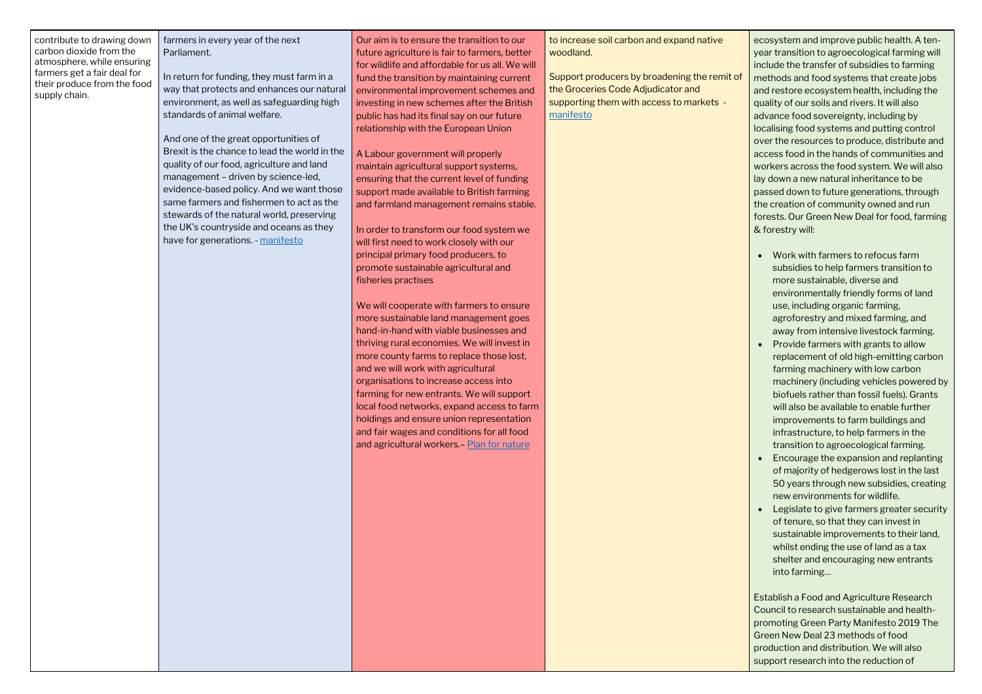| contribute to drawing down  |
|-----------------------------|
| carbon dioxide from the     |
| atmosphere, while ensuring  |
| farmers get a fair deal for |
| their produce from the food |
| supply chain.               |

farmers in every year of the next Parliament.

In return for funding, they must farm in a way that protects and enhances our natural environment, as well as safeguarding high standards of animal welfare.

And one of the great opportunities of Brexit is the chance to lead the world in the quality of our food, agriculture and land management – driven by science-led, evidence-based policy. And we want those same farmers and fishermen to act as the stewards of the natural world, preserving the UK's countryside and oceans as they have for generations. - [manifesto](https://assets-global.website-files.com/5da42e2cae7ebd3f8bde353c/5dda924905da587992a064ba_Conservative%202019%20Manifesto.pdf)

> We will cooperate with farmers to ensure more sustainable land management goes hand-in-hand with viable businesses and thriving rural economies. We will invest in more county farms to replace those lost, and we will work with agricultural organisations to increase access into farming for new entrants. We will support local food networks, expand access to farm holdings and ensure union representation and fair wages and conditions for all food and agricultural workers.- [Plan for nature](https://labour.org.uk/wp-content/uploads/2019/11/FINAL-FOR-WEB_13172_19-Environment-Manifesto.pdf)

Our aim is to ensure the transition to our future agriculture is fair to farmers, better for wildlife and affordable for us all. We will fund the transition by maintaining current environmental improvement schemes and investing in new schemes after the British public has had its final say on our future relationship with the European Union

A Labour government will properly maintain agricultural support systems, ensuring that the current level of funding support made available to British farming and farmland management remains stable.

In order to transform our food system we will first need to work closely with our principal primary food producers, to promote sustainable agricultural and fisheries practises

to increase soil carbon and expand native woodland.

Support producers by broadening the remit of the Groceries Code Adjudicator and supporting them with access to markets [manifesto](https://d3n8a8pro7vhmx.cloudfront.net/libdems/pages/57307/attachments/original/1574251172/Stop_Brexit_and_Build_a_Brighter_Future.pdf?1574251172)

ecosystem and improve public health. A tenyear transition to agroecological farming will include the transfer of subsidies to farming methods and food systems that create jobs and restore ecosystem health, including the quality of our soils and rivers. It will also advance food sovereignty, including by localising food systems and putting control over the resources to produce, distribute and access food in the hands of communities and workers across the food system. We will also lay down a new natural inheritance to be passed down to future generations, through the creation of community owned and run forests. Our Green New Deal for food, farming & forestry will:

- Work with farmers to refocus farm subsidies to help farmers transition to more sustainable, diverse and environmentally friendly forms of land use, including organic farming, agroforestry and mixed farming, and away from intensive livestock farming.
- Provide farmers with grants to allow replacement of old high-emitting carbon farming machinery with low carbon machinery (including vehicles powered by biofuels rather than fossil fuels). Grants will also be available to enable further improvements to farm buildings and infrastructure, to help farmers in the transition to agroecological farming.
- Encourage the expansion and replanting of majority of hedgerows lost in the last 50 years through new subsidies, creating new environments for wildlife.
- Legislate to give farmers greater security of tenure, so that they can invest in sustainable improvements to their land, whilst ending the use of land as a tax shelter and encouraging new entrants into farming…

Establish a Food and Agriculture Research Council to research sustainable and healthpromoting Green Party Manifesto 2019 The Green New Deal 23 methods of food production and distribution. We will also support research into the reduction of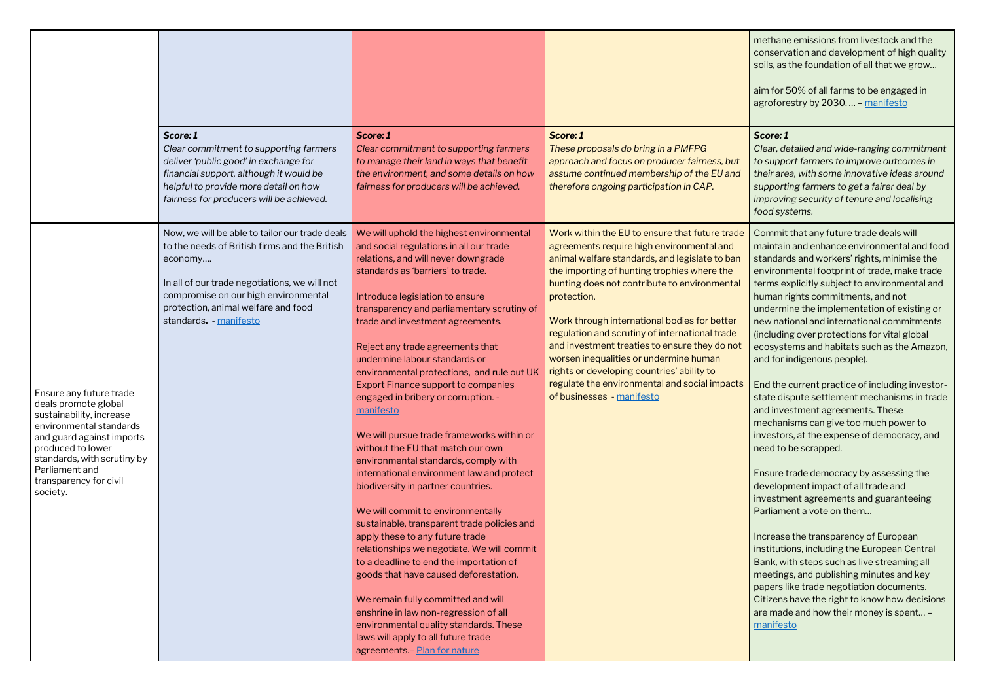|                                                                                                                                                                                                                                                 | Score: 1<br>Clear commitment to supporting farmers<br>deliver 'public good' in exchange for<br>financial support, although it would be<br>helpful to provide more detail on how<br>fairness for producers will be achieved.                                          | Score: 1<br>Clear commitment to supporting farmers<br>to manage their land in ways that benefit<br>the environment, and some details on how<br>fairness for producers will be achieved.                                                                                                                                                                                                                                                                                                                                                                                                                                                                                                                                                                                                                                                                                                                                                                                                                                                                                                                                                                                          | Score: 1<br>These proposals do bring in a PMFPG<br>approach and focus on producer fairness, but<br>assume continued membership of the EU and<br>therefore ongoing participation in CAP.                                                                                                                                                                                                                                                                                                                                                                                              |
|-------------------------------------------------------------------------------------------------------------------------------------------------------------------------------------------------------------------------------------------------|----------------------------------------------------------------------------------------------------------------------------------------------------------------------------------------------------------------------------------------------------------------------|----------------------------------------------------------------------------------------------------------------------------------------------------------------------------------------------------------------------------------------------------------------------------------------------------------------------------------------------------------------------------------------------------------------------------------------------------------------------------------------------------------------------------------------------------------------------------------------------------------------------------------------------------------------------------------------------------------------------------------------------------------------------------------------------------------------------------------------------------------------------------------------------------------------------------------------------------------------------------------------------------------------------------------------------------------------------------------------------------------------------------------------------------------------------------------|--------------------------------------------------------------------------------------------------------------------------------------------------------------------------------------------------------------------------------------------------------------------------------------------------------------------------------------------------------------------------------------------------------------------------------------------------------------------------------------------------------------------------------------------------------------------------------------|
| Ensure any future trade<br>deals promote global<br>sustainability, increase<br>environmental standards<br>and guard against imports<br>produced to lower<br>standards, with scrutiny by<br>Parliament and<br>transparency for civil<br>society. | Now, we will be able to tailor our trade deals<br>to the needs of British firms and the British<br>economy<br>In all of our trade negotiations, we will not<br>compromise on our high environmental<br>protection, animal welfare and food<br>standards. - manifesto | We will uphold the highest environmental<br>and social regulations in all our trade<br>relations, and will never downgrade<br>standards as 'barriers' to trade.<br>Introduce legislation to ensure<br>transparency and parliamentary scrutiny of<br>trade and investment agreements.<br>Reject any trade agreements that<br>undermine labour standards or<br>environmental protections, and rule out UK<br><b>Export Finance support to companies</b><br>engaged in bribery or corruption. -<br>manifesto<br>We will pursue trade frameworks within or<br>without the EU that match our own<br>environmental standards, comply with<br>international environment law and protect<br>biodiversity in partner countries.<br>We will commit to environmentally<br>sustainable, transparent trade policies and<br>apply these to any future trade<br>relationships we negotiate. We will commit<br>to a deadline to end the importation of<br>goods that have caused deforestation.<br>We remain fully committed and will<br>enshrine in law non-regression of all<br>environmental quality standards. These<br>laws will apply to all future trade<br>agreements. - Plan for nature | Work within the EU to ensure that future trade<br>agreements require high environmental and<br>animal welfare standards, and legislate to ban<br>the importing of hunting trophies where the<br>hunting does not contribute to environmental<br>protection.<br>Work through international bodies for better<br>regulation and scrutiny of international trade<br>and investment treaties to ensure they do not<br>worsen inequalities or undermine human<br>rights or developing countries' ability to<br>regulate the environmental and social impacts<br>of businesses - manifesto |

| methane emissions from livestock and the<br>conservation and development of high quality<br>soils, as the foundation of all that we grow<br>aim for 50% of all farms to be engaged in<br>agroforestry by 2030 - manifesto                                                                                                                                                                                                                                                                              |  |
|--------------------------------------------------------------------------------------------------------------------------------------------------------------------------------------------------------------------------------------------------------------------------------------------------------------------------------------------------------------------------------------------------------------------------------------------------------------------------------------------------------|--|
| Score: 1<br>Clear, detailed and wide-ranging commitment<br>to support farmers to improve outcomes in<br>their area, with some innovative ideas around<br>supporting farmers to get a fairer deal by<br>improving security of tenure and localising<br>food systems.                                                                                                                                                                                                                                    |  |
| Commit that any future trade deals will<br>maintain and enhance environmental and food<br>standards and workers' rights, minimise the<br>environmental footprint of trade, make trade<br>terms explicitly subject to environmental and<br>human rights commitments, and not<br>undermine the implementation of existing or<br>new national and international commitments<br>(including over protections for vital global<br>ecosystems and habitats such as the Amazon,<br>and for indigenous people). |  |
| End the current practice of including investor-<br>state dispute settlement mechanisms in trade<br>and investment agreements. These<br>mechanisms can give too much power to<br>investors, at the expense of democracy, and<br>need to be scrapped.                                                                                                                                                                                                                                                    |  |
| Ensure trade democracy by assessing the<br>development impact of all trade and<br>investment agreements and guaranteeing<br>Parliament a vote on them                                                                                                                                                                                                                                                                                                                                                  |  |
| Increase the transparency of European<br>institutions, including the European Central<br>Bank, with steps such as live streaming all<br>meetings, and publishing minutes and key<br>papers like trade negotiation documents.<br>Citizens have the right to know how decisions<br>are made and how their money is spent -<br>manifesto                                                                                                                                                                  |  |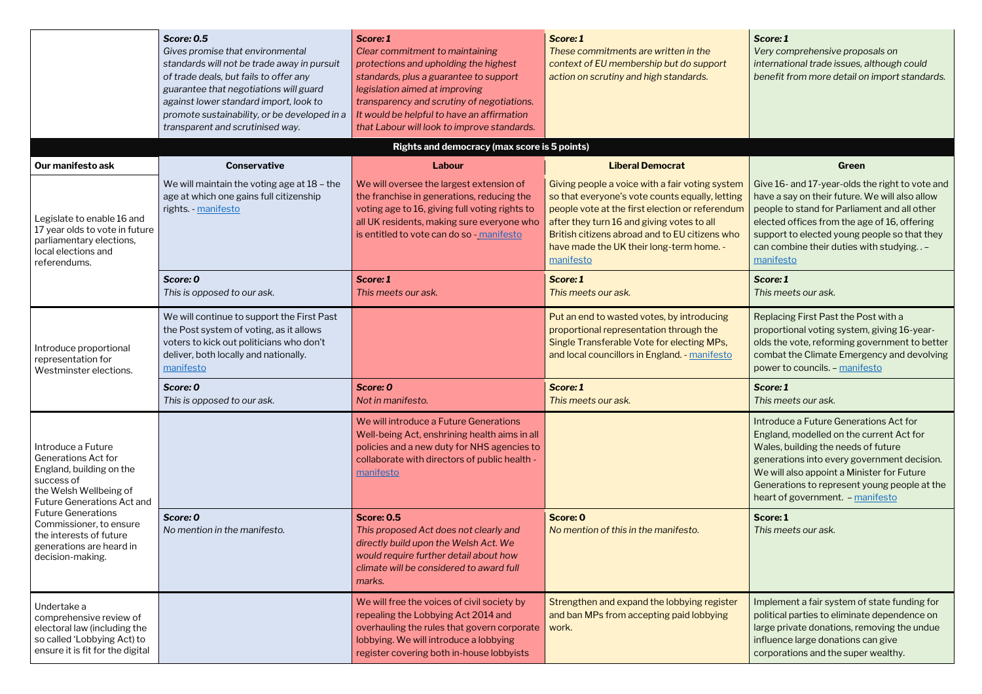*Very comprehensive proposals on international trade issues, although could benefit from more detail on import standards.*

|                                                                                                                                                           | <b>Score: 0.5</b><br>Gives promise that environmental<br>standards will not be trade away in pursuit<br>of trade deals, but fails to offer any<br>guarantee that negotiations will guard<br>against lower standard import, look to<br>promote sustainability, or be developed in a<br>transparent and scrutinised way. | Score: 1<br>Clear commitment to maintaining<br>protections and upholding the highest<br>standards, plus a guarantee to support<br>legislation aimed at improving<br>transparency and scrutiny of negotiations.<br>It would be helpful to have an affirmation<br>that Labour will look to improve standards. | Score: 1<br>These commitments are written in the<br>context of EU membership but do support<br>action on scrutiny and high standards.                                                                                                                                                                          | Score: 1<br>Very comprehensive prope<br>international trade issues,<br>benefit from more detail o                                                                                                          |
|-----------------------------------------------------------------------------------------------------------------------------------------------------------|------------------------------------------------------------------------------------------------------------------------------------------------------------------------------------------------------------------------------------------------------------------------------------------------------------------------|-------------------------------------------------------------------------------------------------------------------------------------------------------------------------------------------------------------------------------------------------------------------------------------------------------------|----------------------------------------------------------------------------------------------------------------------------------------------------------------------------------------------------------------------------------------------------------------------------------------------------------------|------------------------------------------------------------------------------------------------------------------------------------------------------------------------------------------------------------|
|                                                                                                                                                           |                                                                                                                                                                                                                                                                                                                        | Rights and democracy (max score is 5 points)                                                                                                                                                                                                                                                                |                                                                                                                                                                                                                                                                                                                |                                                                                                                                                                                                            |
| Our manifesto ask                                                                                                                                         | <b>Conservative</b>                                                                                                                                                                                                                                                                                                    | Labour                                                                                                                                                                                                                                                                                                      | <b>Liberal Democrat</b>                                                                                                                                                                                                                                                                                        | Green                                                                                                                                                                                                      |
| Legislate to enable 16 and<br>17 year olds to vote in future<br>parliamentary elections,<br>local elections and<br>referendums.                           | We will maintain the voting age at 18 - the<br>age at which one gains full citizenship<br>rights. - manifesto                                                                                                                                                                                                          | We will oversee the largest extension of<br>the franchise in generations, reducing the<br>voting age to 16, giving full voting rights to<br>all UK residents, making sure everyone who<br>is entitled to vote can do so - manifesto                                                                         | Giving people a voice with a fair voting system<br>so that everyone's vote counts equally, letting<br>people vote at the first election or referendum<br>after they turn 16 and giving votes to all<br>British citizens abroad and to EU citizens who<br>have made the UK their long-term home. -<br>manifesto | Give 16- and 17-year-olds<br>have a say on their future.<br>people to stand for Parlian<br>elected offices from the ag<br>support to elected young p<br>can combine their duties w<br>manifesto            |
|                                                                                                                                                           | Score: 0<br>This is opposed to our ask.                                                                                                                                                                                                                                                                                | Score: 1<br>This meets our ask.                                                                                                                                                                                                                                                                             | Score: 1<br>This meets our ask.                                                                                                                                                                                                                                                                                | Score: 1<br>This meets our ask.                                                                                                                                                                            |
| Introduce proportional<br>representation for<br>Westminster elections.                                                                                    | We will continue to support the First Past<br>the Post system of voting, as it allows<br>voters to kick out politicians who don't<br>deliver, both locally and nationally.<br>manifesto                                                                                                                                |                                                                                                                                                                                                                                                                                                             | Put an end to wasted votes, by introducing<br>proportional representation through the<br>Single Transferable Vote for electing MPs,<br>and local councillors in England. - manifesto                                                                                                                           | Replacing First Past the Po<br>proportional voting systen<br>olds the vote, reforming go<br>combat the Climate Emerg<br>power to councils. - manife                                                        |
|                                                                                                                                                           | Score: 0<br>This is opposed to our ask.                                                                                                                                                                                                                                                                                | Score: 0<br>Not in manifesto.                                                                                                                                                                                                                                                                               | Score: 1<br>This meets our ask.                                                                                                                                                                                                                                                                                | Score: 1<br>This meets our ask.                                                                                                                                                                            |
| Introduce a Future<br><b>Generations Act for</b><br>England, building on the<br>success of<br>the Welsh Wellbeing of<br><b>Future Generations Act and</b> |                                                                                                                                                                                                                                                                                                                        | We will introduce a Future Generations<br>Well-being Act, enshrining health aims in all<br>policies and a new duty for NHS agencies to<br>collaborate with directors of public health -<br>manifesto                                                                                                        |                                                                                                                                                                                                                                                                                                                | Introduce a Future Genera<br>England, modelled on the<br>Wales, building the needs<br>generations into every gov<br>We will also appoint a Mini<br>Generations to represent<br>heart of government. $-$ ma |
| <b>Future Generations</b><br>Commissioner, to ensure<br>the interests of future<br>generations are heard in<br>decision-making.                           | Score: 0<br>No mention in the manifesto.                                                                                                                                                                                                                                                                               | <b>Score: 0.5</b><br>This proposed Act does not clearly and<br>directly build upon the Welsh Act. We<br>would require further detail about how<br>climate will be considered to award full<br>marks.                                                                                                        | Score: 0<br>No mention of this in the manifesto.                                                                                                                                                                                                                                                               | Score: 1<br>This meets our ask.                                                                                                                                                                            |
| Undertake a<br>comprehensive review of<br>electoral law (including the<br>so called 'Lobbying Act) to<br>ensure it is fit for the digital                 |                                                                                                                                                                                                                                                                                                                        | We will free the voices of civil society by<br>repealing the Lobbying Act 2014 and<br>overhauling the rules that govern corporate<br>lobbying. We will introduce a lobbying<br>register covering both in-house lobbyists                                                                                    | Strengthen and expand the lobbying register<br>and ban MPs from accepting paid lobbying<br>work.                                                                                                                                                                                                               | Implement a fair system of<br>political parties to eliminat<br>large private donations, re<br>influence large donations<br>corporations and the supe                                                       |

| Green                                                                                                                                                                                                                                                                                                                  |
|------------------------------------------------------------------------------------------------------------------------------------------------------------------------------------------------------------------------------------------------------------------------------------------------------------------------|
| Give 16- and 17-year-olds the right to vote and<br>have a say on their future. We will also allow<br>people to stand for Parliament and all other<br>elected offices from the age of 16, offering<br>support to elected young people so that they<br>can combine their duties with studying -<br>manifesto<br>Score: 1 |
| This meets our ask.                                                                                                                                                                                                                                                                                                    |
| Replacing First Past the Post with a<br>proportional voting system, giving 16-year-<br>olds the vote, reforming government to better<br>combat the Climate Emergency and devolving<br>power to councils. - manifesto                                                                                                   |
| Score: 1<br>This meets our ask.                                                                                                                                                                                                                                                                                        |
| Introduce a Future Generations Act for<br>England, modelled on the current Act for<br>Wales, building the needs of future<br>generations into every government decision.<br>We will also appoint a Minister for Future<br>Generations to represent young people at the<br>heart of government. - manifesto             |
| Score: 1<br>This meets our ask.                                                                                                                                                                                                                                                                                        |
| Implement a fair system of state funding for<br>political parties to eliminate dependence on<br>large private donations, removing the undue<br>influence large donations can give<br>corporations and the super wealthy.                                                                                               |